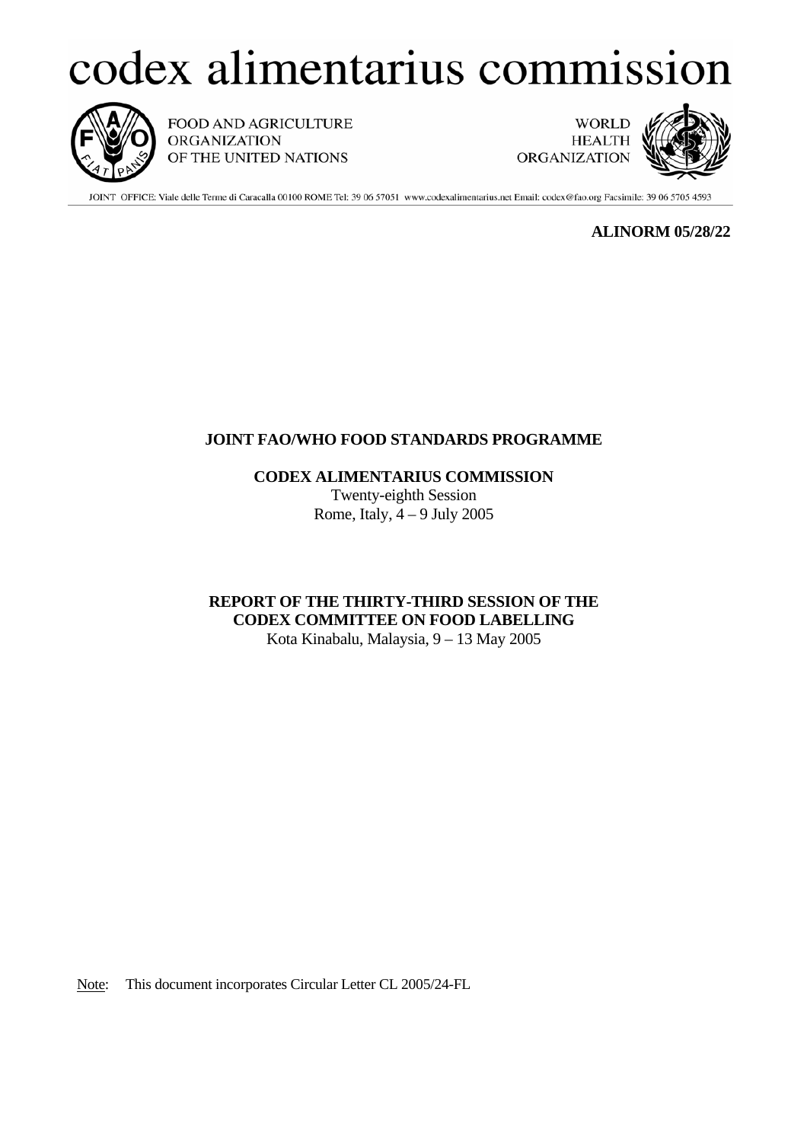# codex alimentarius commission



FOOD AND AGRICULTURE **ORGANIZATION** OF THE UNITED NATIONS

**WORLD HEALTH ORGANIZATION** 



JOINT OFFICE: Viale delle Terme di Caracalla 00100 ROME Tel: 39 06 57051 www.codexalimentarius.net Email: codex@fao.org Facsimile: 39 06 5705 4593

 **ALINORM 05/28/22** 

# **JOINT FAO/WHO FOOD STANDARDS PROGRAMME**

 **CODEX ALIMENTARIUS COMMISSION**

Twenty-eighth Session Rome, Italy,  $4 - 9$  July 2005

**REPORT OF THE THIRTY-THIRD SESSION OF THE CODEX COMMITTEE ON FOOD LABELLING** 

Kota Kinabalu, Malaysia, 9 – 13 May 2005

Note: This document incorporates Circular Letter CL 2005/24-FL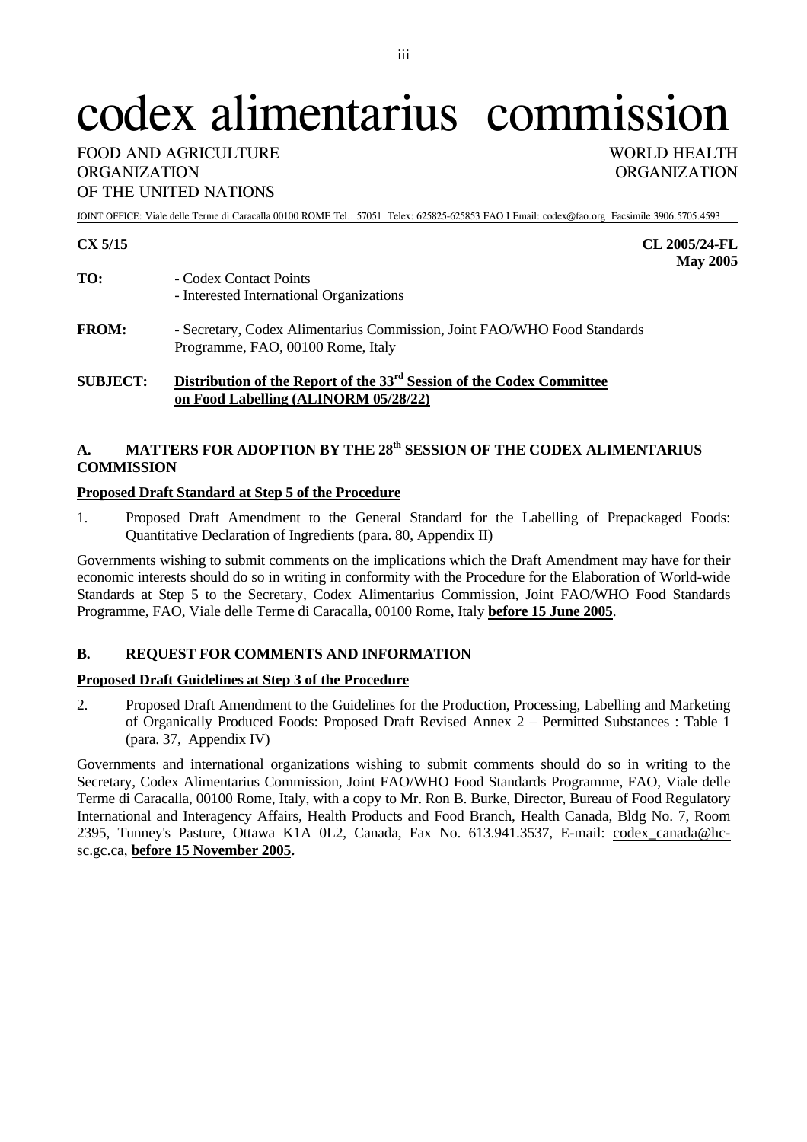# codex alimentarius commission

## FOOD AND AGRICULTURE WORLD HEALTH ORGANIZATION ORGANIZATION OF THE UNITED NATIONS

JOINT OFFICE: Viale delle Terme di Caracalla 00100 ROME Tel.: 57051 Telex: 625825-625853 FAO I Email: codex@fao.org Facsimile:3906.5705.4593

## **CX 5/15 CL 2005/24-FL**

- **May 2005**  TO:  $-$  Codex Contact Points - Interested International Organizations
- **FROM:** Secretary, Codex Alimentarius Commission, Joint FAO/WHO Food Standards Programme, FAO, 00100 Rome, Italy

## **SUBJECT: Distribution of the Report of the 33rd Session of the Codex Committee on Food Labelling (ALINORM 05/28/22)**

## A. MATTERS FOR ADOPTION BY THE 28<sup>th</sup> SESSION OF THE CODEX ALIMENTARIUS **COMMISSION**

## **Proposed Draft Standard at Step 5 of the Procedure**

1. Proposed Draft Amendment to the General Standard for the Labelling of Prepackaged Foods: Quantitative Declaration of Ingredients (para. 80, Appendix II)

Governments wishing to submit comments on the implications which the Draft Amendment may have for their economic interests should do so in writing in conformity with the Procedure for the Elaboration of World-wide Standards at Step 5 to the Secretary, Codex Alimentarius Commission, Joint FAO/WHO Food Standards Programme, FAO, Viale delle Terme di Caracalla, 00100 Rome, Italy **before 15 June 2005**.

## **B. REQUEST FOR COMMENTS AND INFORMATION**

## **Proposed Draft Guidelines at Step 3 of the Procedure**

2. Proposed Draft Amendment to the Guidelines for the Production, Processing, Labelling and Marketing of Organically Produced Foods: Proposed Draft Revised Annex 2 – Permitted Substances : Table 1 (para. 37, Appendix IV)

Governments and international organizations wishing to submit comments should do so in writing to the Secretary, Codex Alimentarius Commission, Joint FAO/WHO Food Standards Programme, FAO, Viale delle Terme di Caracalla, 00100 Rome, Italy, with a copy to Mr. Ron B. Burke, Director, Bureau of Food Regulatory International and Interagency Affairs, Health Products and Food Branch, Health Canada, Bldg No. 7, Room 2395, Tunney's Pasture, Ottawa K1A 0L2, Canada, Fax No. 613.941.3537, E-mail: codex\_canada@hcsc.gc.ca, **before 15 November 2005.**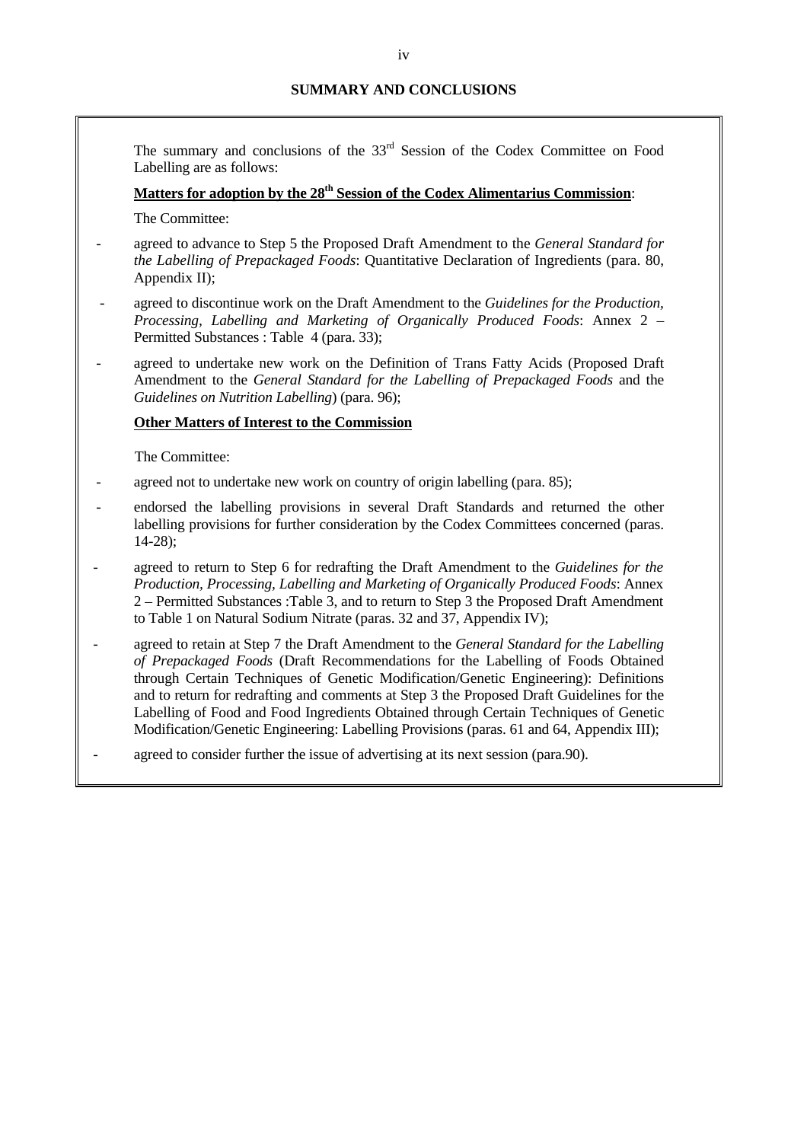The summary and conclusions of the 33<sup>rd</sup> Session of the Codex Committee on Food Labelling are as follows:

## Matters for adoption by the 28<sup>th</sup> Session of the Codex Alimentarius Commission:

The Committee:

- agreed to advance to Step 5 the Proposed Draft Amendment to the *General Standard for the Labelling of Prepackaged Foods*: Quantitative Declaration of Ingredients (para. 80, Appendix II);
- agreed to discontinue work on the Draft Amendment to the *Guidelines for the Production, Processing, Labelling and Marketing of Organically Produced Foods*: Annex 2 – Permitted Substances : Table 4 (para. 33);
- agreed to undertake new work on the Definition of Trans Fatty Acids (Proposed Draft Amendment to the *General Standard for the Labelling of Prepackaged Foods* and the *Guidelines on Nutrition Labelling*) (para. 96);

#### **Other Matters of Interest to the Commission**

The Committee:

- agreed not to undertake new work on country of origin labelling (para. 85);
- endorsed the labelling provisions in several Draft Standards and returned the other labelling provisions for further consideration by the Codex Committees concerned (paras. 14-28);
- agreed to return to Step 6 for redrafting the Draft Amendment to the *Guidelines for the Production, Processing, Labelling and Marketing of Organically Produced Foods*: Annex 2 – Permitted Substances :Table 3, and to return to Step 3 the Proposed Draft Amendment to Table 1 on Natural Sodium Nitrate (paras. 32 and 37, Appendix IV);
- agreed to retain at Step 7 the Draft Amendment to the *General Standard for the Labelling of Prepackaged Foods* (Draft Recommendations for the Labelling of Foods Obtained through Certain Techniques of Genetic Modification/Genetic Engineering): Definitions and to return for redrafting and comments at Step 3 the Proposed Draft Guidelines for the Labelling of Food and Food Ingredients Obtained through Certain Techniques of Genetic Modification/Genetic Engineering: Labelling Provisions (paras. 61 and 64, Appendix III);
- agreed to consider further the issue of advertising at its next session (para.90).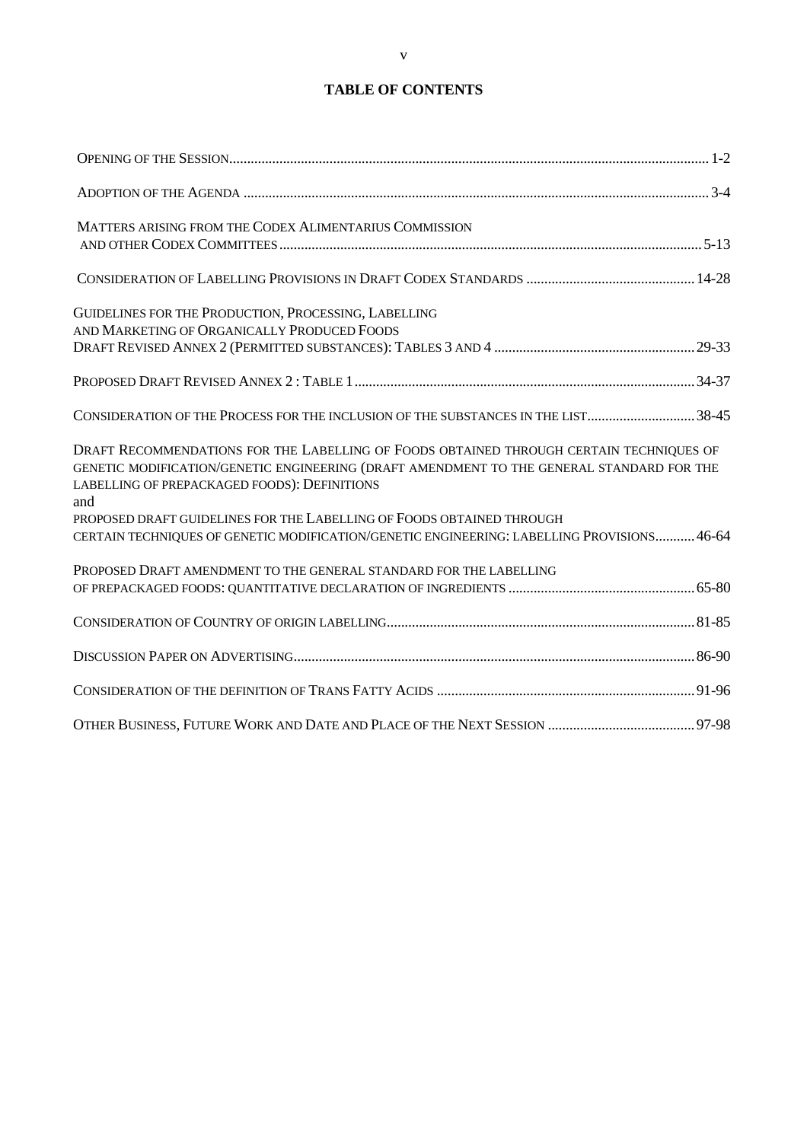# **TABLE OF CONTENTS**

| MATTERS ARISING FROM THE CODEX ALIMENTARIUS COMMISSION                                                                                                                                                                                      |  |
|---------------------------------------------------------------------------------------------------------------------------------------------------------------------------------------------------------------------------------------------|--|
|                                                                                                                                                                                                                                             |  |
| GUIDELINES FOR THE PRODUCTION, PROCESSING, LABELLING<br>AND MARKETING OF ORGANICALLY PRODUCED FOODS                                                                                                                                         |  |
|                                                                                                                                                                                                                                             |  |
| CONSIDERATION OF THE PROCESS FOR THE INCLUSION OF THE SUBSTANCES IN THE LIST38-45                                                                                                                                                           |  |
| DRAFT RECOMMENDATIONS FOR THE LABELLING OF FOODS OBTAINED THROUGH CERTAIN TECHNIQUES OF<br>GENETIC MODIFICATION/GENETIC ENGINEERING (DRAFT AMENDMENT TO THE GENERAL STANDARD FOR THE<br>LABELLING OF PREPACKAGED FOODS): DEFINITIONS<br>and |  |
| PROPOSED DRAFT GUIDELINES FOR THE LABELLING OF FOODS OBTAINED THROUGH<br>CERTAIN TECHNIQUES OF GENETIC MODIFICATION/GENETIC ENGINEERING: LABELLING PROVISIONS 46-64                                                                         |  |
| PROPOSED DRAFT AMENDMENT TO THE GENERAL STANDARD FOR THE LABELLING                                                                                                                                                                          |  |
|                                                                                                                                                                                                                                             |  |
|                                                                                                                                                                                                                                             |  |
|                                                                                                                                                                                                                                             |  |
|                                                                                                                                                                                                                                             |  |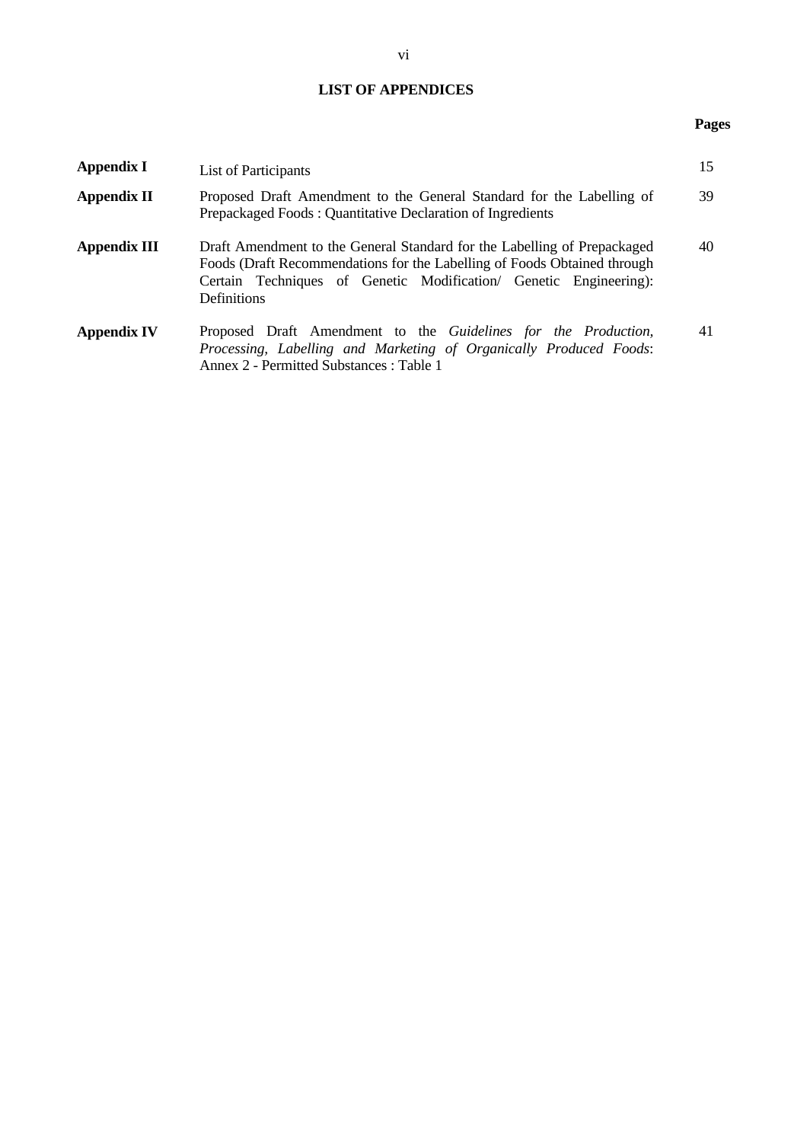# **LIST OF APPENDICES**

## **Pages**

| Appendix I          | List of Participants                                                                                                                                                                                                                            |    |  |
|---------------------|-------------------------------------------------------------------------------------------------------------------------------------------------------------------------------------------------------------------------------------------------|----|--|
| <b>Appendix II</b>  | Proposed Draft Amendment to the General Standard for the Labelling of<br>Prepackaged Foods: Quantitative Declaration of Ingredients                                                                                                             | 39 |  |
| <b>Appendix III</b> | Draft Amendment to the General Standard for the Labelling of Prepackaged<br>Foods (Draft Recommendations for the Labelling of Foods Obtained through<br>Certain Techniques of Genetic Modification/ Genetic Engineering):<br><b>Definitions</b> | 40 |  |
| <b>Appendix IV</b>  | Proposed Draft Amendment to the Guidelines for the Production,<br>Processing, Labelling and Marketing of Organically Produced Foods:<br>Annex 2 - Permitted Substances : Table 1                                                                | 41 |  |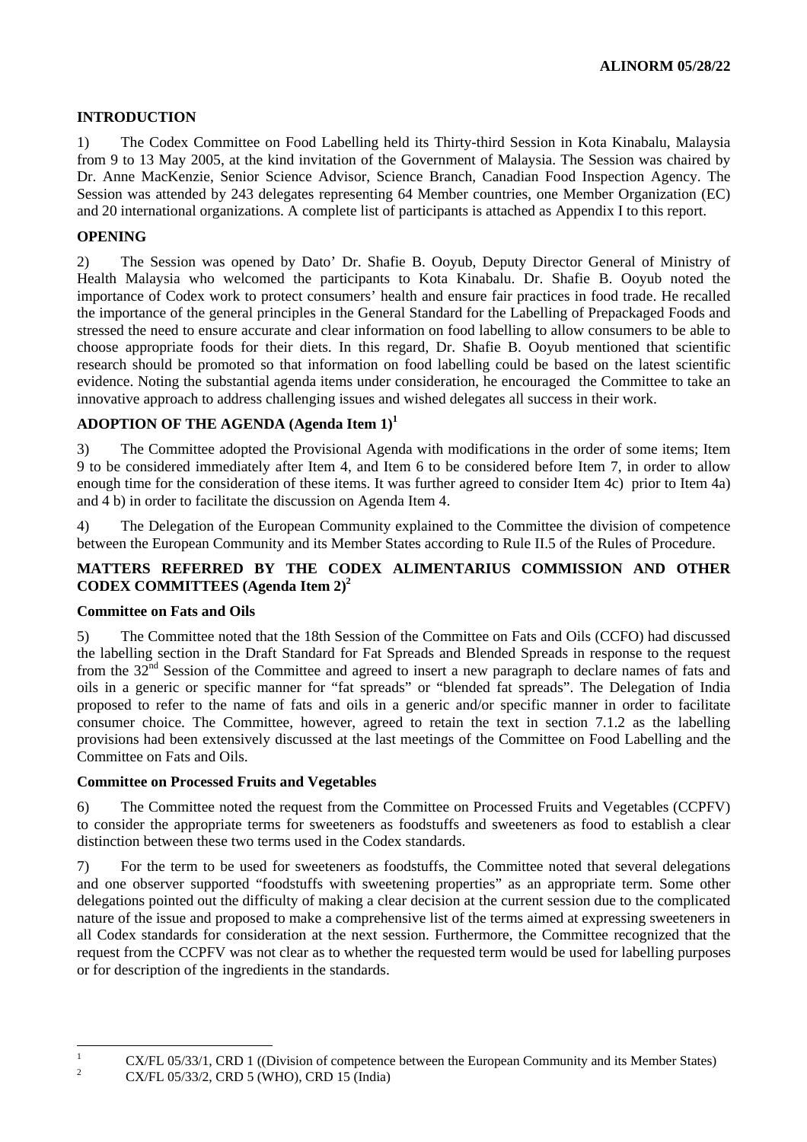## **INTRODUCTION**

1) The Codex Committee on Food Labelling held its Thirty-third Session in Kota Kinabalu, Malaysia from 9 to 13 May 2005, at the kind invitation of the Government of Malaysia. The Session was chaired by Dr. Anne MacKenzie, Senior Science Advisor, Science Branch, Canadian Food Inspection Agency. The Session was attended by 243 delegates representing 64 Member countries, one Member Organization (EC) and 20 international organizations. A complete list of participants is attached as Appendix I to this report.

## **OPENING**

2) The Session was opened by Dato' Dr. Shafie B. Ooyub, Deputy Director General of Ministry of Health Malaysia who welcomed the participants to Kota Kinabalu. Dr. Shafie B. Ooyub noted the importance of Codex work to protect consumers' health and ensure fair practices in food trade. He recalled the importance of the general principles in the General Standard for the Labelling of Prepackaged Foods and stressed the need to ensure accurate and clear information on food labelling to allow consumers to be able to choose appropriate foods for their diets. In this regard, Dr. Shafie B. Ooyub mentioned that scientific research should be promoted so that information on food labelling could be based on the latest scientific evidence. Noting the substantial agenda items under consideration, he encouraged the Committee to take an innovative approach to address challenging issues and wished delegates all success in their work.

## **ADOPTION OF THE AGENDA (Agenda Item 1)[1](#page-5-0)**

3) The Committee adopted the Provisional Agenda with modifications in the order of some items; Item 9 to be considered immediately after Item 4, and Item 6 to be considered before Item 7, in order to allow enough time for the consideration of these items. It was further agreed to consider Item 4c) prior to Item 4a) and 4 b) in order to facilitate the discussion on Agenda Item 4.

4) The Delegation of the European Community explained to the Committee the division of competence between the European Community and its Member States according to Rule II.5 of the Rules of Procedure.

## **MATTERS REFERRED BY THE CODEX ALIMENTARIUS COMMISSION AND OTHER CODEX COMMITTEES (Agenda Item 2)[2](#page-5-1)**

## **Committee on Fats and Oils**

5) The Committee noted that the 18th Session of the Committee on Fats and Oils (CCFO) had discussed the labelling section in the Draft Standard for Fat Spreads and Blended Spreads in response to the request from the 32nd Session of the Committee and agreed to insert a new paragraph to declare names of fats and oils in a generic or specific manner for "fat spreads" or "blended fat spreads". The Delegation of India proposed to refer to the name of fats and oils in a generic and/or specific manner in order to facilitate consumer choice. The Committee, however, agreed to retain the text in section 7.1.2 as the labelling provisions had been extensively discussed at the last meetings of the Committee on Food Labelling and the Committee on Fats and Oils.

## **Committee on Processed Fruits and Vegetables**

6) The Committee noted the request from the Committee on Processed Fruits and Vegetables (CCPFV) to consider the appropriate terms for sweeteners as foodstuffs and sweeteners as food to establish a clear distinction between these two terms used in the Codex standards.

7) For the term to be used for sweeteners as foodstuffs, the Committee noted that several delegations and one observer supported "foodstuffs with sweetening properties" as an appropriate term. Some other delegations pointed out the difficulty of making a clear decision at the current session due to the complicated nature of the issue and proposed to make a comprehensive list of the terms aimed at expressing sweeteners in all Codex standards for consideration at the next session. Furthermore, the Committee recognized that the request from the CCPFV was not clear as to whether the requested term would be used for labelling purposes or for description of the ingredients in the standards.

<span id="page-5-0"></span> $\overline{a}$ 1  $\overline{2}$ 

<span id="page-5-1"></span>CX/FL 05/33/1, CRD 1 ((Division of competence between the European Community and its Member States) CX/FL 05/33/2, CRD 5 (WHO), CRD 15 (India)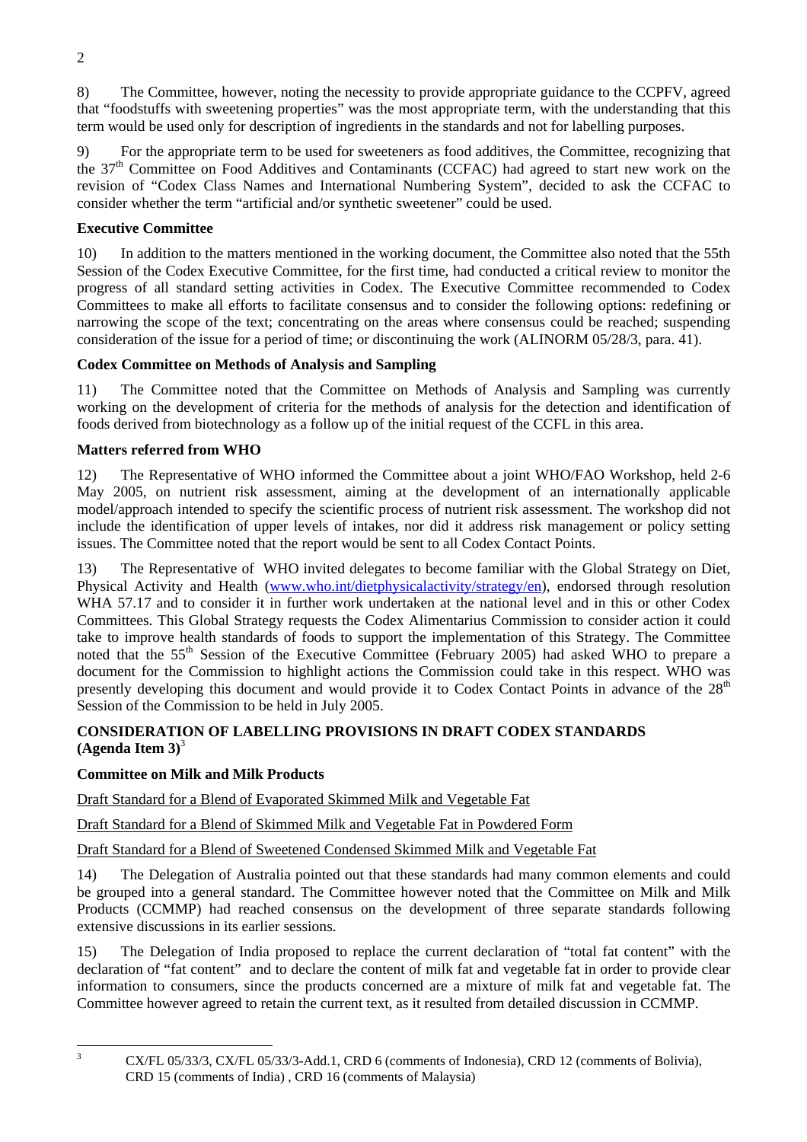8) The Committee, however, noting the necessity to provide appropriate guidance to the CCPFV, agreed that "foodstuffs with sweetening properties" was the most appropriate term, with the understanding that this term would be used only for description of ingredients in the standards and not for labelling purposes.

9) For the appropriate term to be used for sweeteners as food additives, the Committee, recognizing that the 37<sup>th</sup> Committee on Food Additives and Contaminants (CCFAC) had agreed to start new work on the revision of "Codex Class Names and International Numbering System", decided to ask the CCFAC to consider whether the term "artificial and/or synthetic sweetener" could be used.

# **Executive Committee**

10) In addition to the matters mentioned in the working document, the Committee also noted that the 55th Session of the Codex Executive Committee, for the first time, had conducted a critical review to monitor the progress of all standard setting activities in Codex. The Executive Committee recommended to Codex Committees to make all efforts to facilitate consensus and to consider the following options: redefining or narrowing the scope of the text; concentrating on the areas where consensus could be reached; suspending consideration of the issue for a period of time; or discontinuing the work (ALINORM 05/28/3, para. 41).

## **Codex Committee on Methods of Analysis and Sampling**

11) The Committee noted that the Committee on Methods of Analysis and Sampling was currently working on the development of criteria for the methods of analysis for the detection and identification of foods derived from biotechnology as a follow up of the initial request of the CCFL in this area.

## **Matters referred from WHO**

12) The Representative of WHO informed the Committee about a joint WHO/FAO Workshop, held 2-6 May 2005, on nutrient risk assessment, aiming at the development of an internationally applicable model/approach intended to specify the scientific process of nutrient risk assessment. The workshop did not include the identification of upper levels of intakes, nor did it address risk management or policy setting issues. The Committee noted that the report would be sent to all Codex Contact Points.

13) The Representative of WHO invited delegates to become familiar with the Global Strategy on Diet, Physical Activity and Health (www.who.int/dietphysicalactivity/strategy/en), endorsed through resolution WHA 57.17 and to consider it in further work undertaken at the national level and in this or other Codex Committees. This Global Strategy requests the Codex Alimentarius Commission to consider action it could take to improve health standards of foods to support the implementation of this Strategy. The Committee noted that the 55<sup>th</sup> Session of the Executive Committee (February 2005) had asked WHO to prepare a document for the Commission to highlight actions the Commission could take in this respect. WHO was presently developing this document and would provide it to Codex Contact Points in advance of the 28<sup>th</sup> Session of the Commission to be held in July 2005.

## **CONSIDERATION OF LABELLING PROVISIONS IN DRAFT CODEX STANDARDS (Agenda Item 3)**[3](#page-6-0)

# **Committee on Milk and Milk Products**

Draft Standard for a Blend of Evaporated Skimmed Milk and Vegetable Fat

Draft Standard for a Blend of Skimmed Milk and Vegetable Fat in Powdered Form

Draft Standard for a Blend of Sweetened Condensed Skimmed Milk and Vegetable Fat

14) The Delegation of Australia pointed out that these standards had many common elements and could be grouped into a general standard. The Committee however noted that the Committee on Milk and Milk Products (CCMMP) had reached consensus on the development of three separate standards following extensive discussions in its earlier sessions.

15) The Delegation of India proposed to replace the current declaration of "total fat content" with the declaration of "fat content" and to declare the content of milk fat and vegetable fat in order to provide clear information to consumers, since the products concerned are a mixture of milk fat and vegetable fat. The Committee however agreed to retain the current text, as it resulted from detailed discussion in CCMMP.

<span id="page-6-0"></span> $\frac{1}{3}$ 

CX/FL 05/33/3, CX/FL 05/33/3-Add.1, CRD 6 (comments of Indonesia), CRD 12 (comments of Bolivia), CRD 15 (comments of India) , CRD 16 (comments of Malaysia)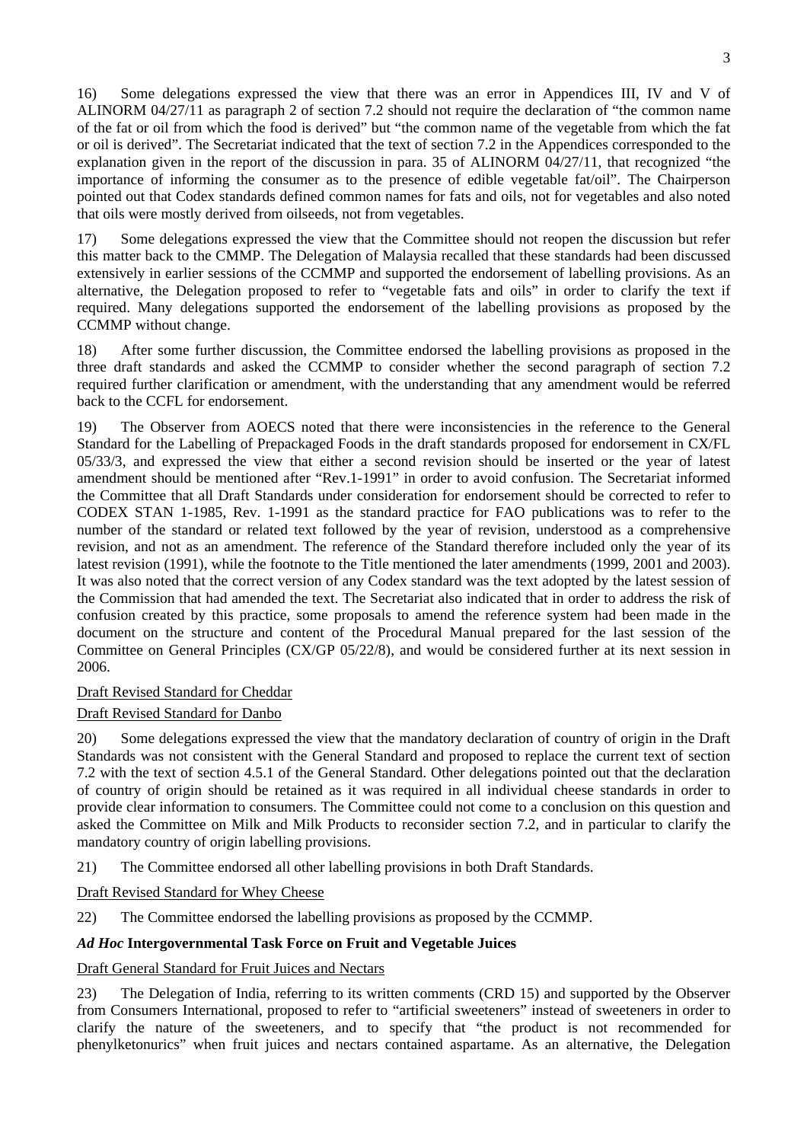16) Some delegations expressed the view that there was an error in Appendices III, IV and V of ALINORM 04/27/11 as paragraph 2 of section 7.2 should not require the declaration of "the common name of the fat or oil from which the food is derived" but "the common name of the vegetable from which the fat or oil is derived". The Secretariat indicated that the text of section 7.2 in the Appendices corresponded to the explanation given in the report of the discussion in para. 35 of ALINORM 04/27/11, that recognized "the importance of informing the consumer as to the presence of edible vegetable fat/oil". The Chairperson pointed out that Codex standards defined common names for fats and oils, not for vegetables and also noted that oils were mostly derived from oilseeds, not from vegetables.

17) Some delegations expressed the view that the Committee should not reopen the discussion but refer this matter back to the CMMP. The Delegation of Malaysia recalled that these standards had been discussed extensively in earlier sessions of the CCMMP and supported the endorsement of labelling provisions. As an alternative, the Delegation proposed to refer to "vegetable fats and oils" in order to clarify the text if required. Many delegations supported the endorsement of the labelling provisions as proposed by the CCMMP without change.

18) After some further discussion, the Committee endorsed the labelling provisions as proposed in the three draft standards and asked the CCMMP to consider whether the second paragraph of section 7.2 required further clarification or amendment, with the understanding that any amendment would be referred back to the CCFL for endorsement.

19) The Observer from AOECS noted that there were inconsistencies in the reference to the General Standard for the Labelling of Prepackaged Foods in the draft standards proposed for endorsement in CX/FL 05/33/3, and expressed the view that either a second revision should be inserted or the year of latest amendment should be mentioned after "Rev.1-1991" in order to avoid confusion. The Secretariat informed the Committee that all Draft Standards under consideration for endorsement should be corrected to refer to CODEX STAN 1-1985, Rev. 1-1991 as the standard practice for FAO publications was to refer to the number of the standard or related text followed by the year of revision, understood as a comprehensive revision, and not as an amendment. The reference of the Standard therefore included only the year of its latest revision (1991), while the footnote to the Title mentioned the later amendments (1999, 2001 and 2003). It was also noted that the correct version of any Codex standard was the text adopted by the latest session of the Commission that had amended the text. The Secretariat also indicated that in order to address the risk of confusion created by this practice, some proposals to amend the reference system had been made in the document on the structure and content of the Procedural Manual prepared for the last session of the Committee on General Principles (CX/GP 05/22/8), and would be considered further at its next session in 2006.

## Draft Revised Standard for Cheddar

## Draft Revised Standard for Danbo

20) Some delegations expressed the view that the mandatory declaration of country of origin in the Draft Standards was not consistent with the General Standard and proposed to replace the current text of section 7.2 with the text of section 4.5.1 of the General Standard. Other delegations pointed out that the declaration of country of origin should be retained as it was required in all individual cheese standards in order to provide clear information to consumers. The Committee could not come to a conclusion on this question and asked the Committee on Milk and Milk Products to reconsider section 7.2, and in particular to clarify the mandatory country of origin labelling provisions.

21) The Committee endorsed all other labelling provisions in both Draft Standards.

Draft Revised Standard for Whey Cheese

22) The Committee endorsed the labelling provisions as proposed by the CCMMP.

## *Ad Hoc* **Intergovernmental Task Force on Fruit and Vegetable Juices**

## Draft General Standard for Fruit Juices and Nectars

23) The Delegation of India, referring to its written comments (CRD 15) and supported by the Observer from Consumers International, proposed to refer to "artificial sweeteners" instead of sweeteners in order to clarify the nature of the sweeteners, and to specify that "the product is not recommended for phenylketonurics" when fruit juices and nectars contained aspartame. As an alternative, the Delegation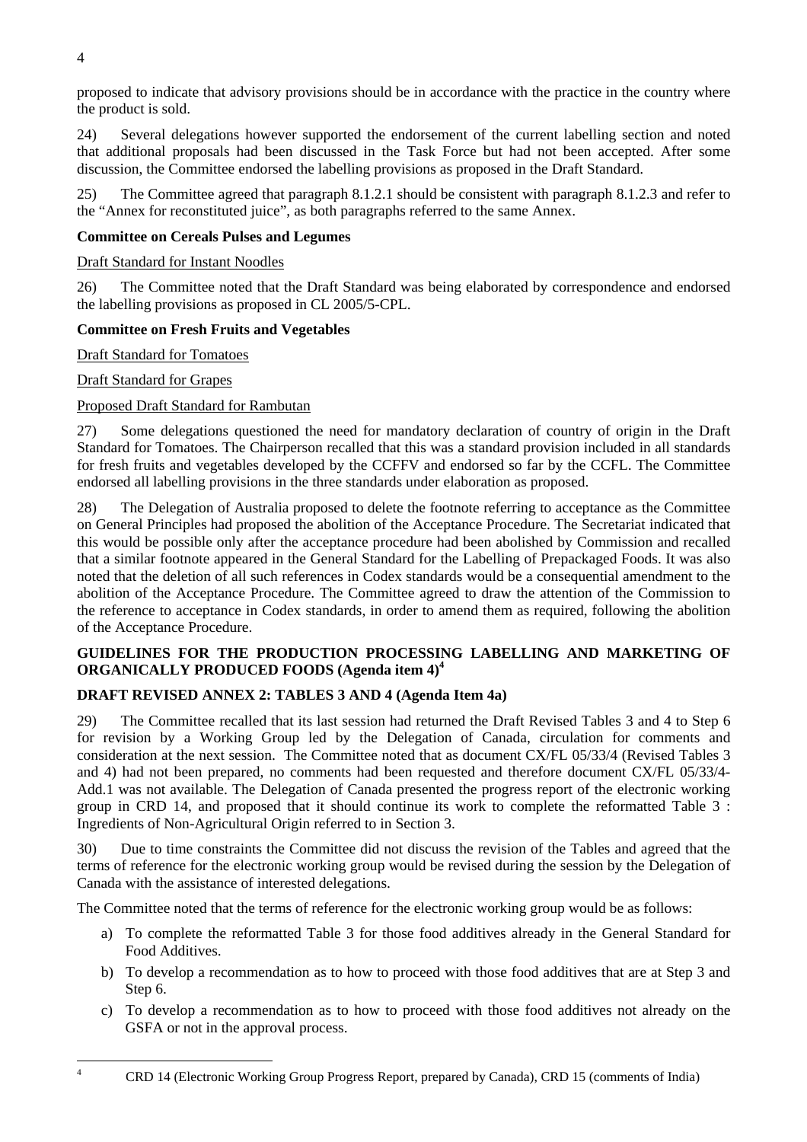proposed to indicate that advisory provisions should be in accordance with the practice in the country where the product is sold.

24) Several delegations however supported the endorsement of the current labelling section and noted that additional proposals had been discussed in the Task Force but had not been accepted. After some discussion, the Committee endorsed the labelling provisions as proposed in the Draft Standard.

25) The Committee agreed that paragraph 8.1.2.1 should be consistent with paragraph 8.1.2.3 and refer to the "Annex for reconstituted juice", as both paragraphs referred to the same Annex.

## **Committee on Cereals Pulses and Legumes**

## Draft Standard for Instant Noodles

26) The Committee noted that the Draft Standard was being elaborated by correspondence and endorsed the labelling provisions as proposed in CL 2005/5-CPL.

## **Committee on Fresh Fruits and Vegetables**

Draft Standard for Tomatoes

Draft Standard for Grapes

## Proposed Draft Standard for Rambutan

27) Some delegations questioned the need for mandatory declaration of country of origin in the Draft Standard for Tomatoes. The Chairperson recalled that this was a standard provision included in all standards for fresh fruits and vegetables developed by the CCFFV and endorsed so far by the CCFL. The Committee endorsed all labelling provisions in the three standards under elaboration as proposed.

28) The Delegation of Australia proposed to delete the footnote referring to acceptance as the Committee on General Principles had proposed the abolition of the Acceptance Procedure. The Secretariat indicated that this would be possible only after the acceptance procedure had been abolished by Commission and recalled that a similar footnote appeared in the General Standard for the Labelling of Prepackaged Foods. It was also noted that the deletion of all such references in Codex standards would be a consequential amendment to the abolition of the Acceptance Procedure. The Committee agreed to draw the attention of the Commission to the reference to acceptance in Codex standards, in order to amend them as required, following the abolition of the Acceptance Procedure.

## **GUIDELINES FOR THE PRODUCTION PROCESSING LABELLING AND MARKETING OF ORGANICALLY PRODUCED FOODS (Agenda item 4)[4](#page-8-0)**

## **DRAFT REVISED ANNEX 2: TABLES 3 AND 4 (Agenda Item 4a)**

29) The Committee recalled that its last session had returned the Draft Revised Tables 3 and 4 to Step 6 for revision by a Working Group led by the Delegation of Canada, circulation for comments and consideration at the next session. The Committee noted that as document CX/FL 05/33/4 (Revised Tables 3 and 4) had not been prepared, no comments had been requested and therefore document CX/FL 05/33/4- Add.1 was not available. The Delegation of Canada presented the progress report of the electronic working group in CRD 14, and proposed that it should continue its work to complete the reformatted Table 3 : Ingredients of Non-Agricultural Origin referred to in Section 3.

30) Due to time constraints the Committee did not discuss the revision of the Tables and agreed that the terms of reference for the electronic working group would be revised during the session by the Delegation of Canada with the assistance of interested delegations.

The Committee noted that the terms of reference for the electronic working group would be as follows:

- a) To complete the reformatted Table 3 for those food additives already in the General Standard for Food Additives.
- b) To develop a recommendation as to how to proceed with those food additives that are at Step 3 and Step 6.
- c) To develop a recommendation as to how to proceed with those food additives not already on the GSFA or not in the approval process.

CRD 14 (Electronic Working Group Progress Report, prepared by Canada), CRD 15 (comments of India)

<span id="page-8-0"></span> $\frac{1}{4}$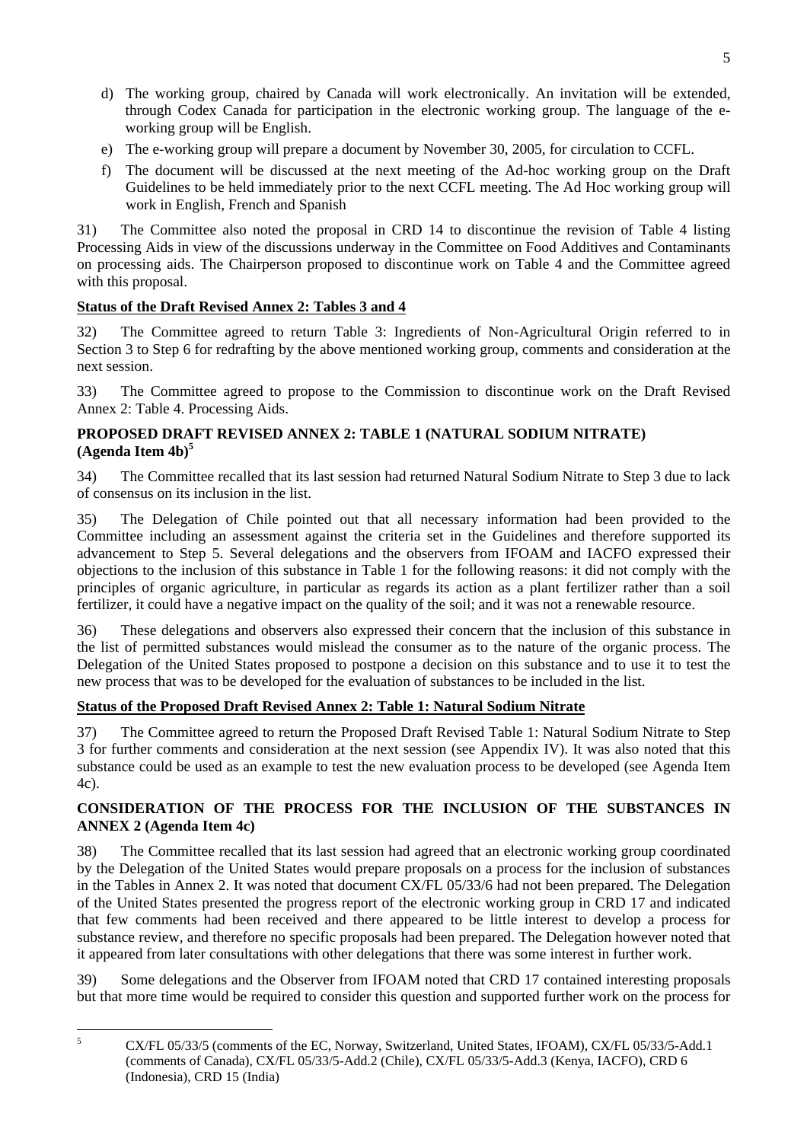- d) The working group, chaired by Canada will work electronically. An invitation will be extended, through Codex Canada for participation in the electronic working group. The language of the eworking group will be English.
- e) The e-working group will prepare a document by November 30, 2005, for circulation to CCFL.
- f) The document will be discussed at the next meeting of the Ad-hoc working group on the Draft Guidelines to be held immediately prior to the next CCFL meeting. The Ad Hoc working group will work in English, French and Spanish

31) The Committee also noted the proposal in CRD 14 to discontinue the revision of Table 4 listing Processing Aids in view of the discussions underway in the Committee on Food Additives and Contaminants on processing aids. The Chairperson proposed to discontinue work on Table 4 and the Committee agreed with this proposal.

# **Status of the Draft Revised Annex 2: Tables 3 and 4**

32) The Committee agreed to return Table 3: Ingredients of Non-Agricultural Origin referred to in Section 3 to Step 6 for redrafting by the above mentioned working group, comments and consideration at the next session.

33) The Committee agreed to propose to the Commission to discontinue work on the Draft Revised Annex 2: Table 4. Processing Aids.

## **PROPOSED DRAFT REVISED ANNEX 2: TABLE 1 (NATURAL SODIUM NITRATE) (Agenda Item 4b)[5](#page-9-0)**

34) The Committee recalled that its last session had returned Natural Sodium Nitrate to Step 3 due to lack of consensus on its inclusion in the list.

35) The Delegation of Chile pointed out that all necessary information had been provided to the Committee including an assessment against the criteria set in the Guidelines and therefore supported its advancement to Step 5. Several delegations and the observers from IFOAM and IACFO expressed their objections to the inclusion of this substance in Table 1 for the following reasons: it did not comply with the principles of organic agriculture, in particular as regards its action as a plant fertilizer rather than a soil fertilizer, it could have a negative impact on the quality of the soil; and it was not a renewable resource.

36) These delegations and observers also expressed their concern that the inclusion of this substance in the list of permitted substances would mislead the consumer as to the nature of the organic process. The Delegation of the United States proposed to postpone a decision on this substance and to use it to test the new process that was to be developed for the evaluation of substances to be included in the list.

## **Status of the Proposed Draft Revised Annex 2: Table 1: Natural Sodium Nitrate**

37) The Committee agreed to return the Proposed Draft Revised Table 1: Natural Sodium Nitrate to Step 3 for further comments and consideration at the next session (see Appendix IV). It was also noted that this substance could be used as an example to test the new evaluation process to be developed (see Agenda Item 4c).

## **CONSIDERATION OF THE PROCESS FOR THE INCLUSION OF THE SUBSTANCES IN ANNEX 2 (Agenda Item 4c)**

38) The Committee recalled that its last session had agreed that an electronic working group coordinated by the Delegation of the United States would prepare proposals on a process for the inclusion of substances in the Tables in Annex 2. It was noted that document CX/FL 05/33/6 had not been prepared. The Delegation of the United States presented the progress report of the electronic working group in CRD 17 and indicated that few comments had been received and there appeared to be little interest to develop a process for substance review, and therefore no specific proposals had been prepared. The Delegation however noted that it appeared from later consultations with other delegations that there was some interest in further work.

39) Some delegations and the Observer from IFOAM noted that CRD 17 contained interesting proposals but that more time would be required to consider this question and supported further work on the process for

<span id="page-9-0"></span> 5 CX/FL 05/33/5 (comments of the EC, Norway, Switzerland, United States, IFOAM), CX/FL 05/33/5-Add.1 (comments of Canada), CX/FL 05/33/5-Add.2 (Chile), CX/FL 05/33/5-Add.3 (Kenya, IACFO), CRD 6 (Indonesia), CRD 15 (India)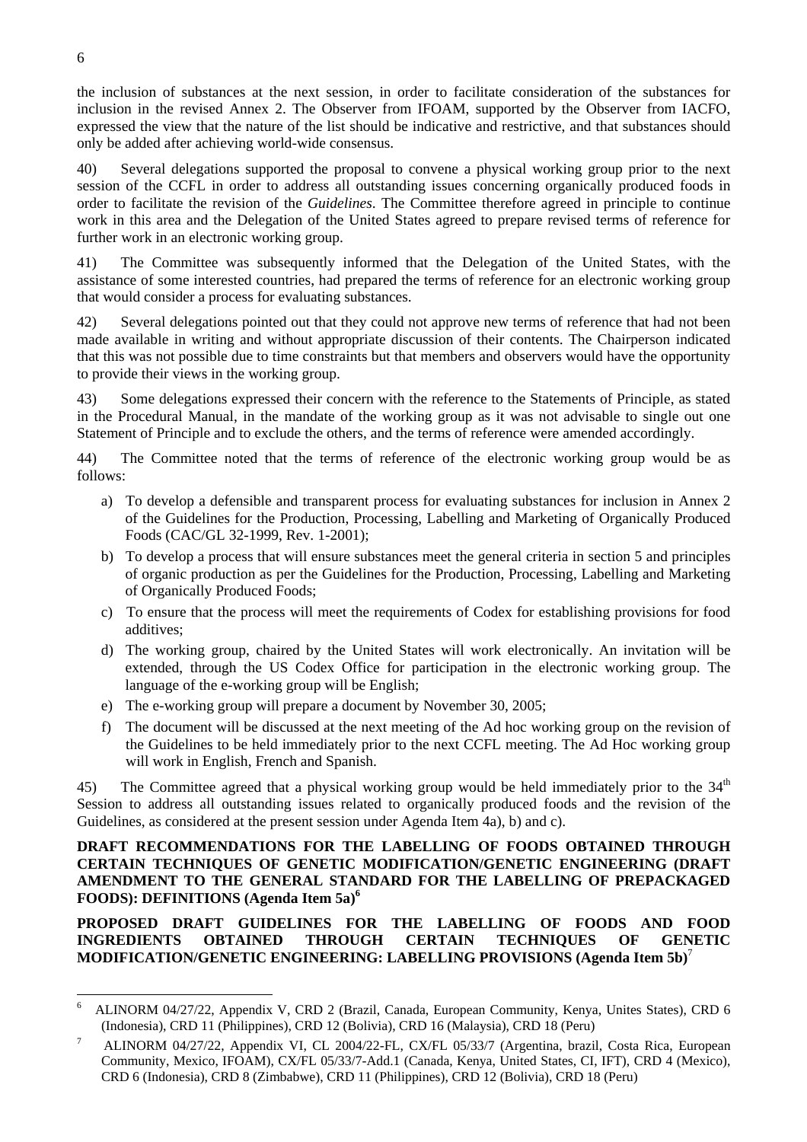the inclusion of substances at the next session, in order to facilitate consideration of the substances for inclusion in the revised Annex 2. The Observer from IFOAM, supported by the Observer from IACFO, expressed the view that the nature of the list should be indicative and restrictive, and that substances should only be added after achieving world-wide consensus.

40) Several delegations supported the proposal to convene a physical working group prior to the next session of the CCFL in order to address all outstanding issues concerning organically produced foods in order to facilitate the revision of the *Guidelines*. The Committee therefore agreed in principle to continue work in this area and the Delegation of the United States agreed to prepare revised terms of reference for further work in an electronic working group.

41) The Committee was subsequently informed that the Delegation of the United States, with the assistance of some interested countries, had prepared the terms of reference for an electronic working group that would consider a process for evaluating substances.

42) Several delegations pointed out that they could not approve new terms of reference that had not been made available in writing and without appropriate discussion of their contents. The Chairperson indicated that this was not possible due to time constraints but that members and observers would have the opportunity to provide their views in the working group.

43) Some delegations expressed their concern with the reference to the Statements of Principle, as stated in the Procedural Manual, in the mandate of the working group as it was not advisable to single out one Statement of Principle and to exclude the others, and the terms of reference were amended accordingly.

44) The Committee noted that the terms of reference of the electronic working group would be as follows:

- a) To develop a defensible and transparent process for evaluating substances for inclusion in Annex 2 of the Guidelines for the Production, Processing, Labelling and Marketing of Organically Produced Foods (CAC/GL 32-1999, Rev. 1-2001);
- b) To develop a process that will ensure substances meet the general criteria in section 5 and principles of organic production as per the Guidelines for the Production, Processing, Labelling and Marketing of Organically Produced Foods;
- c) To ensure that the process will meet the requirements of Codex for establishing provisions for food additives;
- d) The working group, chaired by the United States will work electronically. An invitation will be extended, through the US Codex Office for participation in the electronic working group. The language of the e-working group will be English;
- e) The e-working group will prepare a document by November 30, 2005;
- f) The document will be discussed at the next meeting of the Ad hoc working group on the revision of the Guidelines to be held immediately prior to the next CCFL meeting. The Ad Hoc working group will work in English, French and Spanish.

45) The Committee agreed that a physical working group would be held immediately prior to the  $34<sup>th</sup>$ Session to address all outstanding issues related to organically produced foods and the revision of the Guidelines, as considered at the present session under Agenda Item 4a), b) and c).

**DRAFT RECOMMENDATIONS FOR THE LABELLING OF FOODS OBTAINED THROUGH CERTAIN TECHNIQUES OF GENETIC MODIFICATION/GENETIC ENGINEERING (DRAFT AMENDMENT TO THE GENERAL STANDARD FOR THE LABELLING OF PREPACKAGED FOODS): DEFINITIONS (Agenda Item 5a)[6](#page-10-0)**

**PROPOSED DRAFT GUIDELINES FOR THE LABELLING OF FOODS AND FOOD INGREDIENTS OBTAINED THROUGH CERTAIN TECHNIQUES OF GENETIC MODIFICATION/GENETIC ENGINEERING: LABELLING PROVISIONS (Agenda Item 5b)**[7](#page-10-1)

<span id="page-10-0"></span> $\frac{1}{6}$  ALINORM 04/27/22, Appendix V, CRD 2 (Brazil, Canada, European Community, Kenya, Unites States), CRD 6 (Indonesia), CRD 11 (Philippines), CRD 12 (Bolivia), CRD 16 (Malaysia), CRD 18 (Peru) 7

<span id="page-10-1"></span>ALINORM 04/27/22, Appendix VI, CL 2004/22-FL, CX/FL 05/33/7 (Argentina, brazil, Costa Rica, European Community, Mexico, IFOAM), CX/FL 05/33/7-Add.1 (Canada, Kenya, United States, CI, IFT), CRD 4 (Mexico), CRD 6 (Indonesia), CRD 8 (Zimbabwe), CRD 11 (Philippines), CRD 12 (Bolivia), CRD 18 (Peru)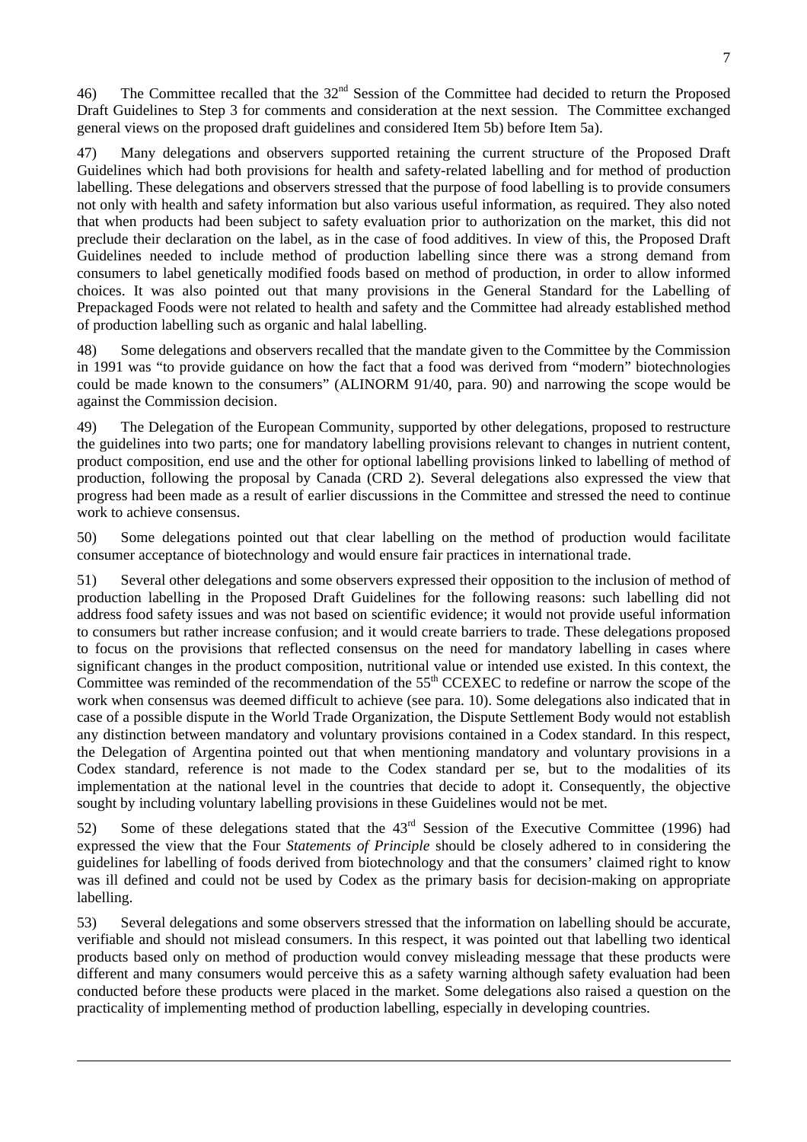46) The Committee recalled that the 32<sup>nd</sup> Session of the Committee had decided to return the Proposed Draft Guidelines to Step 3 for comments and consideration at the next session. The Committee exchanged general views on the proposed draft guidelines and considered Item 5b) before Item 5a).

47) Many delegations and observers supported retaining the current structure of the Proposed Draft Guidelines which had both provisions for health and safety-related labelling and for method of production labelling. These delegations and observers stressed that the purpose of food labelling is to provide consumers not only with health and safety information but also various useful information, as required. They also noted that when products had been subject to safety evaluation prior to authorization on the market, this did not preclude their declaration on the label, as in the case of food additives. In view of this, the Proposed Draft Guidelines needed to include method of production labelling since there was a strong demand from consumers to label genetically modified foods based on method of production, in order to allow informed choices. It was also pointed out that many provisions in the General Standard for the Labelling of Prepackaged Foods were not related to health and safety and the Committee had already established method of production labelling such as organic and halal labelling.

48) Some delegations and observers recalled that the mandate given to the Committee by the Commission in 1991 was "to provide guidance on how the fact that a food was derived from "modern" biotechnologies could be made known to the consumers" (ALINORM 91/40, para. 90) and narrowing the scope would be against the Commission decision.

49) The Delegation of the European Community, supported by other delegations, proposed to restructure the guidelines into two parts; one for mandatory labelling provisions relevant to changes in nutrient content, product composition, end use and the other for optional labelling provisions linked to labelling of method of production, following the proposal by Canada (CRD 2). Several delegations also expressed the view that progress had been made as a result of earlier discussions in the Committee and stressed the need to continue work to achieve consensus.

50) Some delegations pointed out that clear labelling on the method of production would facilitate consumer acceptance of biotechnology and would ensure fair practices in international trade.

51) Several other delegations and some observers expressed their opposition to the inclusion of method of production labelling in the Proposed Draft Guidelines for the following reasons: such labelling did not address food safety issues and was not based on scientific evidence; it would not provide useful information to consumers but rather increase confusion; and it would create barriers to trade. These delegations proposed to focus on the provisions that reflected consensus on the need for mandatory labelling in cases where significant changes in the product composition, nutritional value or intended use existed. In this context, the Committee was reminded of the recommendation of the  $55<sup>th</sup>$  CCEXEC to redefine or narrow the scope of the work when consensus was deemed difficult to achieve (see para. 10). Some delegations also indicated that in case of a possible dispute in the World Trade Organization, the Dispute Settlement Body would not establish any distinction between mandatory and voluntary provisions contained in a Codex standard. In this respect, the Delegation of Argentina pointed out that when mentioning mandatory and voluntary provisions in a Codex standard, reference is not made to the Codex standard per se, but to the modalities of its implementation at the national level in the countries that decide to adopt it. Consequently, the objective sought by including voluntary labelling provisions in these Guidelines would not be met.

52) Some of these delegations stated that the 43rd Session of the Executive Committee (1996) had expressed the view that the Four *Statements of Principle* should be closely adhered to in considering the guidelines for labelling of foods derived from biotechnology and that the consumers' claimed right to know was ill defined and could not be used by Codex as the primary basis for decision-making on appropriate labelling.

53) Several delegations and some observers stressed that the information on labelling should be accurate, verifiable and should not mislead consumers. In this respect, it was pointed out that labelling two identical products based only on method of production would convey misleading message that these products were different and many consumers would perceive this as a safety warning although safety evaluation had been conducted before these products were placed in the market. Some delegations also raised a question on the practicality of implementing method of production labelling, especially in developing countries.

 $\overline{a}$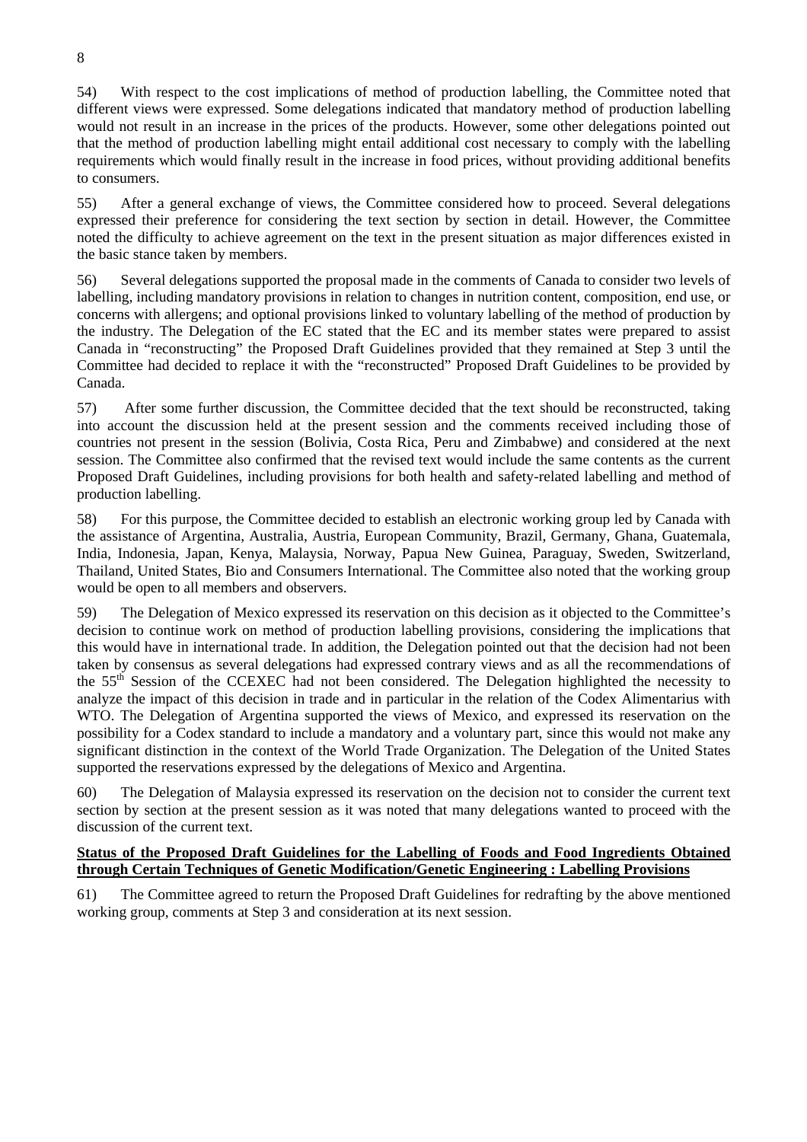54) With respect to the cost implications of method of production labelling, the Committee noted that different views were expressed. Some delegations indicated that mandatory method of production labelling would not result in an increase in the prices of the products. However, some other delegations pointed out that the method of production labelling might entail additional cost necessary to comply with the labelling requirements which would finally result in the increase in food prices, without providing additional benefits to consumers.

55) After a general exchange of views, the Committee considered how to proceed. Several delegations expressed their preference for considering the text section by section in detail. However, the Committee noted the difficulty to achieve agreement on the text in the present situation as major differences existed in the basic stance taken by members.

56) Several delegations supported the proposal made in the comments of Canada to consider two levels of labelling, including mandatory provisions in relation to changes in nutrition content, composition, end use, or concerns with allergens; and optional provisions linked to voluntary labelling of the method of production by the industry. The Delegation of the EC stated that the EC and its member states were prepared to assist Canada in "reconstructing" the Proposed Draft Guidelines provided that they remained at Step 3 until the Committee had decided to replace it with the "reconstructed" Proposed Draft Guidelines to be provided by Canada.

57) After some further discussion, the Committee decided that the text should be reconstructed, taking into account the discussion held at the present session and the comments received including those of countries not present in the session (Bolivia, Costa Rica, Peru and Zimbabwe) and considered at the next session. The Committee also confirmed that the revised text would include the same contents as the current Proposed Draft Guidelines, including provisions for both health and safety-related labelling and method of production labelling.

58) For this purpose, the Committee decided to establish an electronic working group led by Canada with the assistance of Argentina, Australia, Austria, European Community, Brazil, Germany, Ghana, Guatemala, India, Indonesia, Japan, Kenya, Malaysia, Norway, Papua New Guinea, Paraguay, Sweden, Switzerland, Thailand, United States, Bio and Consumers International. The Committee also noted that the working group would be open to all members and observers.

59) The Delegation of Mexico expressed its reservation on this decision as it objected to the Committee's decision to continue work on method of production labelling provisions, considering the implications that this would have in international trade. In addition, the Delegation pointed out that the decision had not been taken by consensus as several delegations had expressed contrary views and as all the recommendations of the 55<sup>th</sup> Session of the CCEXEC had not been considered. The Delegation highlighted the necessity to analyze the impact of this decision in trade and in particular in the relation of the Codex Alimentarius with WTO. The Delegation of Argentina supported the views of Mexico, and expressed its reservation on the possibility for a Codex standard to include a mandatory and a voluntary part, since this would not make any significant distinction in the context of the World Trade Organization. The Delegation of the United States supported the reservations expressed by the delegations of Mexico and Argentina.

60) The Delegation of Malaysia expressed its reservation on the decision not to consider the current text section by section at the present session as it was noted that many delegations wanted to proceed with the discussion of the current text.

## **Status of the Proposed Draft Guidelines for the Labelling of Foods and Food Ingredients Obtained through Certain Techniques of Genetic Modification/Genetic Engineering : Labelling Provisions**

61) The Committee agreed to return the Proposed Draft Guidelines for redrafting by the above mentioned working group, comments at Step 3 and consideration at its next session.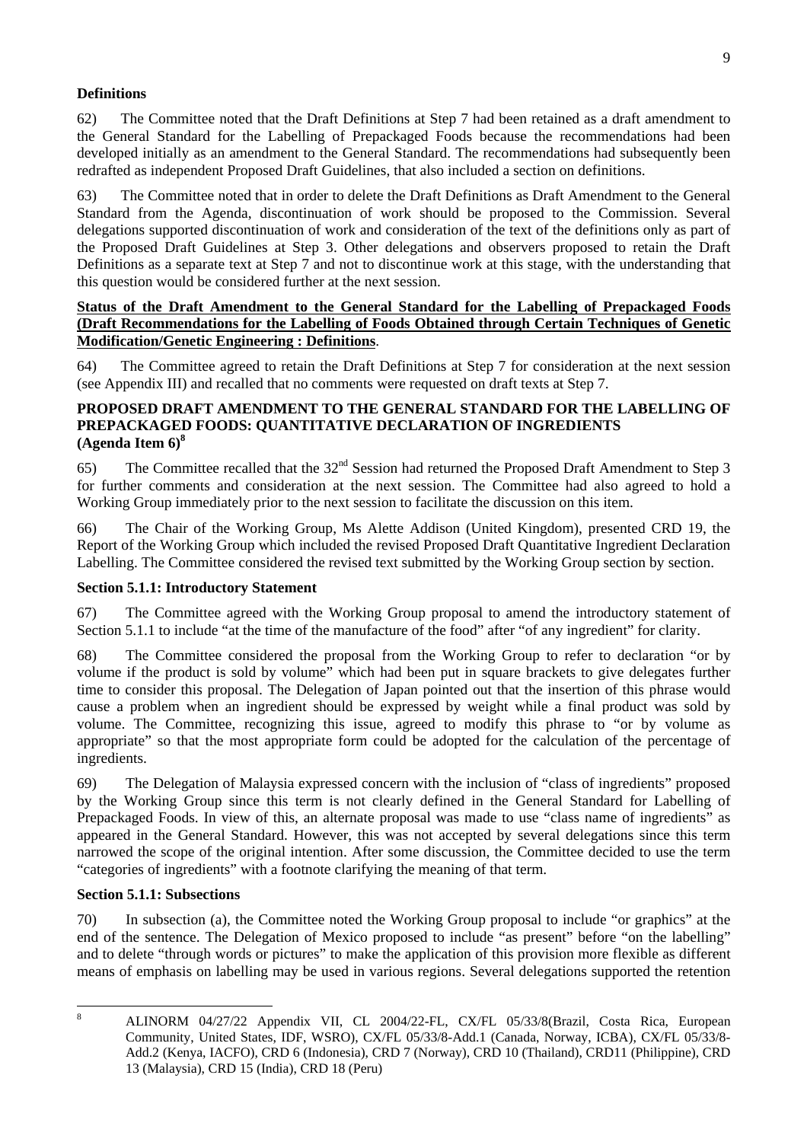## **Definitions**

62) The Committee noted that the Draft Definitions at Step 7 had been retained as a draft amendment to the General Standard for the Labelling of Prepackaged Foods because the recommendations had been developed initially as an amendment to the General Standard. The recommendations had subsequently been redrafted as independent Proposed Draft Guidelines, that also included a section on definitions.

63) The Committee noted that in order to delete the Draft Definitions as Draft Amendment to the General Standard from the Agenda, discontinuation of work should be proposed to the Commission. Several delegations supported discontinuation of work and consideration of the text of the definitions only as part of the Proposed Draft Guidelines at Step 3. Other delegations and observers proposed to retain the Draft Definitions as a separate text at Step 7 and not to discontinue work at this stage, with the understanding that this question would be considered further at the next session.

## **Status of the Draft Amendment to the General Standard for the Labelling of Prepackaged Foods (Draft Recommendations for the Labelling of Foods Obtained through Certain Techniques of Genetic Modification/Genetic Engineering : Definitions**.

64) The Committee agreed to retain the Draft Definitions at Step 7 for consideration at the next session (see Appendix III) and recalled that no comments were requested on draft texts at Step 7.

## **PROPOSED DRAFT AMENDMENT TO THE GENERAL STANDARD FOR THE LABELLING OF PREPACKAGED FOODS: QUANTITATIVE DECLARATION OF INGREDIENTS (Agenda Item 6)[8](#page-13-0)**

65) The Committee recalled that the  $32<sup>nd</sup>$  Session had returned the Proposed Draft Amendment to Step 3 for further comments and consideration at the next session. The Committee had also agreed to hold a Working Group immediately prior to the next session to facilitate the discussion on this item.

66) The Chair of the Working Group, Ms Alette Addison (United Kingdom), presented CRD 19, the Report of the Working Group which included the revised Proposed Draft Quantitative Ingredient Declaration Labelling. The Committee considered the revised text submitted by the Working Group section by section.

## **Section 5.1.1: Introductory Statement**

67) The Committee agreed with the Working Group proposal to amend the introductory statement of Section 5.1.1 to include "at the time of the manufacture of the food" after "of any ingredient" for clarity.

68) The Committee considered the proposal from the Working Group to refer to declaration "or by volume if the product is sold by volume" which had been put in square brackets to give delegates further time to consider this proposal. The Delegation of Japan pointed out that the insertion of this phrase would cause a problem when an ingredient should be expressed by weight while a final product was sold by volume. The Committee, recognizing this issue, agreed to modify this phrase to "or by volume as appropriate" so that the most appropriate form could be adopted for the calculation of the percentage of ingredients.

69) The Delegation of Malaysia expressed concern with the inclusion of "class of ingredients" proposed by the Working Group since this term is not clearly defined in the General Standard for Labelling of Prepackaged Foods. In view of this, an alternate proposal was made to use "class name of ingredients" as appeared in the General Standard. However, this was not accepted by several delegations since this term narrowed the scope of the original intention. After some discussion, the Committee decided to use the term "categories of ingredients" with a footnote clarifying the meaning of that term.

## **Section 5.1.1: Subsections**

70) In subsection (a), the Committee noted the Working Group proposal to include "or graphics" at the end of the sentence. The Delegation of Mexico proposed to include "as present" before "on the labelling" and to delete "through words or pictures" to make the application of this provision more flexible as different means of emphasis on labelling may be used in various regions. Several delegations supported the retention

<span id="page-13-0"></span>8

ALINORM 04/27/22 Appendix VII, CL 2004/22-FL, CX/FL 05/33/8(Brazil, Costa Rica, European Community, United States, IDF, WSRO), CX/FL 05/33/8-Add.1 (Canada, Norway, ICBA), CX/FL 05/33/8- Add.2 (Kenya, IACFO), CRD 6 (Indonesia), CRD 7 (Norway), CRD 10 (Thailand), CRD11 (Philippine), CRD 13 (Malaysia), CRD 15 (India), CRD 18 (Peru)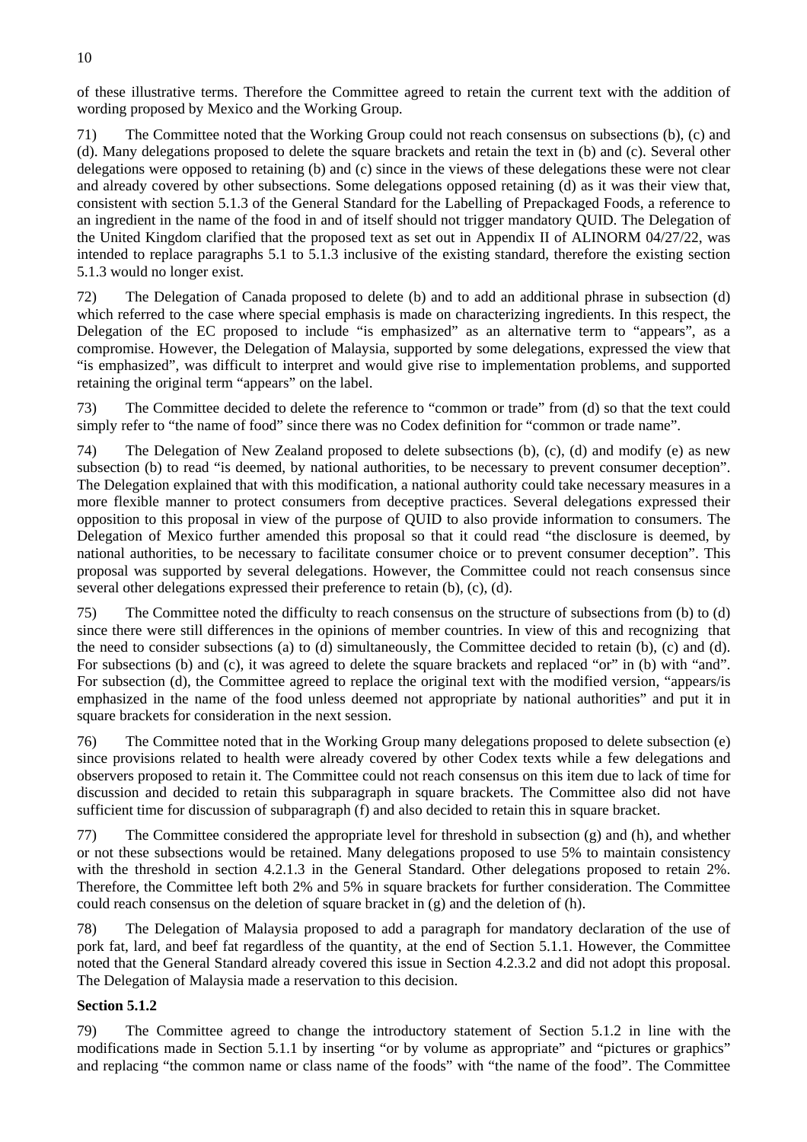of these illustrative terms. Therefore the Committee agreed to retain the current text with the addition of wording proposed by Mexico and the Working Group.

71) The Committee noted that the Working Group could not reach consensus on subsections (b), (c) and (d). Many delegations proposed to delete the square brackets and retain the text in (b) and (c). Several other delegations were opposed to retaining (b) and (c) since in the views of these delegations these were not clear and already covered by other subsections. Some delegations opposed retaining (d) as it was their view that, consistent with section 5.1.3 of the General Standard for the Labelling of Prepackaged Foods, a reference to an ingredient in the name of the food in and of itself should not trigger mandatory QUID. The Delegation of the United Kingdom clarified that the proposed text as set out in Appendix II of ALINORM 04/27/22, was intended to replace paragraphs 5.1 to 5.1.3 inclusive of the existing standard, therefore the existing section 5.1.3 would no longer exist.

72) The Delegation of Canada proposed to delete (b) and to add an additional phrase in subsection (d) which referred to the case where special emphasis is made on characterizing ingredients. In this respect, the Delegation of the EC proposed to include "is emphasized" as an alternative term to "appears", as a compromise. However, the Delegation of Malaysia, supported by some delegations, expressed the view that "is emphasized", was difficult to interpret and would give rise to implementation problems, and supported retaining the original term "appears" on the label.

73) The Committee decided to delete the reference to "common or trade" from (d) so that the text could simply refer to "the name of food" since there was no Codex definition for "common or trade name".

74) The Delegation of New Zealand proposed to delete subsections (b), (c), (d) and modify (e) as new subsection (b) to read "is deemed, by national authorities, to be necessary to prevent consumer deception". The Delegation explained that with this modification, a national authority could take necessary measures in a more flexible manner to protect consumers from deceptive practices. Several delegations expressed their opposition to this proposal in view of the purpose of QUID to also provide information to consumers. The Delegation of Mexico further amended this proposal so that it could read "the disclosure is deemed, by national authorities, to be necessary to facilitate consumer choice or to prevent consumer deception". This proposal was supported by several delegations. However, the Committee could not reach consensus since several other delegations expressed their preference to retain (b), (c), (d).

75) The Committee noted the difficulty to reach consensus on the structure of subsections from (b) to (d) since there were still differences in the opinions of member countries. In view of this and recognizing that the need to consider subsections (a) to (d) simultaneously, the Committee decided to retain (b), (c) and (d). For subsections (b) and (c), it was agreed to delete the square brackets and replaced "or" in (b) with "and". For subsection (d), the Committee agreed to replace the original text with the modified version, "appears/is emphasized in the name of the food unless deemed not appropriate by national authorities" and put it in square brackets for consideration in the next session.

76) The Committee noted that in the Working Group many delegations proposed to delete subsection (e) since provisions related to health were already covered by other Codex texts while a few delegations and observers proposed to retain it. The Committee could not reach consensus on this item due to lack of time for discussion and decided to retain this subparagraph in square brackets. The Committee also did not have sufficient time for discussion of subparagraph (f) and also decided to retain this in square bracket.

77) The Committee considered the appropriate level for threshold in subsection (g) and (h), and whether or not these subsections would be retained. Many delegations proposed to use 5% to maintain consistency with the threshold in section 4.2.1.3 in the General Standard. Other delegations proposed to retain 2%. Therefore, the Committee left both 2% and 5% in square brackets for further consideration. The Committee could reach consensus on the deletion of square bracket in (g) and the deletion of (h).

78) The Delegation of Malaysia proposed to add a paragraph for mandatory declaration of the use of pork fat, lard, and beef fat regardless of the quantity, at the end of Section 5.1.1. However, the Committee noted that the General Standard already covered this issue in Section 4.2.3.2 and did not adopt this proposal. The Delegation of Malaysia made a reservation to this decision.

## **Section 5.1.2**

79) The Committee agreed to change the introductory statement of Section 5.1.2 in line with the modifications made in Section 5.1.1 by inserting "or by volume as appropriate" and "pictures or graphics" and replacing "the common name or class name of the foods" with "the name of the food". The Committee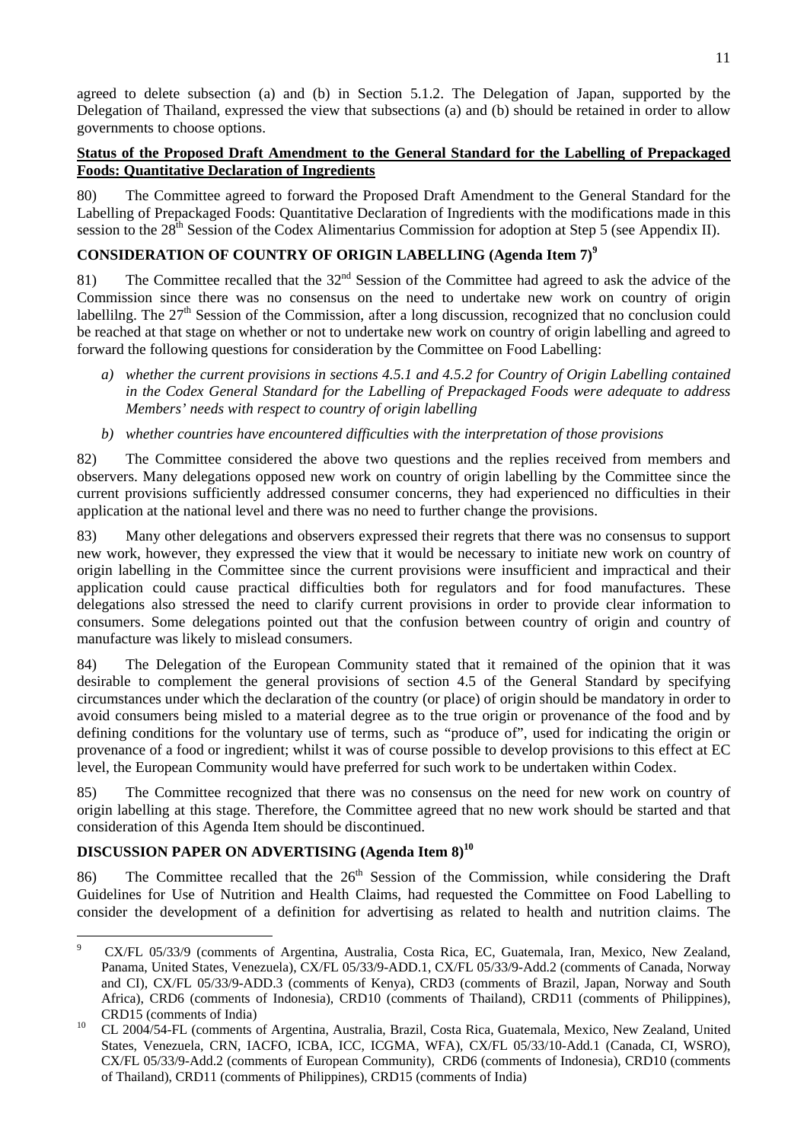agreed to delete subsection (a) and (b) in Section 5.1.2. The Delegation of Japan, supported by the Delegation of Thailand, expressed the view that subsections (a) and (b) should be retained in order to allow governments to choose options.

## **Status of the Proposed Draft Amendment to the General Standard for the Labelling of Prepackaged Foods: Quantitative Declaration of Ingredients**

80) The Committee agreed to forward the Proposed Draft Amendment to the General Standard for the Labelling of Prepackaged Foods: Quantitative Declaration of Ingredients with the modifications made in this session to the 28<sup>th</sup> Session of the Codex Alimentarius Commission for adoption at Step 5 (see Appendix II).

## **CONSIDERATION OF COUNTRY OF ORIGIN LABELLING (Agenda Item 7)[9](#page-15-0)**

81) The Committee recalled that the 32<sup>nd</sup> Session of the Committee had agreed to ask the advice of the Commission since there was no consensus on the need to undertake new work on country of origin labellilng. The  $27<sup>th</sup>$  Session of the Commission, after a long discussion, recognized that no conclusion could be reached at that stage on whether or not to undertake new work on country of origin labelling and agreed to forward the following questions for consideration by the Committee on Food Labelling:

- *a) whether the current provisions in sections 4.5.1 and 4.5.2 for Country of Origin Labelling contained in the Codex General Standard for the Labelling of Prepackaged Foods were adequate to address Members' needs with respect to country of origin labelling*
- *b) whether countries have encountered difficulties with the interpretation of those provisions*

82) The Committee considered the above two questions and the replies received from members and observers. Many delegations opposed new work on country of origin labelling by the Committee since the current provisions sufficiently addressed consumer concerns, they had experienced no difficulties in their application at the national level and there was no need to further change the provisions.

83) Many other delegations and observers expressed their regrets that there was no consensus to support new work, however, they expressed the view that it would be necessary to initiate new work on country of origin labelling in the Committee since the current provisions were insufficient and impractical and their application could cause practical difficulties both for regulators and for food manufactures. These delegations also stressed the need to clarify current provisions in order to provide clear information to consumers. Some delegations pointed out that the confusion between country of origin and country of manufacture was likely to mislead consumers.

84) The Delegation of the European Community stated that it remained of the opinion that it was desirable to complement the general provisions of section 4.5 of the General Standard by specifying circumstances under which the declaration of the country (or place) of origin should be mandatory in order to avoid consumers being misled to a material degree as to the true origin or provenance of the food and by defining conditions for the voluntary use of terms, such as "produce of", used for indicating the origin or provenance of a food or ingredient; whilst it was of course possible to develop provisions to this effect at EC level, the European Community would have preferred for such work to be undertaken within Codex.

85) The Committee recognized that there was no consensus on the need for new work on country of origin labelling at this stage. Therefore, the Committee agreed that no new work should be started and that consideration of this Agenda Item should be discontinued.

## **DISCUSSION PAPER ON ADVERTISING (Agenda Item 8)[10](#page-15-1)**

86) The Committee recalled that the  $26<sup>th</sup>$  Session of the Commission, while considering the Draft Guidelines for Use of Nutrition and Health Claims, had requested the Committee on Food Labelling to consider the development of a definition for advertising as related to health and nutrition claims. The

<span id="page-15-0"></span><sup>-&</sup>lt;br>9 CX/FL 05/33/9 (comments of Argentina, Australia, Costa Rica, EC, Guatemala, Iran, Mexico, New Zealand, Panama, United States, Venezuela), CX/FL 05/33/9-ADD.1, CX/FL 05/33/9-Add.2 (comments of Canada, Norway and CI), CX/FL 05/33/9-ADD.3 (comments of Kenya), CRD3 (comments of Brazil, Japan, Norway and South Africa), CRD6 (comments of Indonesia), CRD10 (comments of Thailand), CRD11 (comments of Philippines),

<span id="page-15-1"></span>CRD15 (comments of India) 10 CL 2004/54-FL (comments of Argentina, Australia, Brazil, Costa Rica, Guatemala, Mexico, New Zealand, United States, Venezuela, CRN, IACFO, ICBA, ICC, ICGMA, WFA), CX/FL 05/33/10-Add.1 (Canada, CI, WSRO), CX/FL 05/33/9-Add.2 (comments of European Community), CRD6 (comments of Indonesia), CRD10 (comments of Thailand), CRD11 (comments of Philippines), CRD15 (comments of India)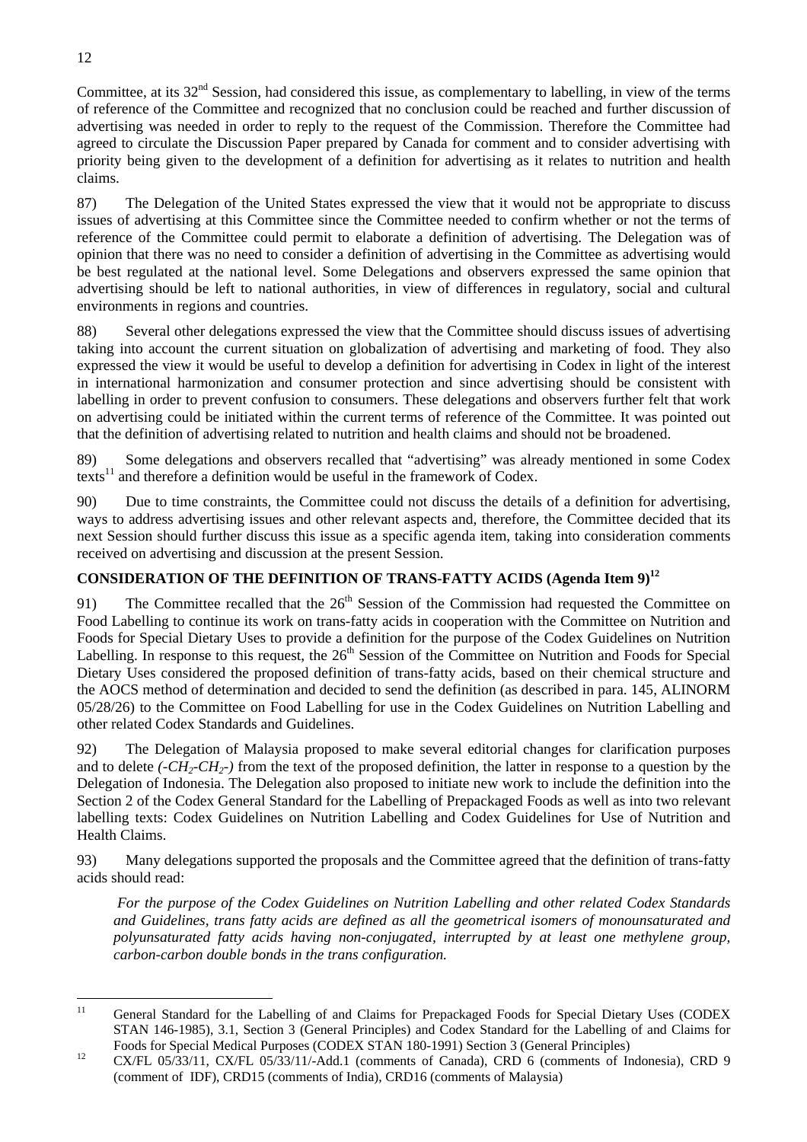Committee, at its  $32<sup>nd</sup>$  Session, had considered this issue, as complementary to labelling, in view of the terms of reference of the Committee and recognized that no conclusion could be reached and further discussion of advertising was needed in order to reply to the request of the Commission. Therefore the Committee had agreed to circulate the Discussion Paper prepared by Canada for comment and to consider advertising with priority being given to the development of a definition for advertising as it relates to nutrition and health claims.

87) The Delegation of the United States expressed the view that it would not be appropriate to discuss issues of advertising at this Committee since the Committee needed to confirm whether or not the terms of reference of the Committee could permit to elaborate a definition of advertising. The Delegation was of opinion that there was no need to consider a definition of advertising in the Committee as advertising would be best regulated at the national level. Some Delegations and observers expressed the same opinion that advertising should be left to national authorities, in view of differences in regulatory, social and cultural environments in regions and countries.

88) Several other delegations expressed the view that the Committee should discuss issues of advertising taking into account the current situation on globalization of advertising and marketing of food. They also expressed the view it would be useful to develop a definition for advertising in Codex in light of the interest in international harmonization and consumer protection and since advertising should be consistent with labelling in order to prevent confusion to consumers. These delegations and observers further felt that work on advertising could be initiated within the current terms of reference of the Committee. It was pointed out that the definition of advertising related to nutrition and health claims and should not be broadened.

89) Some delegations and observers recalled that "advertising" was already mentioned in some Codex texts<sup>11</sup> and therefore a definition would be useful in the framework of Codex.

90) Due to time constraints, the Committee could not discuss the details of a definition for advertising, ways to address advertising issues and other relevant aspects and, therefore, the Committee decided that its next Session should further discuss this issue as a specific agenda item, taking into consideration comments received on advertising and discussion at the present Session.

# **CONSIDERATION OF THE DEFINITION OF TRANS-FATTY ACIDS (Agenda Item 9)[12](#page-16-1)**

91) The Committee recalled that the  $26<sup>th</sup>$  Session of the Commission had requested the Committee on Food Labelling to continue its work on trans-fatty acids in cooperation with the Committee on Nutrition and Foods for Special Dietary Uses to provide a definition for the purpose of the Codex Guidelines on Nutrition Labelling. In response to this request, the 26<sup>th</sup> Session of the Committee on Nutrition and Foods for Special Dietary Uses considered the proposed definition of trans-fatty acids, based on their chemical structure and the AOCS method of determination and decided to send the definition (as described in para. 145, ALINORM 05/28/26) to the Committee on Food Labelling for use in the Codex Guidelines on Nutrition Labelling and other related Codex Standards and Guidelines.

92) The Delegation of Malaysia proposed to make several editorial changes for clarification purposes and to delete  $(-CH_2-CH_2)$  from the text of the proposed definition, the latter in response to a question by the Delegation of Indonesia. The Delegation also proposed to initiate new work to include the definition into the Section 2 of the Codex General Standard for the Labelling of Prepackaged Foods as well as into two relevant labelling texts: Codex Guidelines on Nutrition Labelling and Codex Guidelines for Use of Nutrition and Health Claims.

93) Many delegations supported the proposals and the Committee agreed that the definition of trans-fatty acids should read:

*For the purpose of the Codex Guidelines on Nutrition Labelling and other related Codex Standards and Guidelines, trans fatty acids are defined as all the geometrical isomers of monounsaturated and polyunsaturated fatty acids having non-conjugated, interrupted by at least one methylene group, carbon-carbon double bonds in the trans configuration.* 

<span id="page-16-0"></span> $11$ 11 General Standard for the Labelling of and Claims for Prepackaged Foods for Special Dietary Uses (CODEX STAN 146-1985), 3.1, Section 3 (General Principles) and Codex Standard for the Labelling of and Claims for Foods for Special Medical Purposes (CODEX STAN 180-1991) Section 3 (General Principles) 12 CX/FL 05/33/11, CX/FL 05/33/11/-Add.1 (comments of Canada), CRD 6 (comments of Indonesia), CRD 9

<span id="page-16-1"></span><sup>(</sup>comment of IDF), CRD15 (comments of India), CRD16 (comments of Malaysia)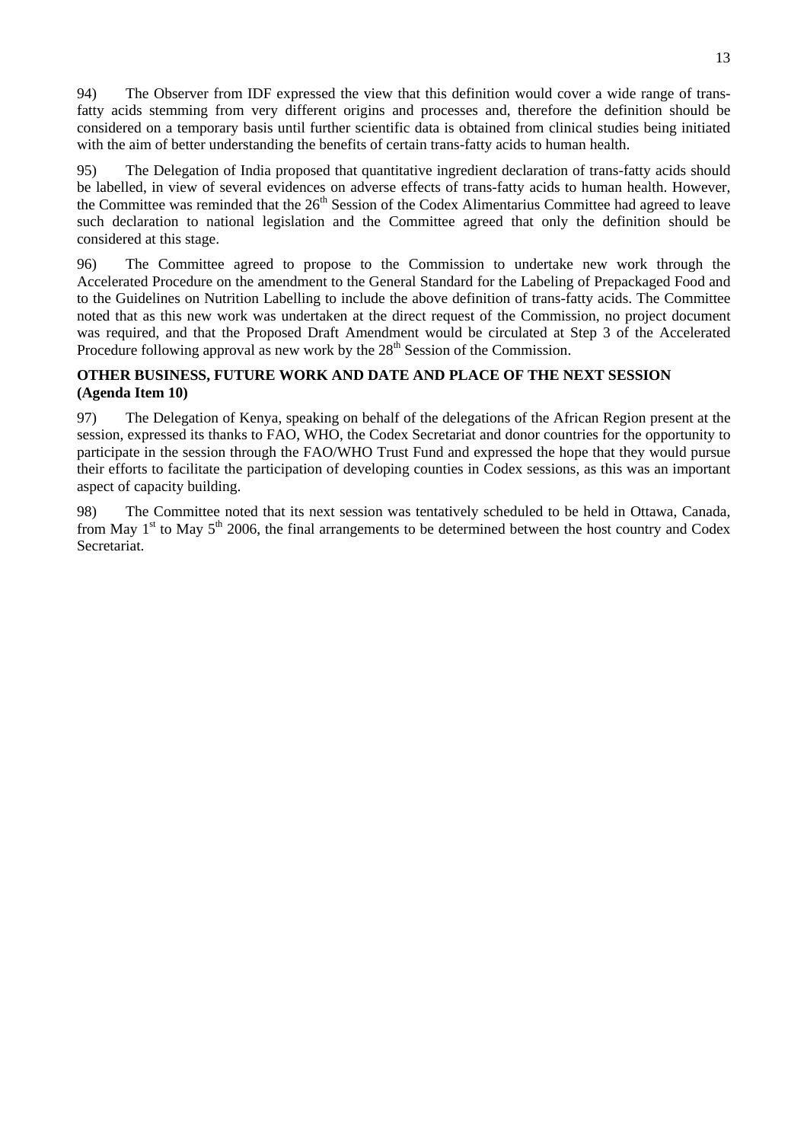94) The Observer from IDF expressed the view that this definition would cover a wide range of transfatty acids stemming from very different origins and processes and, therefore the definition should be considered on a temporary basis until further scientific data is obtained from clinical studies being initiated with the aim of better understanding the benefits of certain trans-fatty acids to human health.

95) The Delegation of India proposed that quantitative ingredient declaration of trans-fatty acids should be labelled, in view of several evidences on adverse effects of trans-fatty acids to human health. However, the Committee was reminded that the 26<sup>th</sup> Session of the Codex Alimentarius Committee had agreed to leave such declaration to national legislation and the Committee agreed that only the definition should be considered at this stage.

96) The Committee agreed to propose to the Commission to undertake new work through the Accelerated Procedure on the amendment to the General Standard for the Labeling of Prepackaged Food and to the Guidelines on Nutrition Labelling to include the above definition of trans-fatty acids. The Committee noted that as this new work was undertaken at the direct request of the Commission, no project document was required, and that the Proposed Draft Amendment would be circulated at Step 3 of the Accelerated Procedure following approval as new work by the  $28<sup>th</sup>$  Session of the Commission.

## **OTHER BUSINESS, FUTURE WORK AND DATE AND PLACE OF THE NEXT SESSION (Agenda Item 10)**

97) The Delegation of Kenya, speaking on behalf of the delegations of the African Region present at the session, expressed its thanks to FAO, WHO, the Codex Secretariat and donor countries for the opportunity to participate in the session through the FAO/WHO Trust Fund and expressed the hope that they would pursue their efforts to facilitate the participation of developing counties in Codex sessions, as this was an important aspect of capacity building.

98) The Committee noted that its next session was tentatively scheduled to be held in Ottawa, Canada, from May  $1<sup>st</sup>$  to May  $5<sup>th</sup>$  2006, the final arrangements to be determined between the host country and Codex **Secretariat**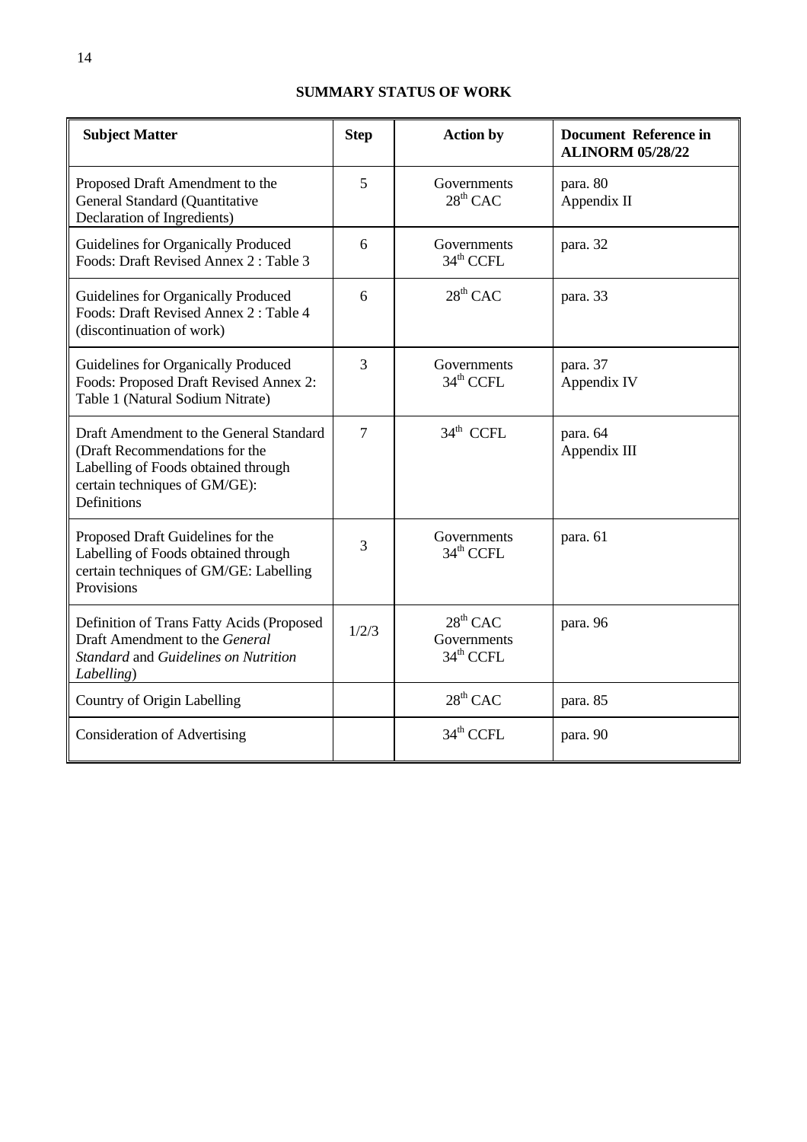# **SUMMARY STATUS OF WORK**

| <b>Subject Matter</b>                                                                                                                                                   | <b>Step</b>    | <b>Action by</b>                                             | <b>Document Reference in</b><br><b>ALINORM 05/28/22</b> |
|-------------------------------------------------------------------------------------------------------------------------------------------------------------------------|----------------|--------------------------------------------------------------|---------------------------------------------------------|
| Proposed Draft Amendment to the<br>General Standard (Quantitative<br>Declaration of Ingredients)                                                                        | 5              | Governments<br>$28^{th}$ CAC                                 | para. 80<br>Appendix II                                 |
| Guidelines for Organically Produced<br>Foods: Draft Revised Annex 2: Table 3                                                                                            | 6              | Governments<br>34 <sup>th</sup> CCFL                         | para. 32                                                |
| Guidelines for Organically Produced<br>Foods: Draft Revised Annex 2: Table 4<br>(discontinuation of work)                                                               | 6              | $28^{th}$ CAC                                                | para. 33                                                |
| Guidelines for Organically Produced<br>Foods: Proposed Draft Revised Annex 2:<br>Table 1 (Natural Sodium Nitrate)                                                       | 3              | Governments<br>$34th$ CCFL                                   | para. 37<br>Appendix IV                                 |
| Draft Amendment to the General Standard<br>(Draft Recommendations for the<br>Labelling of Foods obtained through<br>certain techniques of GM/GE):<br><b>Definitions</b> | $\overline{7}$ | 34 <sup>th</sup> CCFL                                        | para. 64<br>Appendix III                                |
| Proposed Draft Guidelines for the<br>Labelling of Foods obtained through<br>certain techniques of GM/GE: Labelling<br>Provisions                                        | 3              | Governments<br>34 <sup>th</sup> CCFL                         | para. 61                                                |
| Definition of Trans Fatty Acids (Proposed<br>Draft Amendment to the General<br>Standard and Guidelines on Nutrition<br>Labelling)                                       | 1/2/3          | 28 <sup>th</sup> CAC<br>Governments<br>34 <sup>th</sup> CCFL | para. 96                                                |
| Country of Origin Labelling                                                                                                                                             |                | $28th$ CAC                                                   | para. 85                                                |
| <b>Consideration of Advertising</b>                                                                                                                                     |                | 34 <sup>th</sup> CCFL                                        | para. 90                                                |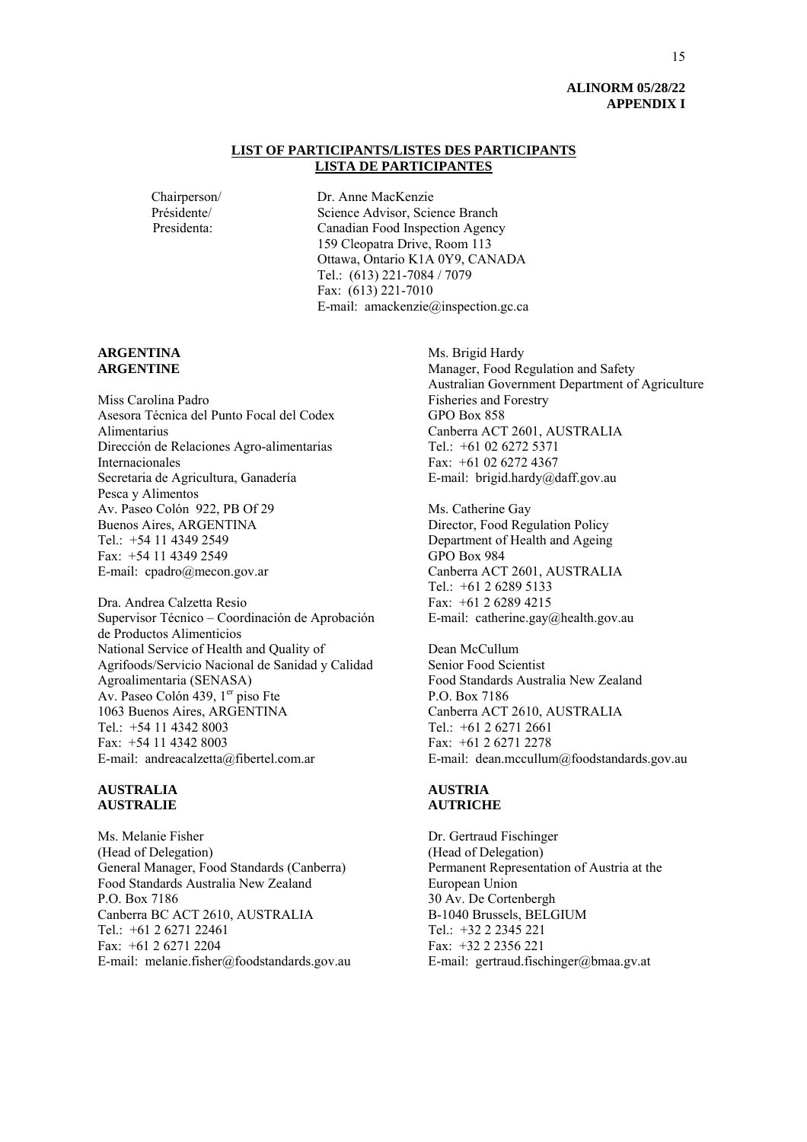#### **ALINORM 05/28/22 APPENDIX I**

#### **LIST OF PARTICIPANTS/LISTES DES PARTICIPANTS LISTA DE PARTICIPANTES**

Chairperson/ Dr. Anne MacKenzie Présidente/ Science Advisor, Science Branch Presidenta: Canadian Food Inspection Agency 159 Cleopatra Drive, Room 113 Ottawa, Ontario K1A 0Y9, CANADA Tel.: (613) 221-7084 / 7079 Fax: (613) 221-7010 E-mail: amackenzie@inspection.gc.ca

#### **ARGENTINA ARGENTINE**

Miss Carolina Padro Asesora Técnica del Punto Focal del Codex Alimentarius Dirección de Relaciones Agro-alimentarias Internacionales Secretaria de Agricultura, Ganadería Pesca y Alimentos Av. Paseo Colón 922, PB Of 29 Buenos Aires, ARGENTINA Tel.: +54 11 4349 2549 Fax: +54 11 4349 2549 E-mail: cpadro@mecon.gov.ar

Dra. Andrea Calzetta Resio Supervisor Técnico – Coordinación de Aprobación de Productos Alimenticios National Service of Health and Quality of Agrifoods/Servicio Nacional de Sanidad y Calidad Agroalimentaria (SENASA) Av. Paseo Colón 439, 1<sup>er</sup> piso Fte 1063 Buenos Aires, ARGENTINA Tel.: +54 11 4342 8003 Fax: +54 11 4342 8003 E-mail: andreacalzetta@fibertel.com.ar

#### **AUSTRALIA AUSTRALIE**

Ms. Melanie Fisher (Head of Delegation) General Manager, Food Standards (Canberra) Food Standards Australia New Zealand P.O. Box 7186 Canberra BC ACT 2610, AUSTRALIA Tel.: +61 2 6271 22461  $Fax + 61 2 6271 2204$ E-mail: melanie.fisher@foodstandards.gov.au Ms. Brigid Hardy Manager, Food Regulation and Safety Australian Government Department of Agriculture Fisheries and Forestry GPO Box 858 Canberra ACT 2601, AUSTRALIA Tel.: +61 02 6272 5371 Fax: +61 02 6272 4367 E-mail: brigid.hardy@daff.gov.au

Ms. Catherine Gay Director, Food Regulation Policy Department of Health and Ageing GPO Box 984 Canberra ACT 2601, AUSTRALIA Tel.: +61 2 6289 5133 Fax: +61 2 6289 4215 E-mail: catherine.gay@health.gov.au

Dean McCullum Senior Food Scientist Food Standards Australia New Zealand P.O. Box 7186 Canberra ACT 2610, AUSTRALIA Tel.: +61 2 6271 2661 Fax: +61 2 6271 2278 E-mail: dean.mccullum@foodstandards.gov.au

#### **AUSTRIA AUTRICHE**

Dr. Gertraud Fischinger (Head of Delegation) Permanent Representation of Austria at the European Union 30 Av. De Cortenbergh B-1040 Brussels, BELGIUM Tel.: +32 2 2345 221 Fax: +32 2 2356 221 E-mail: gertraud.fischinger@bmaa.gv.at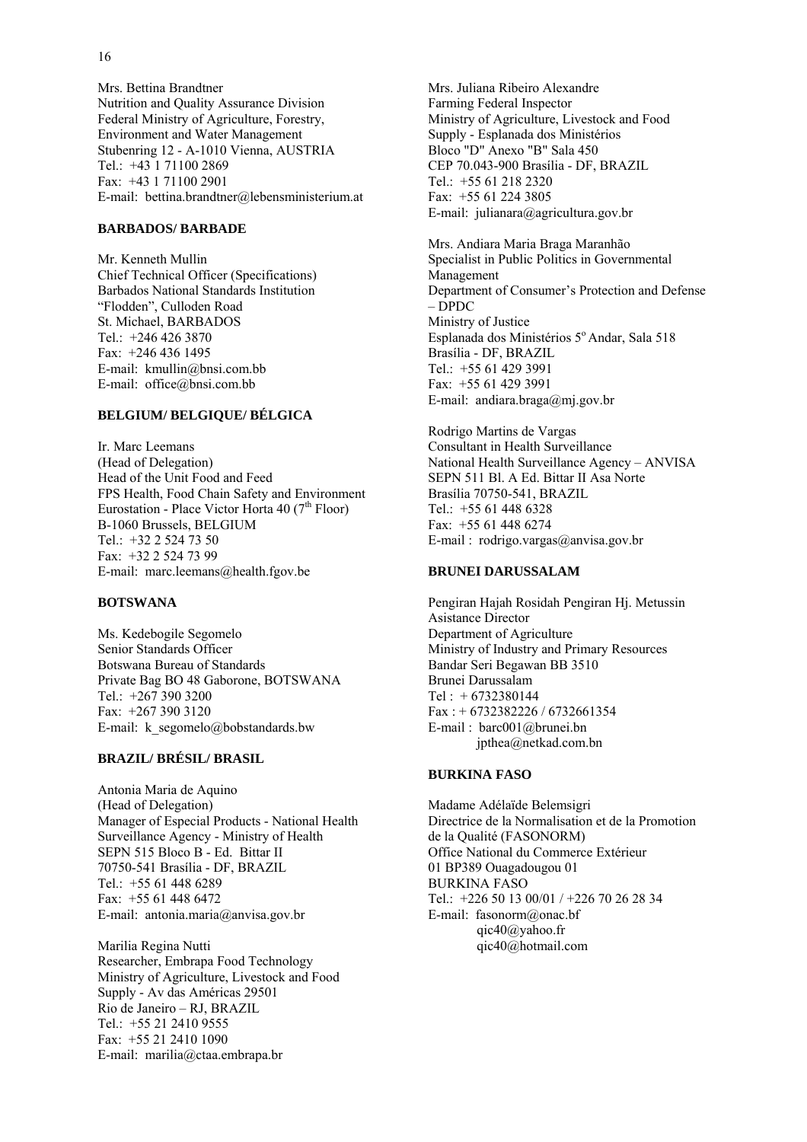Mrs. Bettina Brandtner Nutrition and Quality Assurance Division Federal Ministry of Agriculture, Forestry, Environment and Water Management Stubenring 12 - A-1010 Vienna, AUSTRIA Tel.: +43 1 71100 2869 Fax: +43 1 71100 2901 E-mail: bettina.brandtner@lebensministerium.at

#### **BARBADOS/ BARBADE**

Mr. Kenneth Mullin Chief Technical Officer (Specifications) Barbados National Standards Institution "Flodden", Culloden Road St. Michael, BARBADOS Tel.: +246 426 3870 Fax: +246 436 1495 E-mail: kmullin@bnsi.com.bb E-mail: office@bnsi.com.bb

#### **BELGIUM/ BELGIQUE/ BÉLGICA**

Ir. Marc Leemans (Head of Delegation) Head of the Unit Food and Feed FPS Health, Food Chain Safety and Environment Eurostation - Place Victor Horta 40 (7<sup>th</sup> Floor) B-1060 Brussels, BELGIUM Tel.: +32 2 524 73 50 Fax: +32 2 524 73 99 E-mail: marc.leemans@health.fgov.be

#### **BOTSWANA**

Ms. Kedebogile Segomelo Senior Standards Officer Botswana Bureau of Standards Private Bag BO 48 Gaborone, BOTSWANA Tel.: +267 390 3200 Fax: +267 390 3120 E-mail: k\_segomelo@bobstandards.bw

#### **BRAZIL/ BRÉSIL/ BRASIL**

Antonia Maria de Aquino (Head of Delegation) Manager of Especial Products - National Health Surveillance Agency - Ministry of Health SEPN 515 Bloco B - Ed. Bittar II 70750-541 Brasília - DF, BRAZIL Tel.: +55 61 448 6289 Fax: +55 61 448 6472 E-mail: antonia.maria@anvisa.gov.br

Marilia Regina Nutti Researcher, Embrapa Food Technology Ministry of Agriculture, Livestock and Food Supply - Av das Américas 29501 Rio de Janeiro – RJ, BRAZIL Tel.: +55 21 2410 9555 Fax: +55 21 2410 1090 E-mail: marilia@ctaa.embrapa.br

Mrs. Juliana Ribeiro Alexandre Farming Federal Inspector Ministry of Agriculture, Livestock and Food Supply - Esplanada dos Ministérios Bloco "D" Anexo "B" Sala 450 CEP 70.043-900 Brasília - DF, BRAZIL Tel.: +55 61 218 2320 Fax: +55 61 224 3805 E-mail: julianara@agricultura.gov.br

Mrs. Andiara Maria Braga Maranhão Specialist in Public Politics in Governmental Management Department of Consumer's Protection and Defense – DPDC Ministry of Justice Esplanada dos Ministérios 5º Andar, Sala 518 Brasília - DF, BRAZIL Tel.: +55 61 429 3991 Fax: +55 61 429 3991 E-mail: andiara.braga@mj.gov.br

Rodrigo Martins de Vargas Consultant in Health Surveillance National Health Surveillance Agency – ANVISA SEPN 511 Bl. A Ed. Bittar II Asa Norte Brasília 70750-541, BRAZIL Tel.: +55 61 448 6328 Fax: +55 61 448 6274 E-mail : rodrigo.vargas@anvisa.gov.br

#### **BRUNEI DARUSSALAM**

Pengiran Hajah Rosidah Pengiran Hj. Metussin Asistance Director Department of Agriculture Ministry of Industry and Primary Resources Bandar Seri Begawan BB 3510 Brunei Darussalam  $Tel: +6732380144$ Fax : + 6732382226 / 6732661354 E-mail : barc001@brunei.bn jpthea@netkad.com.bn

#### **BURKINA FASO**

Madame Adélaïde Belemsigri Directrice de la Normalisation et de la Promotion de la Qualité (FASONORM) Office National du Commerce Extérieur 01 BP389 Ouagadougou 01 BURKINA FASO Tel.: +226 50 13 00/01 / +226 70 26 28 34 E-mail: fasonorm@onac.bf qic40@yahoo.fr qic40@hotmail.com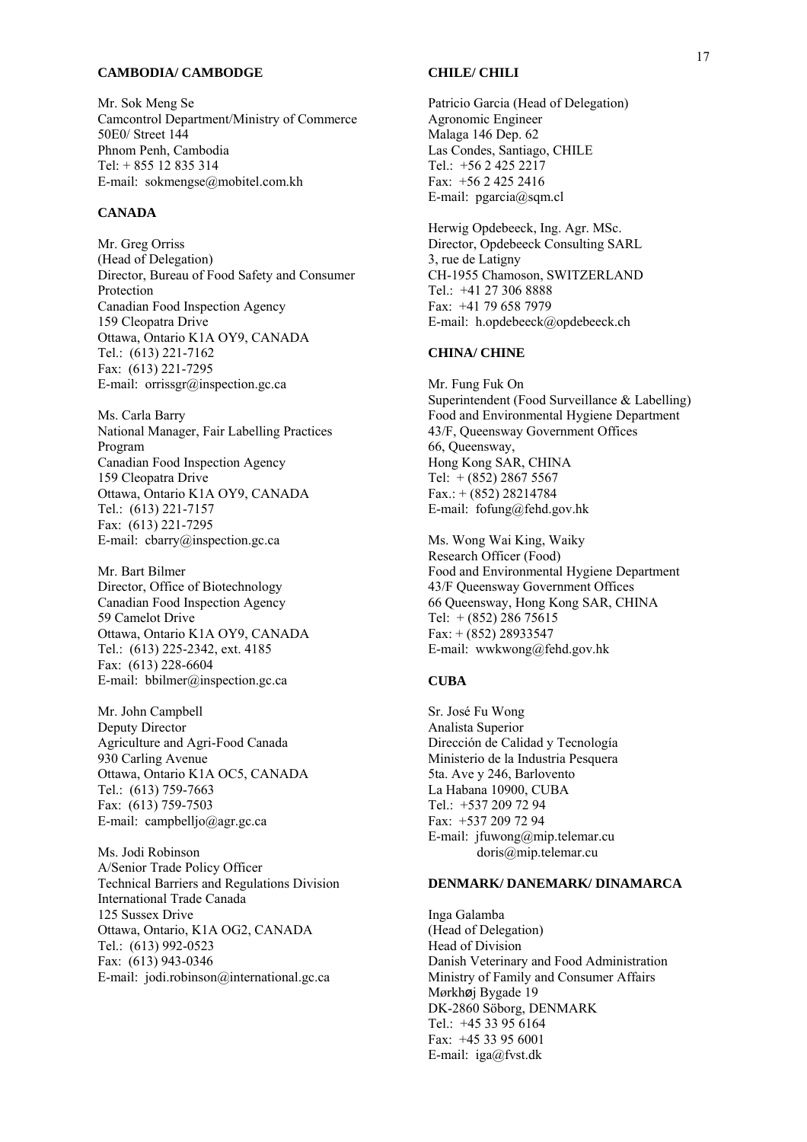#### **CAMBODIA/ CAMBODGE**

Mr. Sok Meng Se Camcontrol Department/Ministry of Commerce 50E0/ Street 144 Phnom Penh, Cambodia Tel: + 855 12 835 314 E-mail: sokmengse@mobitel.com.kh

#### **CANADA**

Mr. Greg Orriss (Head of Delegation) Director, Bureau of Food Safety and Consumer Protection Canadian Food Inspection Agency 159 Cleopatra Drive Ottawa, Ontario K1A OY9, CANADA Tel.: (613) 221-7162 Fax: (613) 221-7295 E-mail: orrissgr@inspection.gc.ca

Ms. Carla Barry National Manager, Fair Labelling Practices Program Canadian Food Inspection Agency 159 Cleopatra Drive Ottawa, Ontario K1A OY9, CANADA Tel.: (613) 221-7157 Fax: (613) 221-7295 E-mail: cbarry@inspection.gc.ca

Mr. Bart Bilmer Director, Office of Biotechnology Canadian Food Inspection Agency 59 Camelot Drive Ottawa, Ontario K1A OY9, CANADA Tel.: (613) 225-2342, ext. 4185 Fax: (613) 228-6604 E-mail: bbilmer@inspection.gc.ca

Mr. John Campbell Deputy Director Agriculture and Agri-Food Canada 930 Carling Avenue Ottawa, Ontario K1A OC5, CANADA Tel.: (613) 759-7663 Fax: (613) 759-7503 E-mail: campbelljo@agr.gc.ca

Ms. Jodi Robinson A/Senior Trade Policy Officer Technical Barriers and Regulations Division International Trade Canada 125 Sussex Drive Ottawa, Ontario, K1A OG2, CANADA Tel.: (613) 992-0523 Fax: (613) 943-0346 E-mail: jodi.robinson@international.gc.ca

#### **CHILE/ CHILI**

Patricio Garcia (Head of Delegation) Agronomic Engineer Malaga 146 Dep. 62 Las Condes, Santiago, CHILE Tel.: +56 2 425 2217 Fax: +56 2 425 2416 E-mail: pgarcia@sqm.cl

Herwig Opdebeeck, Ing. Agr. MSc. Director, Opdebeeck Consulting SARL 3, rue de Latigny CH-1955 Chamoson, SWITZERLAND Tel.: +41 27 306 8888 Fax: +41 79 658 7979 E-mail: h.opdebeeck@opdebeeck.ch

#### **CHINA/ CHINE**

Mr. Fung Fuk On Superintendent (Food Surveillance & Labelling) Food and Environmental Hygiene Department 43/F, Queensway Government Offices 66, Queensway, Hong Kong SAR, CHINA Tel:  $+(852)$  2867 5567  $Fax.: + (852) 28214784$ E-mail: fofung@fehd.gov.hk

Ms. Wong Wai King, Waiky Research Officer (Food) Food and Environmental Hygiene Department 43/F Queensway Government Offices 66 Queensway, Hong Kong SAR, CHINA Tel:  $+(852)$  286 75615 Fax: + (852) 28933547 E-mail: wwkwong@fehd.gov.hk

#### **CUBA**

Sr. José Fu Wong Analista Superior Dirección de Calidad y Tecnología Ministerio de la Industria Pesquera 5ta. Ave y 246, Barlovento La Habana 10900, CUBA Tel.: +537 209 72 94 Fax: +537 209 72 94 E-mail: jfuwong@mip.telemar.cu doris@mip.telemar.cu

#### **DENMARK/ DANEMARK/ DINAMARCA**

Inga Galamba (Head of Delegation) Head of Division Danish Veterinary and Food Administration Ministry of Family and Consumer Affairs Mørkhøj Bygade 19 DK-2860 Söborg, DENMARK Tel.: +45 33 95 6164 Fax: +45 33 95 6001 E-mail: iga@fvst.dk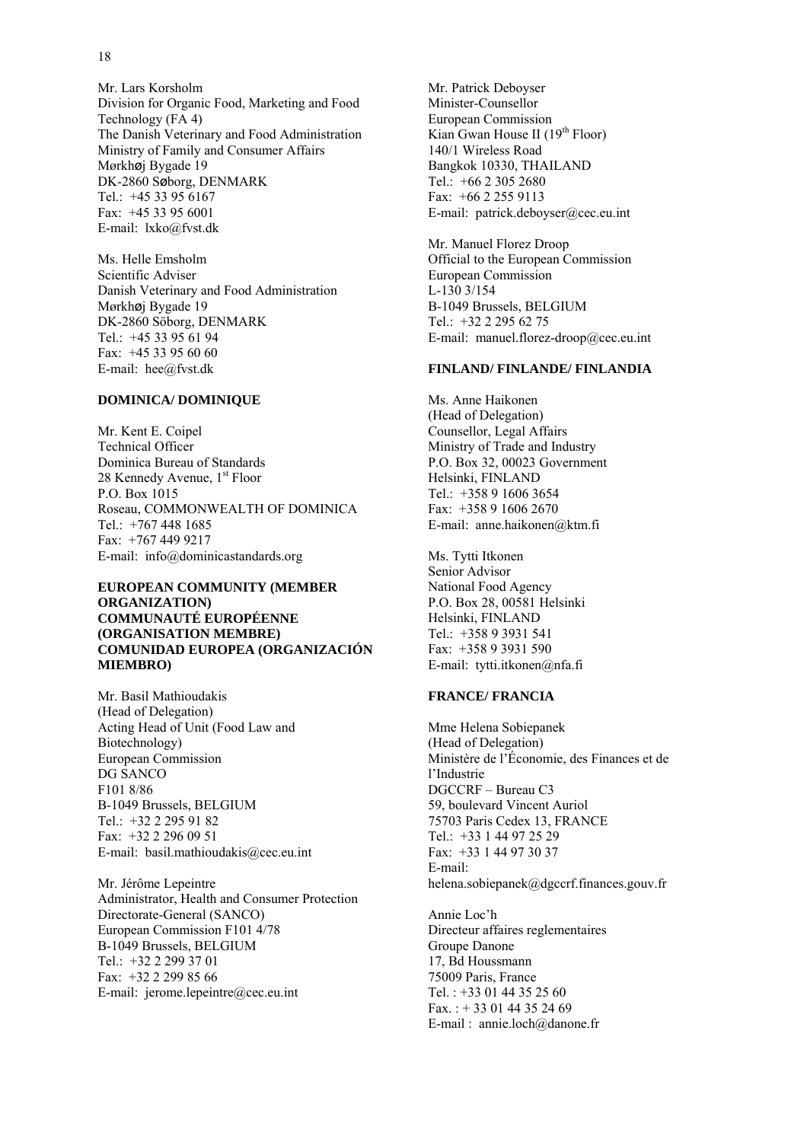Mr. Lars Korsholm Division for Organic Food, Marketing and Food Technology (FA 4) The Danish Veterinary and Food Administration Ministry of Family and Consumer Affairs Mørkhøj Bygade 19 DK-2860 Søborg, DENMARK Tel.: +45 33 95 6167 Fax: +45 33 95 6001 E-mail: lxko@fvst.dk

Ms. Helle Emsholm Scientific Adviser Danish Veterinary and Food Administration Mørkhøj Bygade 19 DK-2860 Söborg, DENMARK Tel.: +45 33 95 61 94 Fax: +45 33 95 60 60 E-mail: hee@fvst.dk

#### **DOMINICA/ DOMINIQUE**

Mr. Kent E. Coipel Technical Officer Dominica Bureau of Standards 28 Kennedy Avenue, 1<sup>st</sup> Floor P.O. Box 1015 Roseau, COMMONWEALTH OF DOMINICA Tel.: +767 448 1685 Fax: +767 449 9217 E-mail: info@dominicastandards.org

#### **EUROPEAN COMMUNITY (MEMBER ORGANIZATION) COMMUNAUTÉ EUROPÉENNE (ORGANISATION MEMBRE) COMUNIDAD EUROPEA (ORGANIZACIÓN MIEMBRO)**

Mr. Basil Mathioudakis (Head of Delegation) Acting Head of Unit (Food Law and Biotechnology) European Commission DG SANCO F101 8/86 B-1049 Brussels, BELGIUM Tel.: +32 2 295 91 82 Fax: +32 2 296 09 51 E-mail: basil.mathioudakis@cec.eu.int

Mr. Jérôme Lepeintre Administrator, Health and Consumer Protection Directorate-General (SANCO) European Commission F101 4/78 B-1049 Brussels, BELGIUM Tel.: +32 2 299 37 01 Fax: +32 2 299 85 66 E-mail: jerome.lepeintre@cec.eu.int

Mr. Patrick Deboyser Minister-Counsellor European Commission Kian Gwan House II (19<sup>th</sup> Floor) 140/1 Wireless Road Bangkok 10330, THAILAND Tel.: +66 2 305 2680 Fax: +66 2 255 9113 E-mail: patrick.deboyser@cec.eu.int

Mr. Manuel Florez Droop Official to the European Commission European Commission  $L-130$  3/154 B-1049 Brussels, BELGIUM Tel.: +32 2 295 62 75 E-mail: manuel.florez-droop@cec.eu.int

#### **FINLAND/ FINLANDE/ FINLANDIA**

Ms. Anne Haikonen (Head of Delegation) Counsellor, Legal Affairs Ministry of Trade and Industry P.O. Box 32, 00023 Government Helsinki, FINLAND Tel.: +358 9 1606 3654 Fax: +358 9 1606 2670 E-mail: anne.haikonen@ktm.fi

Ms. Tytti Itkonen Senior Advisor National Food Agency P.O. Box 28, 00581 Helsinki Helsinki, FINLAND Tel.: +358 9 3931 541 Fax: +358 9 3931 590 E-mail: tytti.itkonen@nfa.fi

#### **FRANCE/ FRANCIA**

Mme Helena Sobiepanek (Head of Delegation) Ministère de l'Économie, des Finances et de l'Industrie DGCCRF – Bureau C3 59, boulevard Vincent Auriol 75703 Paris Cedex 13, FRANCE Tel.: +33 1 44 97 25 29 Fax: +33 1 44 97 30 37 E-mail: helena.sobiepanek@dgccrf.finances.gouv.fr

Annie Loc'h Directeur affaires reglementaires Groupe Danone 17, Bd Houssmann 75009 Paris, France Tel. : +33 01 44 35 25 60 Fax. : + 33 01 44 35 24 69 E-mail : annie.loch@danone.fr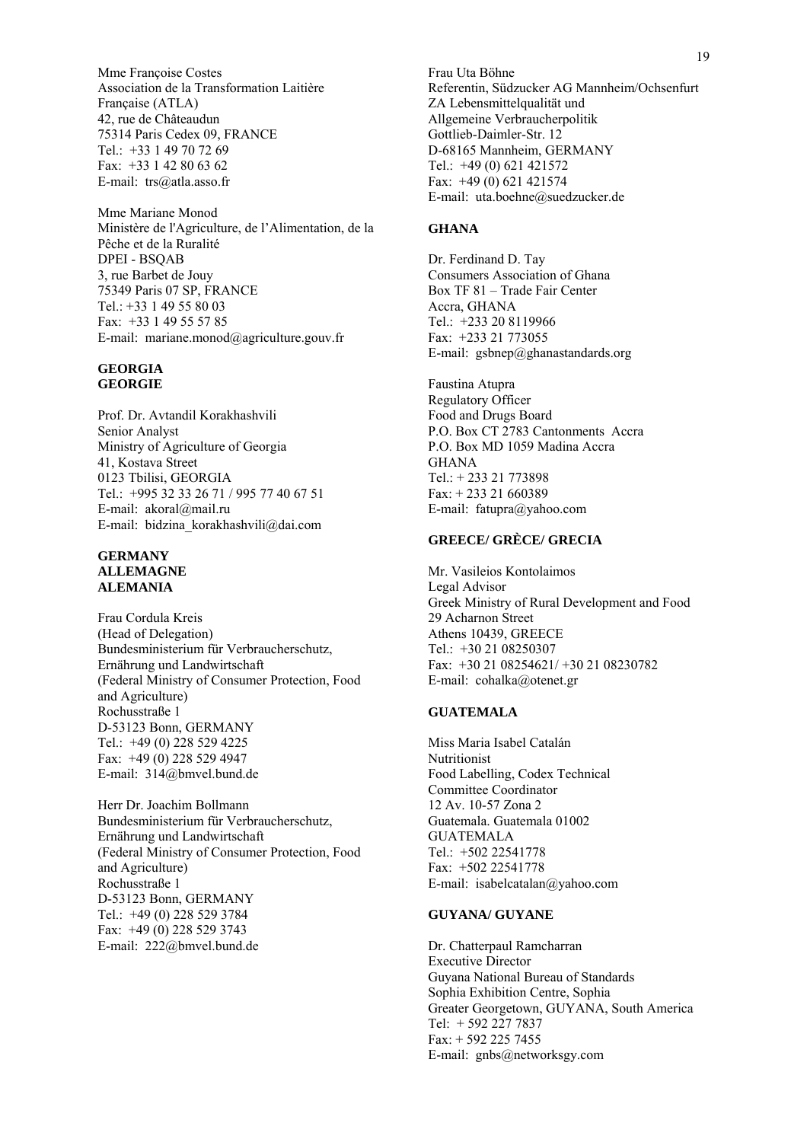Mme Françoise Costes Association de la Transformation Laitière Française (ATLA) 42, rue de Châteaudun 75314 Paris Cedex 09, FRANCE Tel.: +33 1 49 70 72 69 Fax: +33 1 42 80 63 62 E-mail: trs@atla.asso.fr

Mme Mariane Monod Ministère de l'Agriculture, de l'Alimentation, de la Pêche et de la Ruralité DPEI - BSQAB 3, rue Barbet de Jouy 75349 Paris 07 SP, FRANCE Tel.: +33 1 49 55 80 03 Fax: +33 1 49 55 57 85 E-mail: mariane.monod@agriculture.gouv.fr

#### **GEORGIA GEORGIE**

Prof. Dr. Avtandil Korakhashvili Senior Analyst Ministry of Agriculture of Georgia 41, Kostava Street 0123 Tbilisi, GEORGIA Tel.: +995 32 33 26 71 / 995 77 40 67 51 E-mail: akoral@mail.ru E-mail: bidzina\_korakhashvili@dai.com

#### **GERMANY ALLEMAGNE ALEMANIA**

Frau Cordula Kreis (Head of Delegation) Bundesministerium für Verbraucherschutz, Ernährung und Landwirtschaft (Federal Ministry of Consumer Protection, Food and Agriculture) Rochusstraße 1 D-53123 Bonn, GERMANY Tel.: +49 (0) 228 529 4225 Fax: +49 (0) 228 529 4947 E-mail: 314@bmvel.bund.de

Herr Dr. Joachim Bollmann Bundesministerium für Verbraucherschutz, Ernährung und Landwirtschaft (Federal Ministry of Consumer Protection, Food and Agriculture) Rochusstraße 1 D-53123 Bonn, GERMANY Tel.: +49 (0) 228 529 3784 Fax: +49 (0) 228 529 3743 E-mail: 222@bmvel.bund.de

Frau Uta Böhne Referentin, Südzucker AG Mannheim/Ochsenfurt ZA Lebensmittelqualität und Allgemeine Verbraucherpolitik Gottlieb-Daimler-Str. 12 D-68165 Mannheim, GERMANY Tel.: +49 (0) 621 421572 Fax: +49 (0) 621 421574 E-mail: uta.boehne@suedzucker.de

#### **GHANA**

Dr. Ferdinand D. Tay Consumers Association of Ghana Box TF 81 – Trade Fair Center Accra, GHANA Tel.: +233 20 8119966 Fax: +233 21 773055 E-mail: gsbnep@ghanastandards.org

Faustina Atupra Regulatory Officer Food and Drugs Board P.O. Box CT 2783 Cantonments Accra P.O. Box MD 1059 Madina Accra GHANA Tel.: + 233 21 773898 Fax: + 233 21 660389 E-mail: fatupra@yahoo.com

## **GREECE/ GRÈCE/ GRECIA**

Mr. Vasileios Kontolaimos Legal Advisor Greek Ministry of Rural Development and Food 29 Acharnon Street Athens 10439, GREECE Tel.: +30 21 08250307 Fax: +30 21 08254621/ +30 21 08230782 E-mail: cohalka@otenet.gr

#### **GUATEMALA**

Miss Maria Isabel Catalán Nutritionist Food Labelling, Codex Technical Committee Coordinator 12 Av. 10-57 Zona 2 Guatemala. Guatemala 01002 GUATEMALA Tel.: +502 22541778 Fax: +502 22541778 E-mail: isabelcatalan@yahoo.com

#### **GUYANA/ GUYANE**

Dr. Chatterpaul Ramcharran Executive Director Guyana National Bureau of Standards Sophia Exhibition Centre, Sophia Greater Georgetown, GUYANA, South America Tel: + 592 227 7837 Fax: + 592 225 7455 E-mail: gnbs@networksgy.com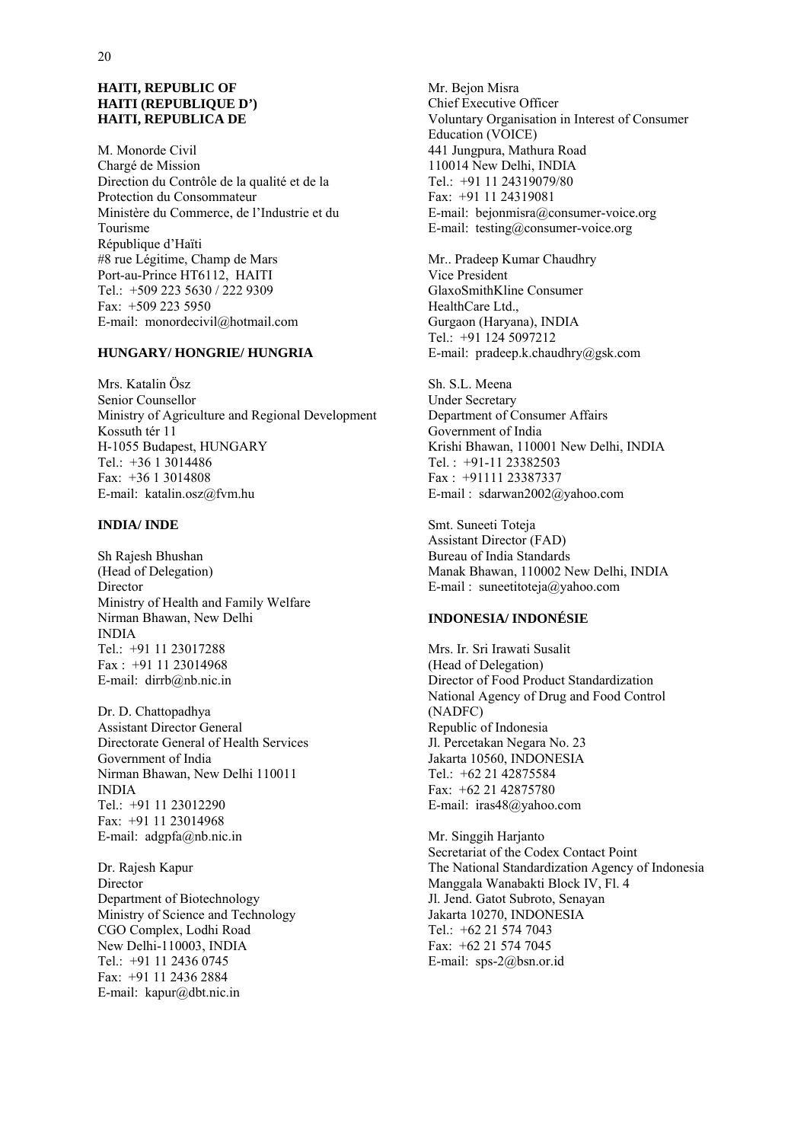#### **HAITI, REPUBLIC OF HAITI (REPUBLIQUE D') HAITI, REPUBLICA DE**

M. Monorde Civil Chargé de Mission Direction du Contrôle de la qualité et de la Protection du Consommateur Ministère du Commerce, de l'Industrie et du Tourisme République d'Haïti #8 rue Légitime, Champ de Mars Port-au-Prince HT6112, HAITI Tel.: +509 223 5630 / 222 9309 Fax: +509 223 5950 E-mail: monordecivil@hotmail.com

## **HUNGARY/ HONGRIE/ HUNGRIA**

Mrs. Katalin Ösz Senior Counsellor Ministry of Agriculture and Regional Development Kossuth tér 11 H-1055 Budapest, HUNGARY Tel.: +36 1 3014486 Fax: +36 1 3014808 E-mail: katalin.osz@fvm.hu

#### **INDIA/ INDE**

Sh Rajesh Bhushan (Head of Delegation) Director Ministry of Health and Family Welfare Nirman Bhawan, New Delhi INDIA Tel.: +91 11 23017288 Fax : +91 11 23014968 E-mail: dirrb@nb.nic.in

Dr. D. Chattopadhya Assistant Director General Directorate General of Health Services Government of India Nirman Bhawan, New Delhi 110011 INDIA Tel.: +91 11 23012290 Fax: +91 11 23014968 E-mail: adgpfa@nb.nic.in

Dr. Rajesh Kapur Director Department of Biotechnology Ministry of Science and Technology CGO Complex, Lodhi Road New Delhi-110003, INDIA Tel.: +91 11 2436 0745 Fax: +91 11 2436 2884 E-mail: kapur@dbt.nic.in

Mr. Bejon Misra Chief Executive Officer Voluntary Organisation in Interest of Consumer Education (VOICE) 441 Jungpura, Mathura Road 110014 New Delhi, INDIA Tel.: +91 11 24319079/80 Fax: +91 11 24319081 E-mail: bejonmisra@consumer-voice.org E-mail: testing@consumer-voice.org

Mr.. Pradeep Kumar Chaudhry Vice President GlaxoSmithKline Consumer HealthCare Ltd., Gurgaon (Haryana), INDIA Tel.: +91 124 5097212 E-mail: pradeep.k.chaudhry@gsk.com

Sh. S.L. Meena Under Secretary Department of Consumer Affairs Government of India Krishi Bhawan, 110001 New Delhi, INDIA Tel. : +91-11 23382503 Fax : +91111 23387337 E-mail : sdarwan2002@yahoo.com

Smt. Suneeti Toteja Assistant Director (FAD) Bureau of India Standards Manak Bhawan, 110002 New Delhi, INDIA E-mail : suneetitoteja@yahoo.com

## **INDONESIA/ INDONÉSIE**

Mrs. Ir. Sri Irawati Susalit (Head of Delegation) Director of Food Product Standardization National Agency of Drug and Food Control (NADFC) Republic of Indonesia Jl. Percetakan Negara No. 23 Jakarta 10560, INDONESIA Tel.: +62 21 42875584 Fax: +62 21 42875780 E-mail: iras48@yahoo.com

Mr. Singgih Harjanto Secretariat of the Codex Contact Point The National Standardization Agency of Indonesia Manggala Wanabakti Block IV, Fl. 4 Jl. Jend. Gatot Subroto, Senayan Jakarta 10270, INDONESIA Tel.:  $+62$  21 574 7043 Fax: +62 21 574 7045 E-mail: sps-2@bsn.or.id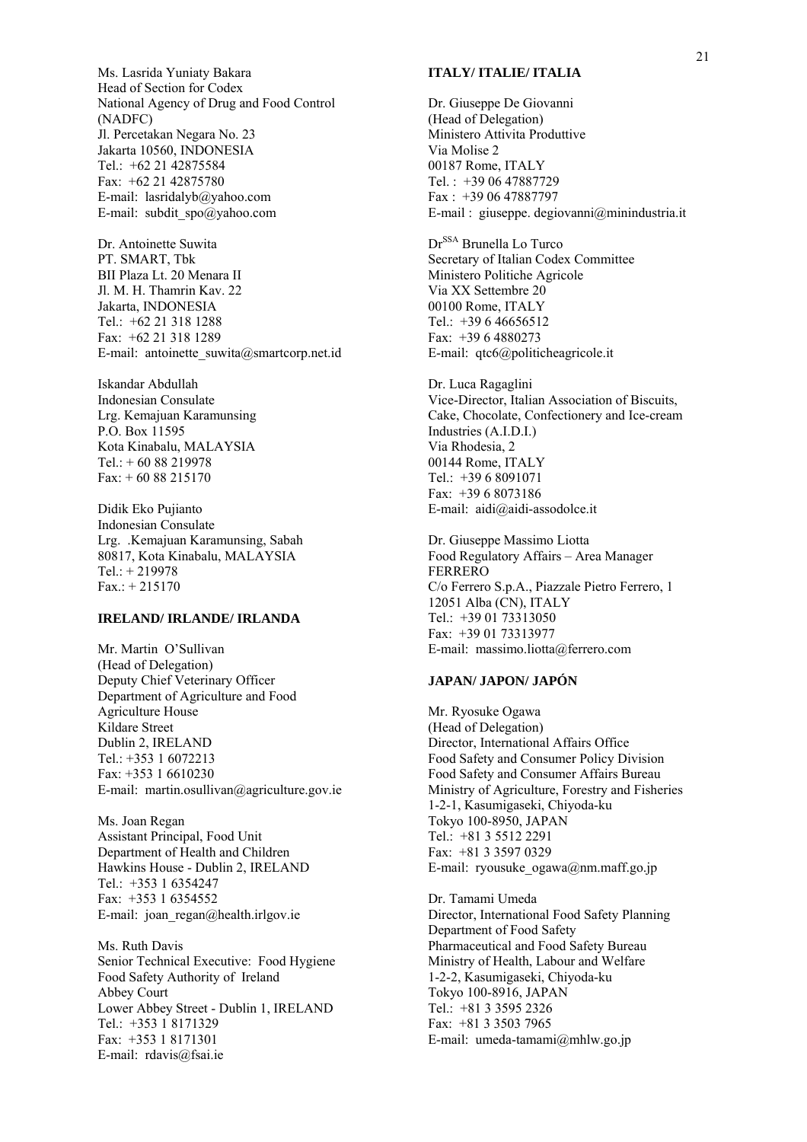Ms. Lasrida Yuniaty Bakara Head of Section for Codex National Agency of Drug and Food Control (NADFC) Jl. Percetakan Negara No. 23 Jakarta 10560, INDONESIA Tel.: +62 21 42875584 Fax: +62 21 42875780 E-mail: lasridalyb@yahoo.com E-mail: subdit\_spo@yahoo.com

Dr. Antoinette Suwita PT. SMART, Tbk BII Plaza Lt. 20 Menara II Jl. M. H. Thamrin Kav. 22 Jakarta, INDONESIA Tel.: +62 21 318 1288 Fax: +62 21 318 1289 E-mail: antoinette suwita@smartcorp.net.id

Iskandar Abdullah Indonesian Consulate Lrg. Kemajuan Karamunsing P.O. Box 11595 Kota Kinabalu, MALAYSIA Tel.: + 60 88 219978 Fax: + 60 88 215170

Didik Eko Pujianto Indonesian Consulate Lrg. .Kemajuan Karamunsing, Sabah 80817, Kota Kinabalu, MALAYSIA Tel.: + 219978 Fax.: + 215170

#### **IRELAND/ IRLANDE/ IRLANDA**

Mr. Martin O'Sullivan (Head of Delegation) Deputy Chief Veterinary Officer Department of Agriculture and Food Agriculture House Kildare Street Dublin 2, IRELAND Tel.: +353 1 6072213 Fax: +353 1 6610230 E-mail: martin.osullivan@agriculture.gov.ie

Ms. Joan Regan Assistant Principal, Food Unit Department of Health and Children Hawkins House - Dublin 2, IRELAND Tel.: +353 1 6354247 Fax: +353 1 6354552 E-mail: joan regan@health.irlgov.ie

Ms. Ruth Davis Senior Technical Executive: Food Hygiene Food Safety Authority of Ireland Abbey Court Lower Abbey Street - Dublin 1, IRELAND Tel.: +353 1 8171329 Fax: +353 1 8171301 E-mail: rdavis@fsai.ie

#### **ITALY/ ITALIE/ ITALIA**

Dr. Giuseppe De Giovanni (Head of Delegation) Ministero Attivita Produttive Via Molise 2 00187 Rome, ITALY Tel. : +39 06 47887729 Fax : +39 06 47887797 E-mail : giuseppe. degiovanni@minindustria.it

Dr<sup>SSA</sup> Brunella Lo Turco Secretary of Italian Codex Committee Ministero Politiche Agricole Via XX Settembre 20 00100 Rome, ITALY Tel.: +39 6 46656512 Fax: +39 6 4880273 E-mail: qtc6@politicheagricole.it

Dr. Luca Ragaglini Vice-Director, Italian Association of Biscuits, Cake, Chocolate, Confectionery and Ice-cream Industries (A.I.D.I.) Via Rhodesia, 2 00144 Rome, ITALY Tel.: +39 6 8091071 Fax: +39 6 8073186 E-mail: aidi@aidi-assodolce.it

Dr. Giuseppe Massimo Liotta Food Regulatory Affairs – Area Manager FERRERO C/o Ferrero S.p.A., Piazzale Pietro Ferrero, 1 12051 Alba (CN), ITALY Tel.: +39 01 73313050 Fax: +39 01 73313977 E-mail: massimo.liotta@ferrero.com

#### **JAPAN/ JAPON/ JAPÓN**

Mr. Ryosuke Ogawa (Head of Delegation) Director, International Affairs Office Food Safety and Consumer Policy Division Food Safety and Consumer Affairs Bureau Ministry of Agriculture, Forestry and Fisheries 1-2-1, Kasumigaseki, Chiyoda-ku Tokyo 100-8950, JAPAN Tel.: +81 3 5512 2291 Fax: +81 3 3597 0329 E-mail: ryousuke  $ogawa@nm.maff.gov.jp$ 

Dr. Tamami Umeda Director, International Food Safety Planning Department of Food Safety Pharmaceutical and Food Safety Bureau Ministry of Health, Labour and Welfare 1-2-2, Kasumigaseki, Chiyoda-ku Tokyo 100-8916, JAPAN Tel.: +81 3 3595 2326 Fax: +81 3 3503 7965 E-mail: umeda-tamami@mhlw.go.jp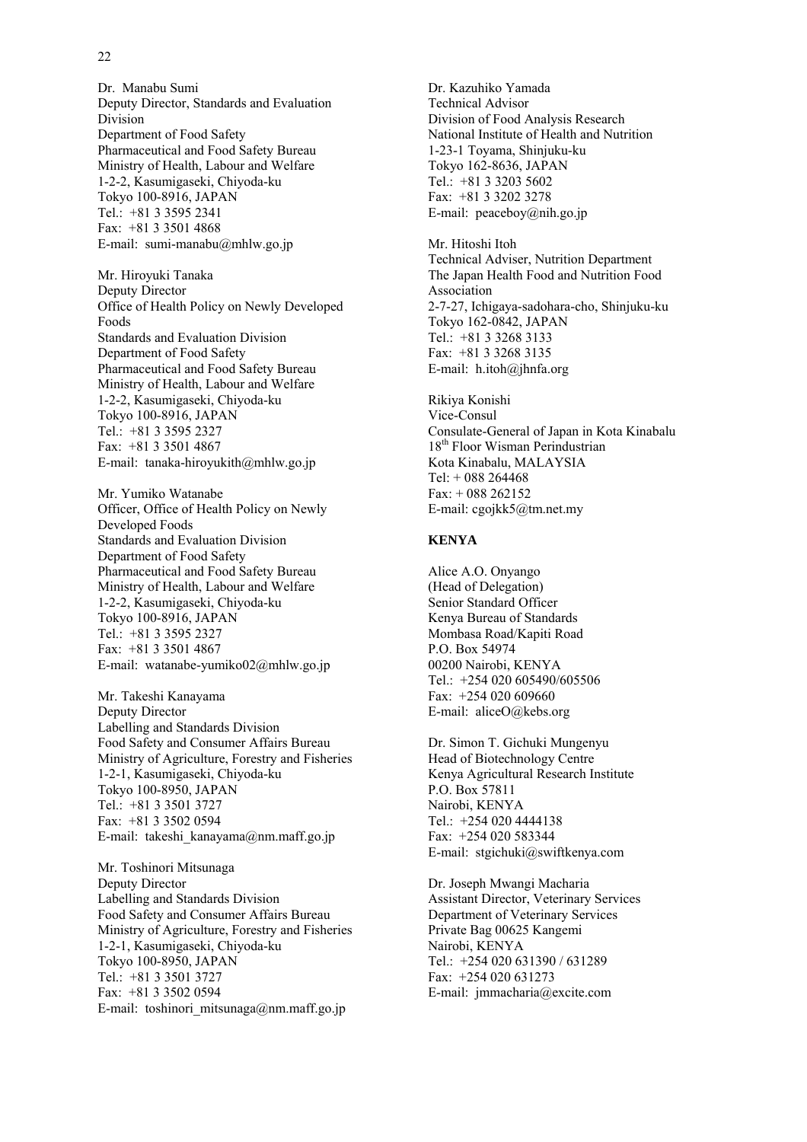Dr. Manabu Sumi Deputy Director, Standards and Evaluation Division Department of Food Safety Pharmaceutical and Food Safety Bureau Ministry of Health, Labour and Welfare 1-2-2, Kasumigaseki, Chiyoda-ku Tokyo 100-8916, JAPAN Tel.: +81 3 3595 2341 Fax: +81 3 3501 4868 E-mail: sumi-manabu@mhlw.go.jp

Mr. Hiroyuki Tanaka Deputy Director Office of Health Policy on Newly Developed Foods Standards and Evaluation Division Department of Food Safety Pharmaceutical and Food Safety Bureau Ministry of Health, Labour and Welfare 1-2-2, Kasumigaseki, Chiyoda-ku Tokyo 100-8916, JAPAN Tel.: +81 3 3595 2327 Fax: +81 3 3501 4867 E-mail: tanaka-hiroyukith@mhlw.go.jp

Mr. Yumiko Watanabe Officer, Office of Health Policy on Newly Developed Foods Standards and Evaluation Division Department of Food Safety Pharmaceutical and Food Safety Bureau Ministry of Health, Labour and Welfare 1-2-2, Kasumigaseki, Chiyoda-ku Tokyo 100-8916, JAPAN Tel.: +81 3 3595 2327 Fax: +81 3 3501 4867 E-mail: watanabe-yumiko02@mhlw.go.jp

Mr. Takeshi Kanayama Deputy Director Labelling and Standards Division Food Safety and Consumer Affairs Bureau Ministry of Agriculture, Forestry and Fisheries 1-2-1, Kasumigaseki, Chiyoda-ku Tokyo 100-8950, JAPAN Tel.: +81 3 3501 3727 Fax: +81 3 3502 0594 E-mail: takeshi\_kanayama@nm.maff.go.jp

Mr. Toshinori Mitsunaga Deputy Director Labelling and Standards Division Food Safety and Consumer Affairs Bureau Ministry of Agriculture, Forestry and Fisheries 1-2-1, Kasumigaseki, Chiyoda-ku Tokyo 100-8950, JAPAN Tel.: +81 3 3501 3727 Fax: +81 3 3502 0594 E-mail: toshinori\_mitsunaga@nm.maff.go.jp

Dr. Kazuhiko Yamada Technical Advisor Division of Food Analysis Research National Institute of Health and Nutrition 1-23-1 Toyama, Shinjuku-ku Tokyo 162-8636, JAPAN Tel.: +81 3 3203 5602 Fax: +81 3 3202 3278 E-mail: peaceboy@nih.go.jp

Mr. Hitoshi Itoh Technical Adviser, Nutrition Department The Japan Health Food and Nutrition Food Association 2-7-27, Ichigaya-sadohara-cho, Shinjuku-ku Tokyo 162-0842, JAPAN Tel.: +81 3 3268 3133 Fax: +81 3 3268 3135 E-mail: h.itoh@jhnfa.org

Rikiya Konishi Vice-Consul Consulate-General of Japan in Kota Kinabalu 18<sup>th</sup> Floor Wisman Perindustrian Kota Kinabalu, MALAYSIA Tel: + 088 264468 Fax: + 088 262152 E-mail: cgojkk5@tm.net.my

#### **KENYA**

Alice A.O. Onyango (Head of Delegation) Senior Standard Officer Kenya Bureau of Standards Mombasa Road/Kapiti Road P.O. Box 54974 00200 Nairobi, KENYA Tel.: +254 020 605490/605506 Fax: +254 020 609660 E-mail: aliceO@kebs.org

Dr. Simon T. Gichuki Mungenyu Head of Biotechnology Centre Kenya Agricultural Research Institute P.O. Box 57811 Nairobi, KENYA Tel.: +254 020 4444138 Fax: +254 020 583344 E-mail: stgichuki@swiftkenya.com

Dr. Joseph Mwangi Macharia Assistant Director, Veterinary Services Department of Veterinary Services Private Bag 00625 Kangemi Nairobi, KENYA Tel.: +254 020 631390 / 631289 Fax: +254 020 631273 E-mail: jmmacharia@excite.com

#### 22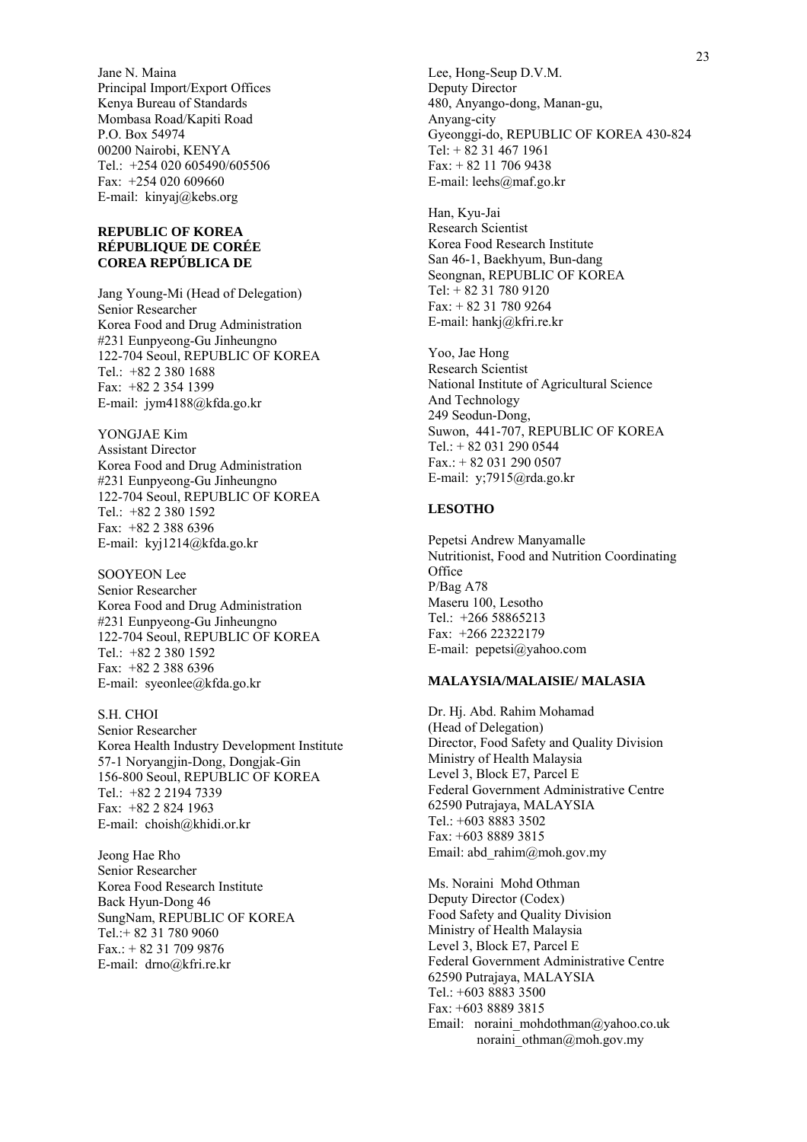Jane N. Maina Principal Import/Export Offices Kenya Bureau of Standards Mombasa Road/Kapiti Road P.O. Box 54974 00200 Nairobi, KENYA Tel.: +254 020 605490/605506 Fax: +254 020 609660 E-mail: kinyaj@kebs.org

#### **REPUBLIC OF KOREA RÉPUBLIQUE DE CORÉE COREA REPÚBLICA DE**

Jang Young-Mi (Head of Delegation) Senior Researcher Korea Food and Drug Administration #231 Eunpyeong-Gu Jinheungno 122-704 Seoul, REPUBLIC OF KOREA Tel.: +82 2 380 1688 Fax: +82 2 354 1399 E-mail: jym4188@kfda.go.kr

YONGJAE Kim Assistant Director Korea Food and Drug Administration #231 Eunpyeong-Gu Jinheungno 122-704 Seoul, REPUBLIC OF KOREA Tel.: +82 2 380 1592 Fax: +82 2 388 6396 E-mail: kyj1214@kfda.go.kr

SOOYEON Lee Senior Researcher Korea Food and Drug Administration #231 Eunpyeong-Gu Jinheungno 122-704 Seoul, REPUBLIC OF KOREA Tel.: +82 2 380 1592 Fax: +82 2 388 6396 E-mail: syeonlee@kfda.go.kr

S.H. CHOI Senior Researcher Korea Health Industry Development Institute 57-1 Noryangjin-Dong, Dongjak-Gin 156-800 Seoul, REPUBLIC OF KOREA Tel.: +82 2 2194 7339 Fax: +82 2 824 1963 E-mail: choish@khidi.or.kr

Jeong Hae Rho Senior Researcher Korea Food Research Institute Back Hyun-Dong 46 SungNam, REPUBLIC OF KOREA Tel.:+ 82 31 780 9060  $Fax + 82317099876$ E-mail: drno@kfri.re.kr

Lee, Hong-Seup D.V.M. Deputy Director 480, Anyango-dong, Manan-gu, Anyang-city Gyeonggi-do, REPUBLIC OF KOREA 430-824 Tel: + 82 31 467 1961 Fax: + 82 11 706 9438 E-mail: leehs@maf.go.kr

Han, Kyu-Jai Research Scientist Korea Food Research Institute San 46-1, Baekhyum, Bun-dang Seongnan, REPUBLIC OF KOREA Tel: + 82 31 780 9120 Fax: + 82 31 780 9264 E-mail: hankj@kfri.re.kr

Yoo, Jae Hong Research Scientist National Institute of Agricultural Science And Technology 249 Seodun-Dong, Suwon, 441-707, REPUBLIC OF KOREA Tel.: + 82 031 290 0544 Fax.: + 82 031 290 0507 E-mail: y;7915@rda.go.kr

#### **LESOTHO**

Pepetsi Andrew Manyamalle Nutritionist, Food and Nutrition Coordinating **Office** P/Bag A78 Maseru 100, Lesotho Tel.: +266 58865213 Fax: +266 22322179 E-mail: pepetsi@yahoo.com

#### **MALAYSIA/MALAISIE/ MALASIA**

Dr. Hj. Abd. Rahim Mohamad (Head of Delegation) Director, Food Safety and Quality Division Ministry of Health Malaysia Level 3, Block E7, Parcel E Federal Government Administrative Centre 62590 Putrajaya, MALAYSIA Tel.: +603 8883 3502 Fax: +603 8889 3815 Email: abd\_rahim@moh.gov.my

Ms. Noraini Mohd Othman Deputy Director (Codex) Food Safety and Quality Division Ministry of Health Malaysia Level 3, Block E7, Parcel E Federal Government Administrative Centre 62590 Putrajaya, MALAYSIA Tel.: +603 8883 3500 Fax: +603 8889 3815 Email: noraini mohdothman@yahoo.co.uk noraini\_othman@moh.gov.my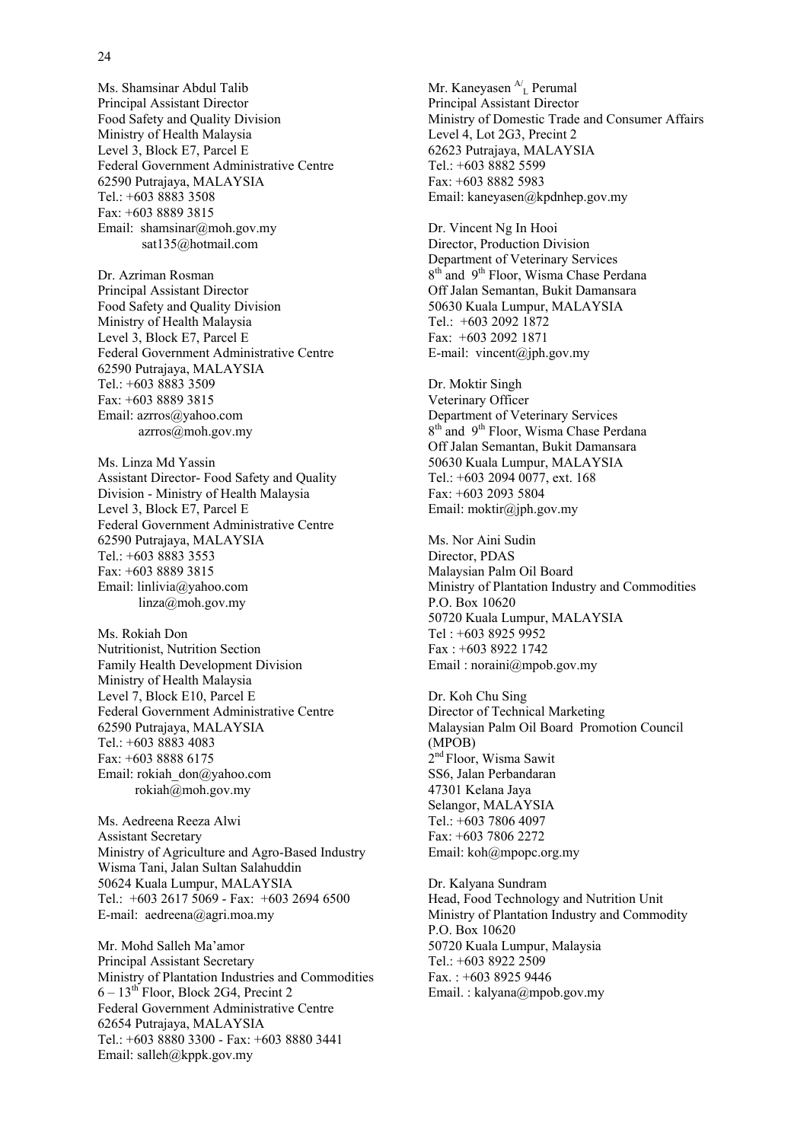Ms. Shamsinar Abdul Talib Principal Assistant Director Food Safety and Quality Division Ministry of Health Malaysia Level 3, Block E7, Parcel E Federal Government Administrative Centre 62590 Putrajaya, MALAYSIA Tel.: +603 8883 3508 Fax: +603 8889 3815 Email: shamsinar@moh.gov.my sat135@hotmail.com

Dr. Azriman Rosman Principal Assistant Director Food Safety and Quality Division Ministry of Health Malaysia Level 3, Block E7, Parcel E Federal Government Administrative Centre 62590 Putrajaya, MALAYSIA Tel.: +603 8883 3509 Fax: +603 8889 3815 Email: azrros@yahoo.com azrros@moh.gov.my

Ms. Linza Md Yassin Assistant Director- Food Safety and Quality Division - Ministry of Health Malaysia Level 3, Block E7, Parcel E Federal Government Administrative Centre 62590 Putrajaya, MALAYSIA Tel.: +603 8883 3553 Fax: +603 8889 3815 Email: linlivia@yahoo.com linza@moh.gov.my

Ms. Rokiah Don Nutritionist, Nutrition Section Family Health Development Division Ministry of Health Malaysia Level 7, Block E10, Parcel E Federal Government Administrative Centre 62590 Putrajaya, MALAYSIA Tel.: +603 8883 4083 Fax: +603 8888 6175 Email: rokiah\_don@yahoo.com rokiah@moh.gov.my

Ms. Aedreena Reeza Alwi Assistant Secretary Ministry of Agriculture and Agro-Based Industry Wisma Tani, Jalan Sultan Salahuddin 50624 Kuala Lumpur, MALAYSIA Tel.: +603 2617 5069 - Fax: +603 2694 6500 E-mail: aedreena@agri.moa.my

Mr. Mohd Salleh Ma'amor Principal Assistant Secretary Ministry of Plantation Industries and Commodities  $6 - 13$ <sup>th</sup> Floor, Block 2G4, Precint 2 Federal Government Administrative Centre 62654 Putrajaya, MALAYSIA Tel.: +603 8880 3300 - Fax: +603 8880 3441 Email: salleh@kppk.gov.my

Mr. Kaneyasen  $A_L$  Perumal Principal Assistant Director Ministry of Domestic Trade and Consumer Affairs Level 4, Lot 2G3, Precint 2 62623 Putrajaya, MALAYSIA Tel.: +603 8882 5599 Fax: +603 8882 5983 Email: kaneyasen@kpdnhep.gov.my

Dr. Vincent Ng In Hooi Director, Production Division Department of Veterinary Services 8<sup>th</sup> and 9<sup>th</sup> Floor, Wisma Chase Perdana Off Jalan Semantan, Bukit Damansara 50630 Kuala Lumpur, MALAYSIA Tel.: +603 2092 1872 Fax: +603 2092 1871 E-mail: vincent@jph.gov.my

Dr. Moktir Singh Veterinary Officer Department of Veterinary Services 8<sup>th</sup> and 9<sup>th</sup> Floor, Wisma Chase Perdana Off Jalan Semantan, Bukit Damansara 50630 Kuala Lumpur, MALAYSIA Tel.: +603 2094 0077, ext. 168 Fax: +603 2093 5804 Email: moktir@jph.gov.my

Ms. Nor Aini Sudin Director, PDAS Malaysian Palm Oil Board Ministry of Plantation Industry and Commodities P.O. Box 10620 50720 Kuala Lumpur, MALAYSIA Tel : +603 8925 9952 Fax : +603 8922 1742 Email : noraini@mpob.gov.my

Dr. Koh Chu Sing Director of Technical Marketing Malaysian Palm Oil Board Promotion Council (MPOB) 2<sup>nd</sup> Floor, Wisma Sawit SS6, Jalan Perbandaran 47301 Kelana Jaya Selangor, MALAYSIA Tel.: +603 7806 4097 Fax: +603 7806 2272 Email: koh@mpopc.org.my

Dr. Kalyana Sundram Head, Food Technology and Nutrition Unit Ministry of Plantation Industry and Commodity P.O. Box 10620 50720 Kuala Lumpur, Malaysia Tel.: +603 8922 2509 Fax. : +603 8925 9446 Email. : kalyana@mpob.gov.my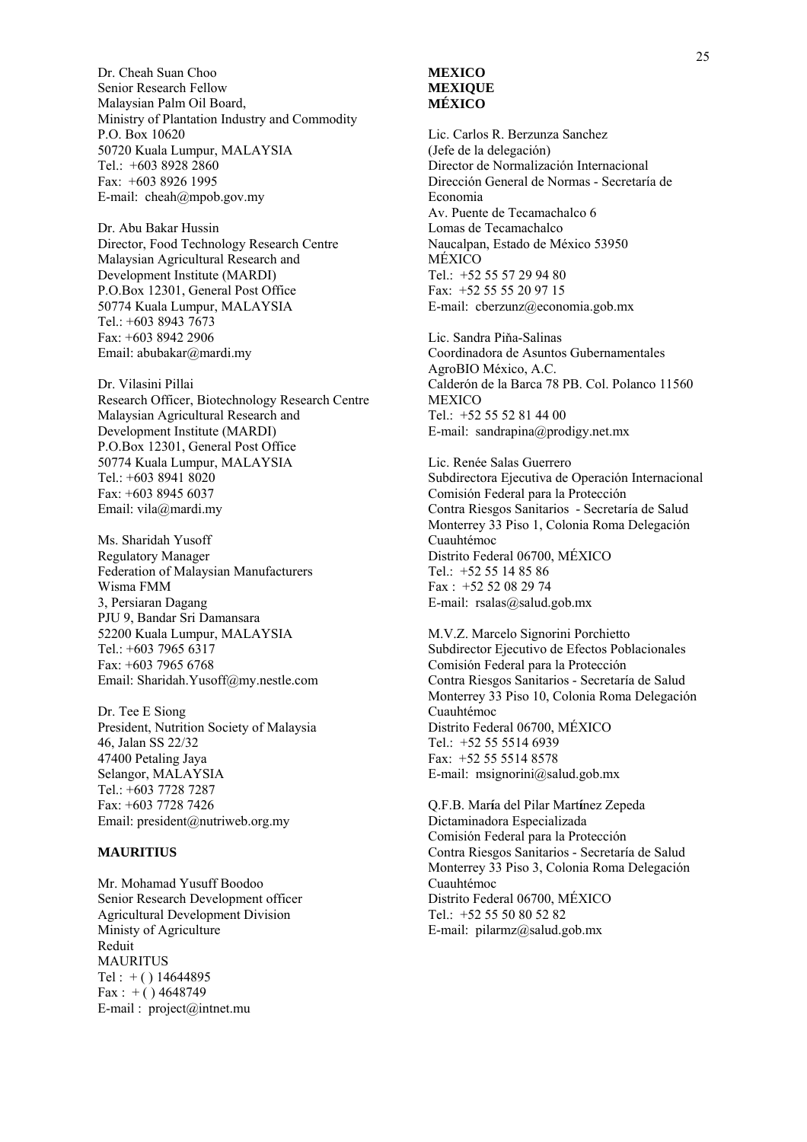Dr. Cheah Suan Choo Senior Research Fellow Malaysian Palm Oil Board, Ministry of Plantation Industry and Commodity P.O. Box 10620 50720 Kuala Lumpur, MALAYSIA Tel.: +603 8928 2860 Fax: +603 8926 1995 E-mail: cheah@mpob.gov.my

Dr. Abu Bakar Hussin Director, Food Technology Research Centre Malaysian Agricultural Research and Development Institute (MARDI) P.O.Box 12301, General Post Office 50774 Kuala Lumpur, MALAYSIA Tel.: +603 8943 7673 Fax: +603 8942 2906 Email: abubakar@mardi.my

Dr. Vilasini Pillai Research Officer, Biotechnology Research Centre Malaysian Agricultural Research and Development Institute (MARDI) P.O.Box 12301, General Post Office 50774 Kuala Lumpur, MALAYSIA Tel.: +603 8941 8020 Fax: +603 8945 6037 Email: vila@mardi.my

Ms. Sharidah Yusoff Regulatory Manager Federation of Malaysian Manufacturers Wisma FMM 3, Persiaran Dagang PJU 9, Bandar Sri Damansara 52200 Kuala Lumpur, MALAYSIA Tel.: +603 7965 6317 Fax: +603 7965 6768 Email: Sharidah.Yusoff@my.nestle.com

Dr. Tee E Siong President, Nutrition Society of Malaysia 46, Jalan SS 22/32 47400 Petaling Jaya Selangor, MALAYSIA Tel.: +603 7728 7287 Fax: +603 7728 7426 Email: president@nutriweb.org.my

#### **MAURITIUS**

Mr. Mohamad Yusuff Boodoo Senior Research Development officer Agricultural Development Division Ministy of Agriculture Reduit MAURITUS Tel :  $+$  ( ) 14644895  $Fax : +() 4648749$ E-mail : project@intnet.mu

#### **MEXICO MEXIQUE MÉXICO**

Lic. Carlos R. Berzunza Sanchez (Jefe de la delegación) Director de Normalización Internacional Dirección General de Normas - Secretaría de Economia Av. Puente de Tecamachalco 6 Lomas de Tecamachalco Naucalpan, Estado de México 53950 MÉXICO Tel.: +52 55 57 29 94 80 Fax: +52 55 55 20 97 15 E-mail: cberzunz@economia.gob.mx

Lic. Sandra Piňa-Salinas Coordinadora de Asuntos Gubernamentales AgroBIO México, A.C. Calderón de la Barca 78 PB. Col. Polanco 11560 **MEXICO** Tel.: +52 55 52 81 44 00 E-mail: sandrapina@prodigy.net.mx

Lic. Renée Salas Guerrero Subdirectora Ejecutiva de Operación Internacional Comisión Federal para la Protección Contra Riesgos Sanitarios - Secretaría de Salud Monterrey 33 Piso 1, Colonia Roma Delegación Cuauhtémoc Distrito Federal 06700, MÉXICO Tel.: +52 55 14 85 86 Fax : +52 52 08 29 74 E-mail: rsalas@salud.gob.mx

M.V.Z. Marcelo Signorini Porchietto Subdirector Ejecutivo de Efectos Poblacionales Comisión Federal para la Protección Contra Riesgos Sanitarios - Secretaría de Salud Monterrey 33 Piso 10, Colonia Roma Delegación Cuauhtémoc Distrito Federal 06700, MÉXICO Tel.: +52 55 5514 6939 Fax: +52 55 5514 8578 E-mail: msignorini@salud.gob.mx

Q.F.B. Mar**í**a del Pilar Mart**í**nez Zepeda Dictaminadora Especializada Comisión Federal para la Protección Contra Riesgos Sanitarios - Secretaría de Salud Monterrey 33 Piso 3, Colonia Roma Delegación Cuauhtémoc Distrito Federal 06700, MÉXICO Tel.: +52 55 50 80 52 82 E-mail: pilarmz@salud.gob.mx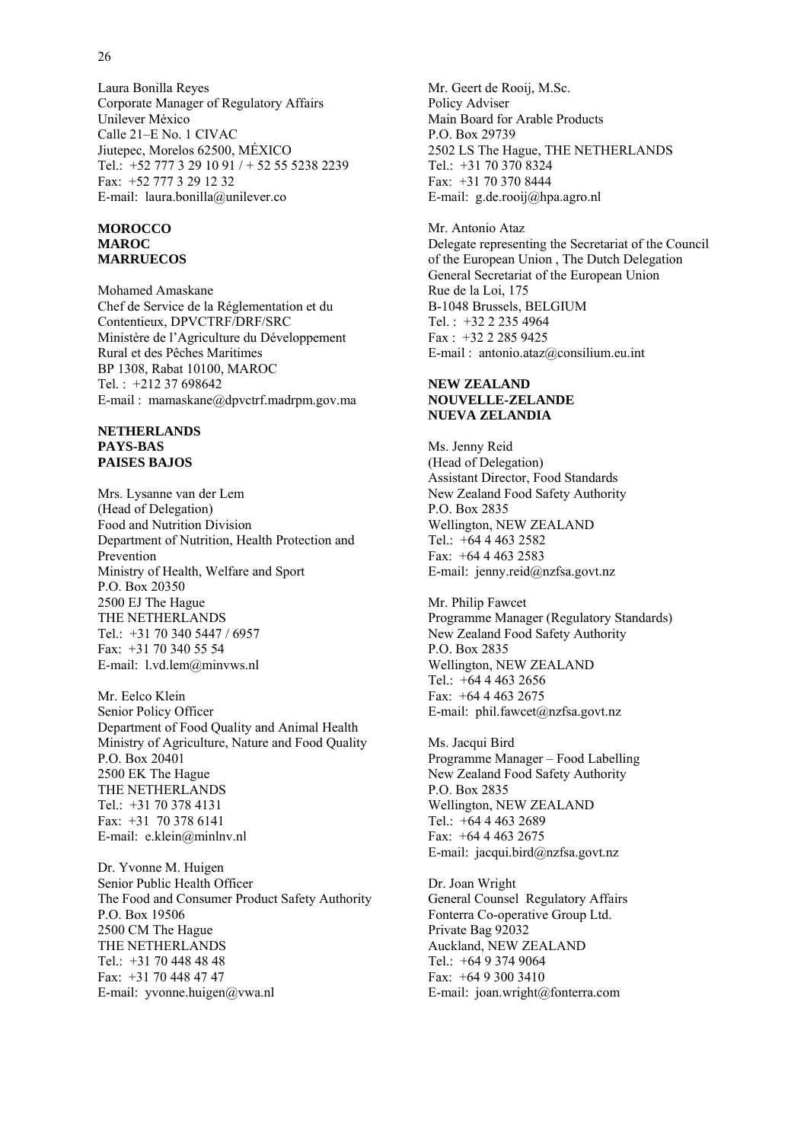Corporate Manager of Regulatory Affairs Unilever México Calle 21–E No. 1 CIVAC Jiutepec, Morelos 62500, MÉXICO Tel.: +52 777 3 29 10 91 / + 52 55 5238 2239 Fax: +52 777 3 29 12 32 E-mail: laura.bonilla@unilever.co

#### **MOROCCO MAROC MARRUECOS**

Laura Bonilla Reyes

Mohamed Amaskane Chef de Service de la Réglementation et du Contentieux, DPVCTRF/DRF/SRC Ministère de l'Agriculture du Développement Rural et des Pêches Maritimes BP 1308, Rabat 10100, MAROC Tel. : +212 37 698642 E-mail : mamaskane@dpvctrf.madrpm.gov.ma

#### **NETHERLANDS PAYS-BAS PAISES BAJOS**

Mrs. Lysanne van der Lem (Head of Delegation) Food and Nutrition Division Department of Nutrition, Health Protection and Prevention Ministry of Health, Welfare and Sport P.O. Box 20350 2500 EJ The Hague THE NETHERLANDS Tel.: +31 70 340 5447 / 6957 Fax: +31 70 340 55 54 E-mail: l.vd.lem@minvws.nl

Mr. Eelco Klein Senior Policy Officer Department of Food Quality and Animal Health Ministry of Agriculture, Nature and Food Quality P.O. Box 20401 2500 EK The Hague THE NETHERLANDS Tel.: +31 70 378 4131 Fax: +31 70 378 6141 E-mail: e.klein@minlnv.nl

Dr. Yvonne M. Huigen Senior Public Health Officer The Food and Consumer Product Safety Authority P.O. Box 19506 2500 CM The Hague THE NETHERLANDS Tel.: +31 70 448 48 48 Fax: +31 70 448 47 47 E-mail: yvonne.huigen@vwa.nl

Mr. Geert de Rooij, M.Sc. Policy Adviser Main Board for Arable Products P.O. Box 29739 2502 LS The Hague, THE NETHERLANDS Tel.: +31 70 370 8324 Fax: +31 70 370 8444 E-mail: g.de.rooij@hpa.agro.nl

Mr. Antonio Ataz Delegate representing the Secretariat of the Council of the European Union , The Dutch Delegation General Secretariat of the European Union Rue de la Loi, 175 B-1048 Brussels, BELGIUM Tel. : +32 2 235 4964 Fax : +32 2 285 9425 E-mail : antonio.ataz@consilium.eu.int

#### **NEW ZEALAND NOUVELLE-ZELANDE NUEVA ZELANDIA**

Ms. Jenny Reid (Head of Delegation) Assistant Director, Food Standards New Zealand Food Safety Authority P.O. Box 2835 Wellington, NEW ZEALAND Tel.: +64 4 463 2582 Fax: +64 4 463 2583 E-mail: jenny.reid@nzfsa.govt.nz

Mr. Philip Fawcet Programme Manager (Regulatory Standards) New Zealand Food Safety Authority P.O. Box 2835 Wellington, NEW ZEALAND Tel.: +64 4 463 2656 Fax: +64 4 463 2675 E-mail: phil.fawcet@nzfsa.govt.nz

Ms. Jacqui Bird Programme Manager – Food Labelling New Zealand Food Safety Authority P.O. Box 2835 Wellington, NEW ZEALAND Tel.: +64 4 463 2689 Fax: +64 4 463 2675 E-mail: jacqui.bird@nzfsa.govt.nz

Dr. Joan Wright General Counsel Regulatory Affairs Fonterra Co-operative Group Ltd. Private Bag 92032 Auckland, NEW ZEALAND Tel.: +64 9 374 9064 Fax: +64 9 300 3410 E-mail: joan.wright@fonterra.com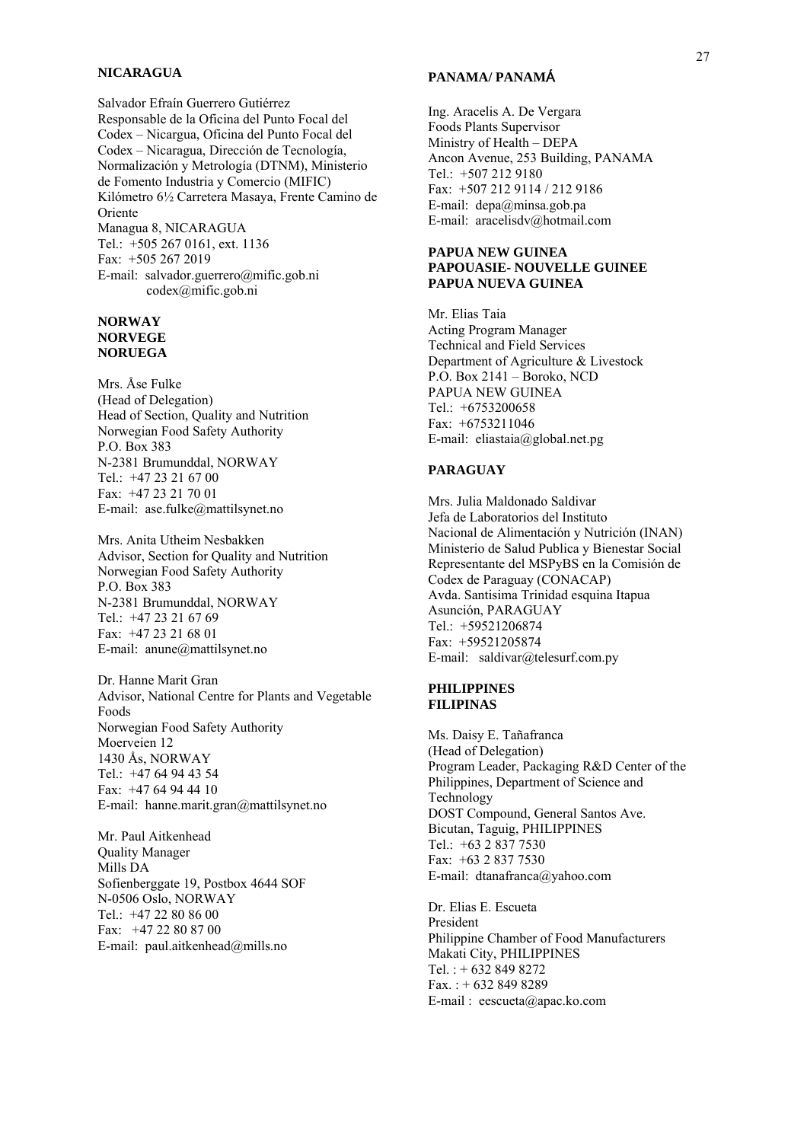#### **NICARAGUA**

Salvador Efraín Guerrero Gutiérrez Responsable de la Oficina del Punto Focal del Codex – Nicargua, Oficina del Punto Focal del Codex – Nicaragua, Dirección de Tecnología, Normalización y Metrología (DTNM), Ministerio de Fomento Industria y Comercio (MIFIC) Kilómetro 6½ Carretera Masaya, Frente Camino de Oriente Managua 8, NICARAGUA Tel.: +505 267 0161, ext. 1136 Fax: +505 267 2019 E-mail: salvador.guerrero@mific.gob.ni

codex@mific.gob.ni

#### **NORWAY NORVEGE NORUEGA**

Mrs. Åse Fulke (Head of Delegation) Head of Section, Quality and Nutrition Norwegian Food Safety Authority P.O. Box 383 N-2381 Brumunddal, NORWAY Tel.: +47 23 21 67 00 Fax: +47 23 21 70 01 E-mail: ase.fulke@mattilsynet.no

Mrs. Anita Utheim Nesbakken Advisor, Section for Quality and Nutrition Norwegian Food Safety Authority P.O. Box 383 N-2381 Brumunddal, NORWAY Tel.:  $+4723216769$ Fax: +47 23 21 68 01 E-mail: anune@mattilsynet.no

Dr. Hanne Marit Gran Advisor, National Centre for Plants and Vegetable Foods Norwegian Food Safety Authority Moerveien 12 1430 Ås, NORWAY Tel.: +47 64 94 43 54 Fax: +47 64 94 44 10 E-mail: hanne.marit.gran@mattilsynet.no

Mr. Paul Aitkenhead Quality Manager Mills DA Sofienberggate 19, Postbox 4644 SOF N-0506 Oslo, NORWAY Tel.: +47 22 80 86 00 Fax: +47 22 80 87 00 E-mail: paul.aitkenhead@mills.no

#### **PANAMA/ PANAM**Á

Ing. Aracelis A. De Vergara Foods Plants Supervisor Ministry of Health – DEPA Ancon Avenue, 253 Building, PANAMA Tel.: +507 212 9180 Fax: +507 212 9114 / 212 9186 E-mail: depa@minsa.gob.pa E-mail: aracelisdv@hotmail.com

#### **PAPUA NEW GUINEA PAPOUASIE- NOUVELLE GUINEE PAPUA NUEVA GUINEA**

Mr. Elias Taia Acting Program Manager Technical and Field Services Department of Agriculture & Livestock P.O. Box 2141 – Boroko, NCD PAPUA NEW GUINEA Tel.: +6753200658 Fax: +6753211046 E-mail: eliastaia@global.net.pg

## **PARAGUAY**

Mrs. Julia Maldonado Saldivar Jefa de Laboratorios del Instituto Nacional de Alimentación y Nutrición (INAN) Ministerio de Salud Publica y Bienestar Social Representante del MSPyBS en la Comisión de Codex de Paraguay (CONACAP) Avda. Santisima Trinidad esquina Itapua Asunción, PARAGUAY Tel.: +59521206874 Fax: +59521205874 E-mail: saldivar@telesurf.com.py

#### **PHILIPPINES FILIPINAS**

Ms. Daisy E. Tañafranca (Head of Delegation) Program Leader, Packaging R&D Center of the Philippines, Department of Science and Technology DOST Compound, General Santos Ave. Bicutan, Taguig, PHILIPPINES Tel.: +63 2 837 7530 Fax: +63 2 837 7530 E-mail: dtanafranca@yahoo.com

Dr. Elias E. Escueta President Philippine Chamber of Food Manufacturers Makati City, PHILIPPINES Tel. : + 632 849 8272 Fax. : + 632 849 8289 E-mail : eescueta@apac.ko.com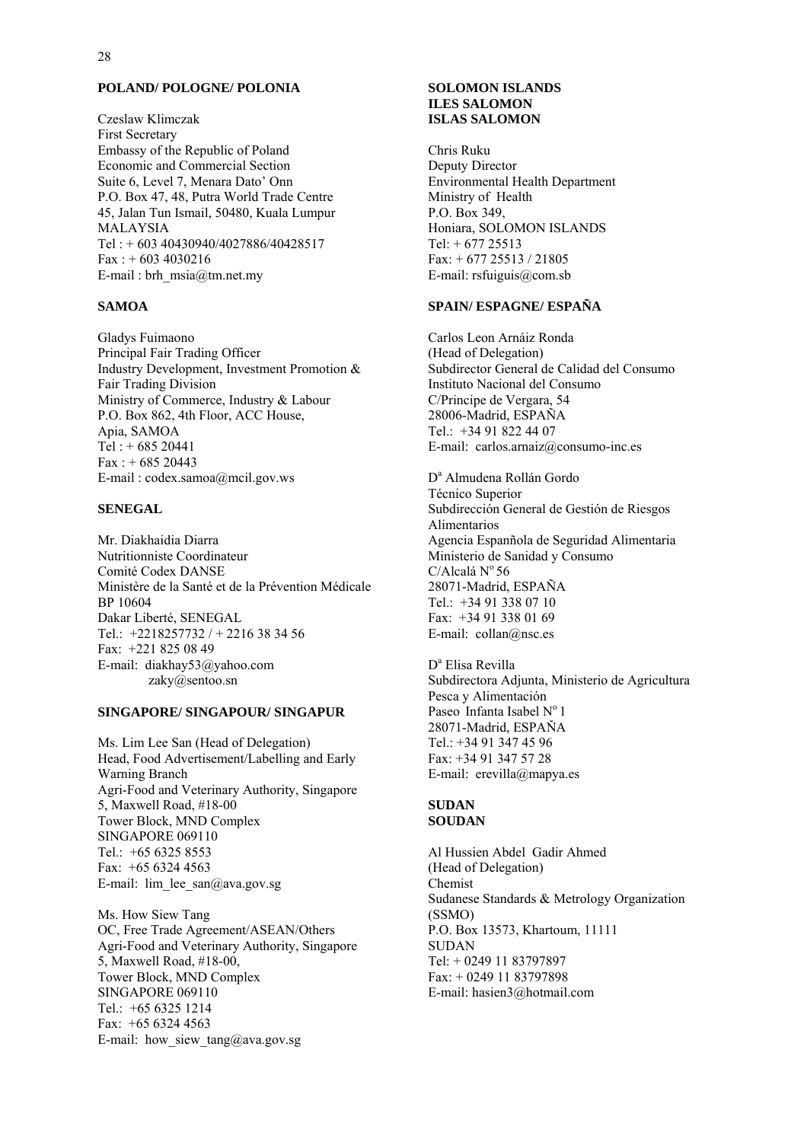#### **POLAND/ POLOGNE/ POLONIA**

Czeslaw Klimczak First Secretary Embassy of the Republic of Poland Economic and Commercial Section Suite 6, Level 7, Menara Dato' Onn P.O. Box 47, 48, Putra World Trade Centre 45, Jalan Tun Ismail, 50480, Kuala Lumpur MALAYSIA Tel : + 603 40430940/4027886/40428517  $Fax : + 6034030216$ E-mail : brh\_msia@tm.net.my

#### **SAMOA**

Gladys Fuimaono Principal Fair Trading Officer Industry Development, Investment Promotion & Fair Trading Division Ministry of Commerce, Industry & Labour P.O. Box 862, 4th Floor, ACC House, Apia, SAMOA Tel : + 685 20441  $Fax : + 68520443$ E-mail : codex.samoa@mcil.gov.ws

#### **SENEGAL**

Mr. Diakhaidia Diarra Nutritionniste Coordinateur Comité Codex DANSE Ministère de la Santé et de la Prévention Médicale BP 10604 Dakar Liberté, SENEGAL Tel.: +2218257732 / + 2216 38 34 56 Fax: +221 825 08 49 E-mail: diakhay53@yahoo.com zaky@sentoo.sn

#### **SINGAPORE/ SINGAPOUR/ SINGAPUR**

Ms. Lim Lee San (Head of Delegation) Head, Food Advertisement/Labelling and Early Warning Branch Agri-Food and Veterinary Authority, Singapore 5, Maxwell Road, #18-00 Tower Block, MND Complex SINGAPORE 069110 Tel.: +65 6325 8553 Fax: +65 6324 4563 E-mail: lim\_lee\_san@ava.gov.sg

Ms. How Siew Tang OC, Free Trade Agreement/ASEAN/Others Agri-Food and Veterinary Authority, Singapore 5, Maxwell Road, #18-00, Tower Block, MND Complex SINGAPORE 069110 Tel.: +65 6325 1214 Fax: +65 6324 4563 E-mail: how siew  $tan(ga)$ ava.gov.sg

#### **SOLOMON ISLANDS ILES SALOMON ISLAS SALOMON**

Chris Ruku Deputy Director Environmental Health Department Ministry of Health P.O. Box 349, Honiara, SOLOMON ISLANDS Tel: + 677 25513 Fax: + 677 25513 / 21805 E-mail: rsfuiguis@com.sb

#### **SPAIN/ ESPAGNE/ ESPAÑA**

Carlos Leon Arnáiz Ronda (Head of Delegation) Subdirector General de Calidad del Consumo Instituto Nacional del Consumo C/Principe de Vergara, 54 28006-Madrid, ESPAÑA Tel:  $+34918224407$ E-mail: carlos.arnaiz@consumo-inc.es

D<sup>a</sup> Almudena Rollán Gordo Técnico Superior Subdirección General de Gestión de Riesgos Alimentarios Agencia Espanñola de Seguridad Alimentaria Ministerio de Sanidad y Consumo  $C/A$ lcalá  $N^{\circ} 56$ 28071-Madrid, ESPAÑA Tel.: +34 91 338 07 10 Fax: +34 91 338 01 69 E-mail: collan@nsc.es

D<sup>a</sup> Elisa Revilla Subdirectora Adjunta, Ministerio de Agricultura Pesca y Alimentación Paseo Infanta Isabel  $N^{\circ}$  1 28071-Madrid, ESPAŇA Tel.: +34 91 347 45 96 Fax: +34 91 347 57 28 E-mail: erevilla@mapya.es

#### **SUDAN SOUDAN**

Al Hussien Abdel Gadir Ahmed (Head of Delegation) Chemist Sudanese Standards & Metrology Organization (SSMO) P.O. Box 13573, Khartoum, 11111 **SUDAN** Tel: + 0249 11 83797897 Fax: + 0249 11 83797898 E-mail: hasien3@hotmail.com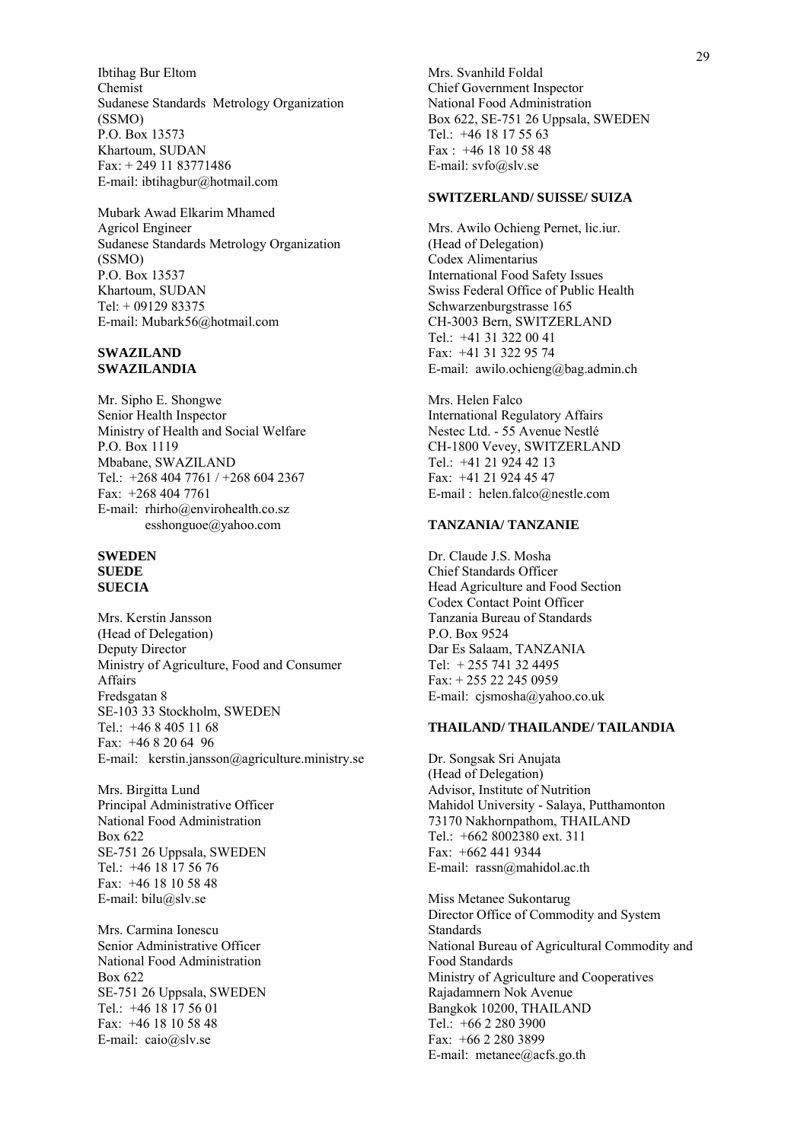Ibtihag Bur Eltom Chemist Sudanese Standards Metrology Organization (SSMO) P.O. Box 13573 Khartoum, SUDAN Fax: + 249 11 83771486 E-mail: ibtihagbur@hotmail.com

Mubark Awad Elkarim Mhamed Agricol Engineer Sudanese Standards Metrology Organization (SSMO) P.O. Box 13537 Khartoum, SUDAN Tel: + 09129 83375 E-mail: Mubark56@hotmail.com

#### **SWAZILAND SWAZILANDIA**

Mr. Sipho E. Shongwe Senior Health Inspector Ministry of Health and Social Welfare P.O. Box 1119 Mbabane, SWAZILAND Tel.: +268 404 7761 / +268 604 2367 Fax: +268 404 7761 E-mail: rhirho@envirohealth.co.sz esshonguoe@yahoo.com

#### **SWEDEN SUEDE SUECIA**

Mrs. Kerstin Jansson (Head of Delegation) Deputy Director Ministry of Agriculture, Food and Consumer Affairs Fredsgatan 8 SE-103 33 Stockholm, SWEDEN Tel.: +46 8 405 11 68 Fax: +46 8 20 64 96 E-mail: kerstin.jansson@agriculture.ministry.se

Mrs. Birgitta Lund Principal Administrative Officer National Food Administration Box 622 SE-751 26 Uppsala, SWEDEN Tel.: +46 18 17 56 76 Fax: +46 18 10 58 48 E-mail: bilu@slv.se

Mrs. Carmina Ionescu Senior Administrative Officer National Food Administration Box 622 SE-751 26 Uppsala, SWEDEN Tel.: +46 18 17 56 01 Fax: +46 18 10 58 48 E-mail: caio@slv.se

Mrs. Svanhild Foldal Chief Government Inspector National Food Administration Box 622, SE-751 26 Uppsala, SWEDEN Tel.: +46 18 17 55 63 Fax : +46 18 10 58 48 E-mail: svfo@slv.se

#### **SWITZERLAND/ SUISSE/ SUIZA**

Mrs. Awilo Ochieng Pernet, lic.iur. (Head of Delegation) Codex Alimentarius International Food Safety Issues Swiss Federal Office of Public Health Schwarzenburgstrasse 165 CH-3003 Bern, SWITZERLAND Tel.: +41 31 322 00 41 Fax: +41 31 322 95 74 E-mail: awilo.ochieng@bag.admin.ch

Mrs. Helen Falco International Regulatory Affairs Nestec Ltd. - 55 Avenue Nestlé CH-1800 Vevey, SWITZERLAND Tel.: +41 21 924 42 13 Fax: +41 21 924 45 47 E-mail : helen.falco@nestle.com

#### **TANZANIA/ TANZANIE**

Dr. Claude J.S. Mosha Chief Standards Officer Head Agriculture and Food Section Codex Contact Point Officer Tanzania Bureau of Standards P.O. Box 9524 Dar Es Salaam, TANZANIA Tel: + 255 741 32 4495 Fax: + 255 22 245 0959 E-mail: cjsmosha@yahoo.co.uk

#### **THAILAND/ THAILANDE/ TAILANDIA**

Dr. Songsak Sri Anujata (Head of Delegation) Advisor, Institute of Nutrition Mahidol University - Salaya, Putthamonton 73170 Nakhornpathom, THAILAND Tel.: +662 8002380 ext. 311 Fax: +662 441 9344 E-mail: rassn@mahidol.ac.th

Miss Metanee Sukontarug Director Office of Commodity and System **Standards** National Bureau of Agricultural Commodity and Food Standards Ministry of Agriculture and Cooperatives Rajadamnern Nok Avenue Bangkok 10200, THAILAND Tel.: +66 2 280 3900 Fax: +66 2 280 3899 E-mail: metanee@acfs.go.th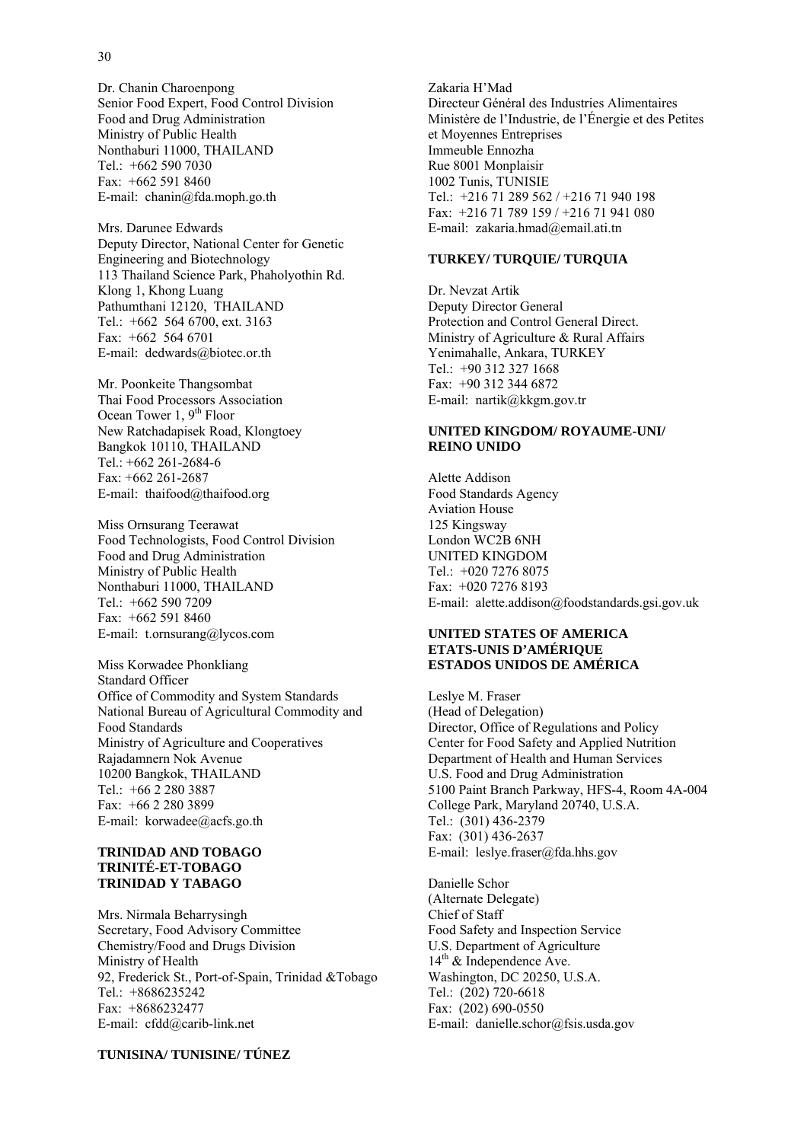Dr. Chanin Charoenpong Senior Food Expert, Food Control Division Food and Drug Administration Ministry of Public Health Nonthaburi 11000, THAILAND Tel.: +662 590 7030 Fax: +662 591 8460 E-mail: chanin@fda.moph.go.th

Mrs. Darunee Edwards Deputy Director, National Center for Genetic Engineering and Biotechnology 113 Thailand Science Park, Phaholyothin Rd. Klong 1, Khong Luang Pathumthani 12120, THAILAND Tel.: +662 564 6700, ext. 3163 Fax: +662 564 6701 E-mail: dedwards@biotec.or.th

Mr. Poonkeite Thangsombat Thai Food Processors Association Ocean Tower 1,  $9<sup>th</sup>$  Floor New Ratchadapisek Road, Klongtoey Bangkok 10110, THAILAND Tel.: +662 261-2684-6 Fax: +662 261-2687 E-mail: thaifood@thaifood.org

Miss Ornsurang Teerawat Food Technologists, Food Control Division Food and Drug Administration Ministry of Public Health Nonthaburi 11000, THAILAND Tel.: +662 590 7209 Fax:  $+662,591,8460$ E-mail: t.ornsurang@lycos.com

Miss Korwadee Phonkliang Standard Officer Office of Commodity and System Standards National Bureau of Agricultural Commodity and Food Standards Ministry of Agriculture and Cooperatives Rajadamnern Nok Avenue 10200 Bangkok, THAILAND Tel.: +66 2 280 3887 Fax: +66 2 280 3899 E-mail: korwadee@acfs.go.th

#### **TRINIDAD AND TOBAGO TRINITÉ-ET-TOBAGO TRINIDAD Y TABAGO**

Mrs. Nirmala Beharrysingh Secretary, Food Advisory Committee Chemistry/Food and Drugs Division Ministry of Health 92, Frederick St., Port-of-Spain, Trinidad &Tobago Tel.: +8686235242 Fax: +8686232477 E-mail: cfdd@carib-link.net

**TUNISINA/ TUNISINE/ TÚNEZ**

Zakaria H'Mad Directeur Général des Industries Alimentaires Ministère de l'Industrie, de l'Énergie et des Petites et Moyennes Entreprises Immeuble Ennozha Rue 8001 Monplaisir 1002 Tunis, TUNISIE Tel.: +216 71 289 562 / +216 71 940 198 Fax: +216 71 789 159 / +216 71 941 080 E-mail: zakaria.hmad@email.ati.tn

#### **TURKEY/ TURQUIE/ TURQUIA**

Dr. Nevzat Artik Deputy Director General Protection and Control General Direct. Ministry of Agriculture & Rural Affairs Yenimahalle, Ankara, TURKEY Tel.: +90 312 327 1668 Fax: +90 312 344 6872 E-mail: nartik@kkgm.gov.tr

#### **UNITED KINGDOM/ ROYAUME-UNI/ REINO UNIDO**

Alette Addison Food Standards Agency Aviation House 125 Kingsway London WC2B 6NH UNITED KINGDOM Tel.: +020 7276 8075 Fax: +020 7276 8193 E-mail: alette.addison@foodstandards.gsi.gov.uk

#### **UNITED STATES OF AMERICA ETATS-UNIS D'AMÉRIQUE ESTADOS UNIDOS DE AMÉRICA**

Leslye M. Fraser (Head of Delegation) Director, Office of Regulations and Policy Center for Food Safety and Applied Nutrition Department of Health and Human Services U.S. Food and Drug Administration 5100 Paint Branch Parkway, HFS-4, Room 4A-004 College Park, Maryland 20740, U.S.A. Tel.: (301) 436-2379 Fax: (301) 436-2637 E-mail: leslye.fraser@fda.hhs.gov

Danielle Schor (Alternate Delegate) Chief of Staff Food Safety and Inspection Service U.S. Department of Agriculture  $14<sup>th</sup>$  & Independence Ave. Washington, DC 20250, U.S.A. Tel.: (202) 720-6618 Fax: (202) 690-0550 E-mail: danielle.schor@fsis.usda.gov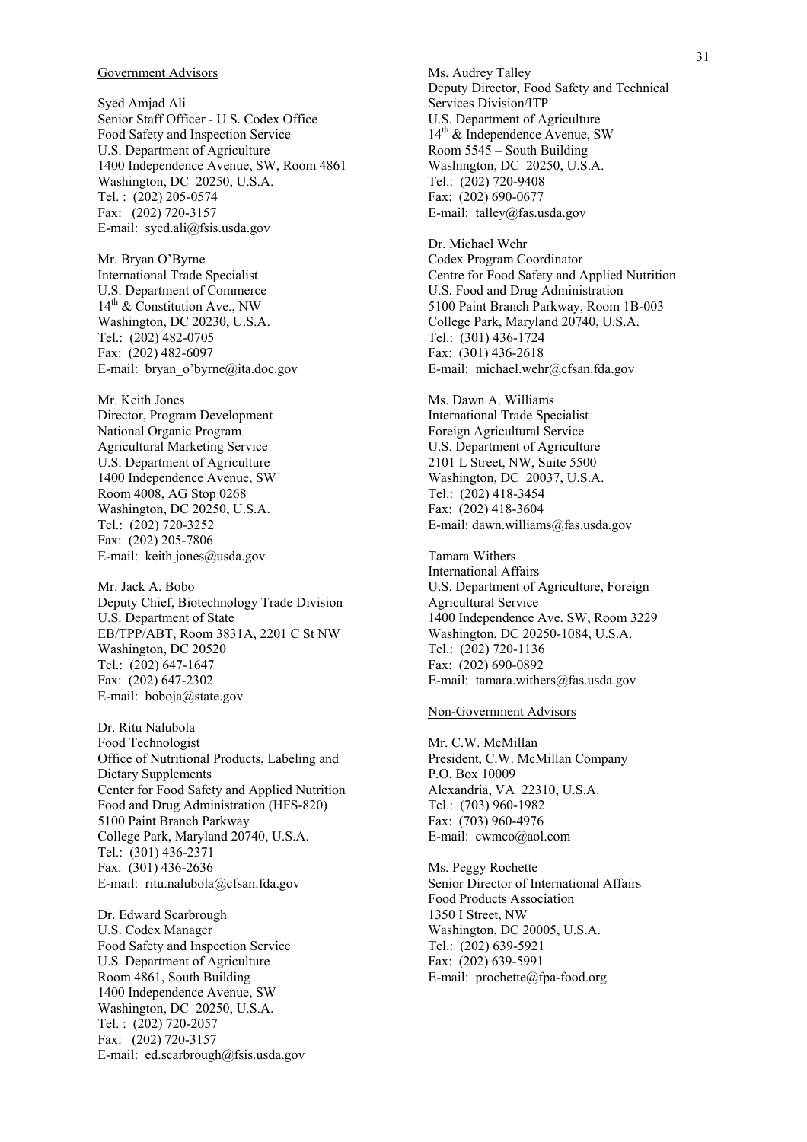#### Government Advisors

Syed Amjad Ali Senior Staff Officer - U.S. Codex Office Food Safety and Inspection Service U.S. Department of Agriculture 1400 Independence Avenue, SW, Room 4861 Washington, DC 20250, U.S.A. Tel. : (202) 205-0574 Fax: (202) 720-3157 E-mail: syed.ali@fsis.usda.gov

Mr. Bryan O'Byrne International Trade Specialist U.S. Department of Commerce  $14<sup>th</sup>$  & Constitution Ave., NW Washington, DC 20230, U.S.A. Tel.: (202) 482-0705 Fax: (202) 482-6097 E-mail: bryan\_o'byrne@ita.doc.gov

Mr. Keith Jones Director, Program Development National Organic Program Agricultural Marketing Service U.S. Department of Agriculture 1400 Independence Avenue, SW Room 4008, AG Stop 0268 Washington, DC 20250, U.S.A. Tel.: (202) 720-3252 Fax: (202) 205-7806 E-mail: keith.jones@usda.gov

Mr. Jack A. Bobo Deputy Chief, Biotechnology Trade Division U.S. Department of State EB/TPP/ABT, Room 3831A, 2201 C St NW Washington, DC 20520 Tel.: (202) 647-1647 Fax: (202) 647-2302 E-mail: boboja@state.gov

Dr. Ritu Nalubola Food Technologist Office of Nutritional Products, Labeling and Dietary Supplements Center for Food Safety and Applied Nutrition Food and Drug Administration (HFS-820) 5100 Paint Branch Parkway College Park, Maryland 20740, U.S.A. Tel.: (301) 436-2371 Fax: (301) 436-2636 E-mail: ritu.nalubola@cfsan.fda.gov

Dr. Edward Scarbrough U.S. Codex Manager Food Safety and Inspection Service U.S. Department of Agriculture Room 4861, South Building 1400 Independence Avenue, SW Washington, DC 20250, U.S.A. Tel. : (202) 720-2057 Fax: (202) 720-3157 E-mail: ed.scarbrough@fsis.usda.gov Ms. Audrey Talley Deputy Director, Food Safety and Technical Services Division/ITP U.S. Department of Agriculture  $14<sup>th</sup>$  & Independence Avenue, SW Room 5545 – South Building Washington, DC 20250, U.S.A. Tel.: (202) 720-9408 Fax: (202) 690-0677 E-mail: talley@fas.usda.gov

Dr. Michael Wehr Codex Program Coordinator Centre for Food Safety and Applied Nutrition U.S. Food and Drug Administration 5100 Paint Branch Parkway, Room 1B-003 College Park, Maryland 20740, U.S.A. Tel.: (301) 436-1724 Fax: (301) 436-2618 E-mail: michael.wehr@cfsan.fda.gov

Ms. Dawn A. Williams International Trade Specialist Foreign Agricultural Service U.S. Department of Agriculture 2101 L Street, NW, Suite 5500 Washington, DC 20037, U.S.A. Tel.: (202) 418-3454 Fax: (202) 418-3604 E-mail: dawn.williams@fas.usda.gov

Tamara Withers International Affairs U.S. Department of Agriculture, Foreign Agricultural Service 1400 Independence Ave. SW, Room 3229 Washington, DC 20250-1084, U.S.A. Tel.: (202) 720-1136 Fax: (202) 690-0892 E-mail: tamara.withers@fas.usda.gov

#### Non-Government Advisors

Mr. C.W. McMillan President, C.W. McMillan Company P.O. Box 10009 Alexandria, VA 22310, U.S.A. Tel.: (703) 960-1982 Fax: (703) 960-4976 E-mail: cwmco@aol.com

Ms. Peggy Rochette Senior Director of International Affairs Food Products Association 1350 I Street, NW Washington, DC 20005, U.S.A. Tel.: (202) 639-5921 Fax: (202) 639-5991 E-mail: prochette@fpa-food.org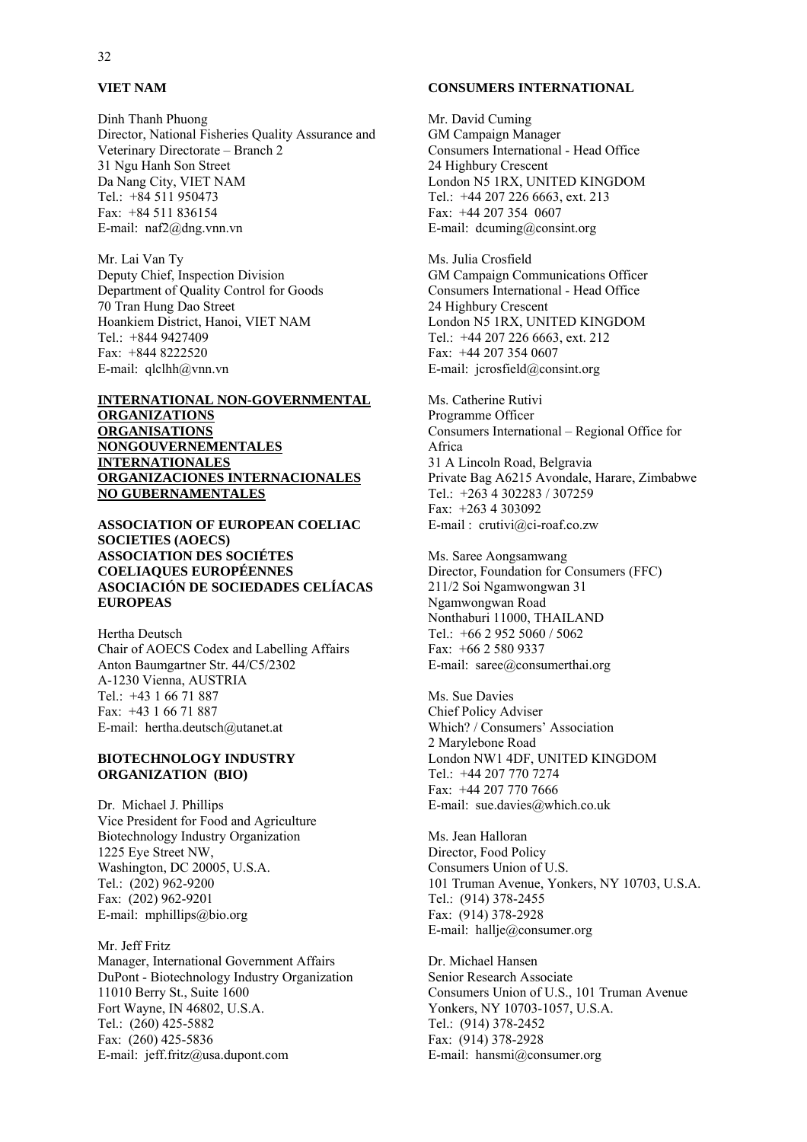#### **VIET NAM**

Dinh Thanh Phuong Director, National Fisheries Quality Assurance and Veterinary Directorate – Branch 2 31 Ngu Hanh Son Street Da Nang City, VIET NAM Tel.: +84 511 950473 Fax: +84 511 836154 E-mail: naf2@dng.vnn.vn

Mr. Lai Van Ty Deputy Chief, Inspection Division Department of Quality Control for Goods 70 Tran Hung Dao Street Hoankiem District, Hanoi, VIET NAM Tel.: +844 9427409 Fax: +844 8222520 E-mail: qlclhh@vnn.vn

#### **INTERNATIONAL NON-GOVERNMENTAL ORGANIZATIONS ORGANISATIONS NONGOUVERNEMENTALES INTERNATIONALES ORGANIZACIONES INTERNACIONALES NO GUBERNAMENTALES**

#### **ASSOCIATION OF EUROPEAN COELIAC SOCIETIES (AOECS) ASSOCIATION DES SOCIÉTES COELIAQUES EUROPÉENNES ASOCIACIÓN DE SOCIEDADES CELÍACAS EUROPEAS**

Hertha Deutsch Chair of AOECS Codex and Labelling Affairs Anton Baumgartner Str. 44/C5/2302 A-1230 Vienna, AUSTRIA Tel.: +43 1 66 71 887 Fax: +43 1 66 71 887 E-mail: hertha.deutsch@utanet.at

#### **BIOTECHNOLOGY INDUSTRY ORGANIZATION (BIO)**

Dr. Michael J. Phillips Vice President for Food and Agriculture Biotechnology Industry Organization 1225 Eye Street NW, Washington, DC 20005, U.S.A. Tel.: (202) 962-9200 Fax: (202) 962-9201 E-mail: mphillips@bio.org

Mr. Jeff Fritz Manager, International Government Affairs DuPont - Biotechnology Industry Organization 11010 Berry St., Suite 1600 Fort Wayne, IN 46802, U.S.A. Tel.: (260) 425-5882 Fax: (260) 425-5836 E-mail: jeff.fritz@usa.dupont.com

#### **CONSUMERS INTERNATIONAL**

Mr. David Cuming GM Campaign Manager Consumers International - Head Office 24 Highbury Crescent London N5 1RX, UNITED KINGDOM Tel.: +44 207 226 6663, ext. 213 Fax: +44 207 354 0607 E-mail: dcuming@consint.org

Ms. Julia Crosfield GM Campaign Communications Officer Consumers International - Head Office 24 Highbury Crescent London N5 1RX, UNITED KINGDOM Tel.: +44 207 226 6663, ext. 212 Fax: +44 207 354 0607 E-mail: jcrosfield@consint.org

Ms. Catherine Rutivi Programme Officer Consumers International – Regional Office for Africa 31 A Lincoln Road, Belgravia Private Bag A6215 Avondale, Harare, Zimbabwe Tel.: +263 4 302283 / 307259 Fax: +263 4 303092 E-mail : crutivi@ci-roaf.co.zw

Ms. Saree Aongsamwang Director, Foundation for Consumers (FFC) 211/2 Soi Ngamwongwan 31 Ngamwongwan Road Nonthaburi 11000, THAILAND Tel.: +66 2 952 5060 / 5062 Fax: +66 2 580 9337 E-mail: saree@consumerthai.org

Ms. Sue Davies Chief Policy Adviser Which? / Consumers' Association 2 Marylebone Road London NW1 4DF, UNITED KINGDOM Tel.: +44 207 770 7274 Fax: +44 207 770 7666 E-mail: sue.davies@which.co.uk

Ms. Jean Halloran Director, Food Policy Consumers Union of U.S. 101 Truman Avenue, Yonkers, NY 10703, U.S.A. Tel.: (914) 378-2455 Fax: (914) 378-2928 E-mail: hallje@consumer.org

Dr. Michael Hansen Senior Research Associate Consumers Union of U.S., 101 Truman Avenue Yonkers, NY 10703-1057, U.S.A. Tel.: (914) 378-2452 Fax: (914) 378-2928 E-mail: hansmi@consumer.org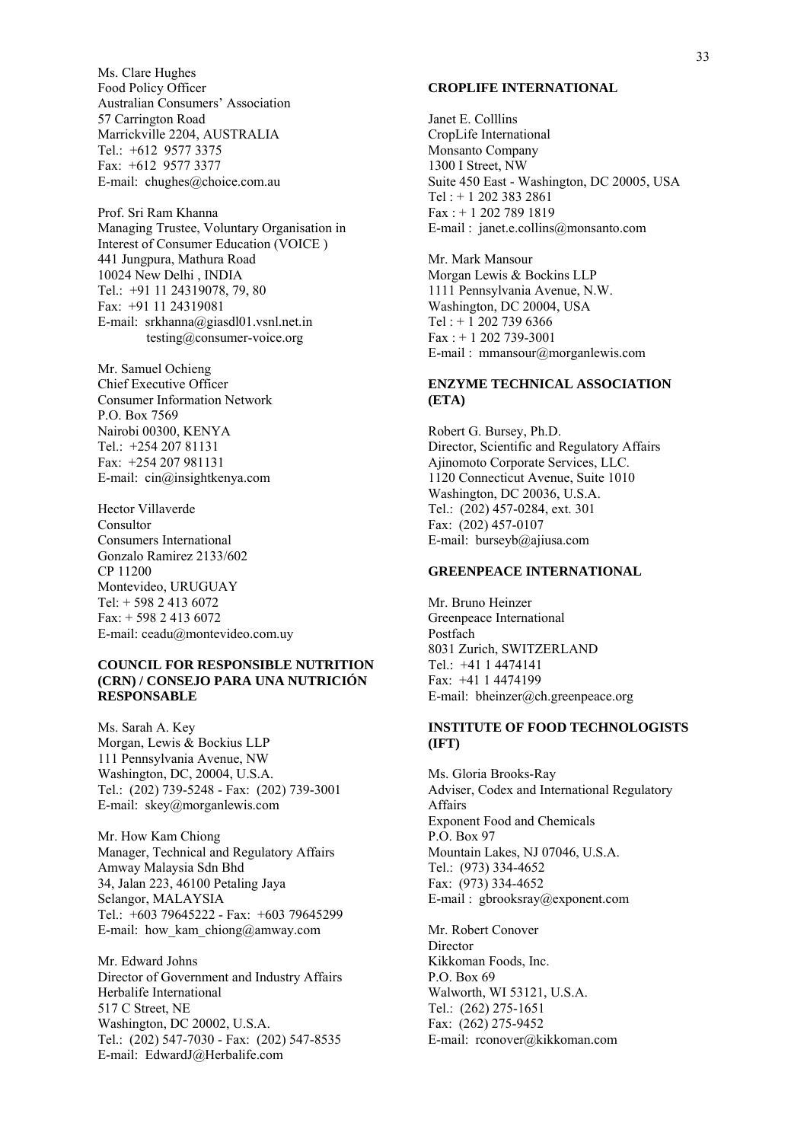Ms. Clare Hughes Food Policy Officer Australian Consumers' Association 57 Carrington Road Marrickville 2204, AUSTRALIA Tel.: +612 9577 3375 Fax: +612 9577 3377 E-mail: chughes@choice.com.au

Prof. Sri Ram Khanna Managing Trustee, Voluntary Organisation in Interest of Consumer Education (VOICE ) 441 Jungpura, Mathura Road 10024 New Delhi , INDIA Tel.: +91 11 24319078, 79, 80 Fax: +91 11 24319081 E-mail: srkhanna@giasdl01.vsnl.net.in testing@consumer-voice.org

Mr. Samuel Ochieng Chief Executive Officer Consumer Information Network P.O. Box 7569 Nairobi 00300, KENYA Tel.: +254 207 81131 Fax: +254 207 981131 E-mail: cin@insightkenya.com

Hector Villaverde Consultor Consumers International Gonzalo Ramirez 2133/602 CP 11200 Montevideo, URUGUAY Tel: + 598 2 413 6072  $Fax + 598$  2 413 6072 E-mail: ceadu@montevideo.com.uy

#### **COUNCIL FOR RESPONSIBLE NUTRITION (CRN) / CONSEJO PARA UNA NUTRICIÓN RESPONSABLE**

Ms. Sarah A. Key Morgan, Lewis & Bockius LLP 111 Pennsylvania Avenue, NW Washington, DC, 20004, U.S.A. Tel.: (202) 739-5248 - Fax: (202) 739-3001 E-mail: skey@morganlewis.com

Mr. How Kam Chiong Manager, Technical and Regulatory Affairs Amway Malaysia Sdn Bhd 34, Jalan 223, 46100 Petaling Jaya Selangor, MALAYSIA Tel.: +603 79645222 - Fax: +603 79645299 E-mail: how kam chiong@amway.com

Mr. Edward Johns Director of Government and Industry Affairs Herbalife International 517 C Street, NE Washington, DC 20002, U.S.A. Tel.: (202) 547-7030 - Fax: (202) 547-8535 E-mail: EdwardJ@Herbalife.com

#### **CROPLIFE INTERNATIONAL**

Janet E. Colllins CropLife International Monsanto Company 1300 I Street, NW Suite 450 East - Washington, DC 20005, USA Tel : + 1 202 383 2861 Fax : + 1 202 789 1819 E-mail : janet.e.collins@monsanto.com

Mr. Mark Mansour Morgan Lewis & Bockins LLP 1111 Pennsylvania Avenue, N.W. Washington, DC 20004, USA Tel : + 1 202 739 6366 Fax : + 1 202 739-3001 E-mail : mmansour@morganlewis.com

#### **ENZYME TECHNICAL ASSOCIATION (ETA)**

Robert G. Bursey, Ph.D. Director, Scientific and Regulatory Affairs Ajinomoto Corporate Services, LLC. 1120 Connecticut Avenue, Suite 1010 Washington, DC 20036, U.S.A. Tel.: (202) 457-0284, ext. 301 Fax: (202) 457-0107 E-mail: burseyb@ajiusa.com

#### **GREENPEACE INTERNATIONAL**

Mr. Bruno Heinzer Greenpeace International Postfach 8031 Zurich, SWITZERLAND Tel.: +41 1 4474141 Fax: +41 1 4474199 E-mail: bheinzer@ch.greenpeace.org

#### **INSTITUTE OF FOOD TECHNOLOGISTS (IFT)**

Ms. Gloria Brooks-Ray Adviser, Codex and International Regulatory Affairs Exponent Food and Chemicals P.O. Box 97 Mountain Lakes, NJ 07046, U.S.A. Tel.: (973) 334-4652 Fax: (973) 334-4652 E-mail : gbrooksray@exponent.com

Mr. Robert Conover **Director** Kikkoman Foods, Inc. P.O. Box 69 Walworth, WI 53121, U.S.A. Tel.: (262) 275-1651 Fax: (262) 275-9452 E-mail: rconover@kikkoman.com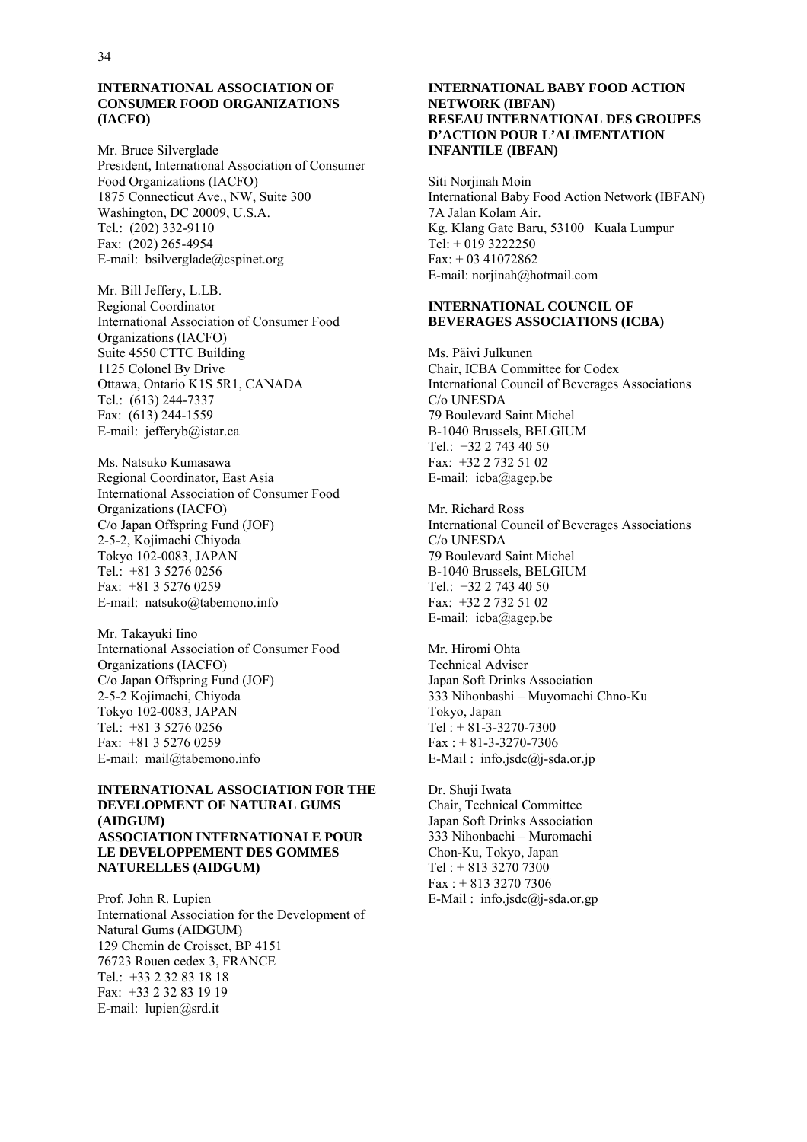#### **INTERNATIONAL ASSOCIATION OF CONSUMER FOOD ORGANIZATIONS (IACFO)**

Mr. Bruce Silverglade President, International Association of Consumer Food Organizations (IACFO) 1875 Connecticut Ave., NW, Suite 300 Washington, DC 20009, U.S.A. Tel.: (202) 332-9110 Fax: (202) 265-4954 E-mail: bsilverglade@cspinet.org

Mr. Bill Jeffery, L.LB. Regional Coordinator International Association of Consumer Food Organizations (IACFO) Suite 4550 CTTC Building 1125 Colonel By Drive Ottawa, Ontario K1S 5R1, CANADA Tel.: (613) 244-7337 Fax: (613) 244-1559 E-mail: jefferyb@istar.ca

Ms. Natsuko Kumasawa Regional Coordinator, East Asia International Association of Consumer Food Organizations (IACFO) C/o Japan Offspring Fund (JOF) 2-5-2, Kojimachi Chiyoda Tokyo 102-0083, JAPAN Tel.: +81 3 5276 0256 Fax: +81 3 5276 0259 E-mail: natsuko@tabemono.info

Mr. Takayuki Iino International Association of Consumer Food Organizations (IACFO) C/o Japan Offspring Fund (JOF) 2-5-2 Kojimachi, Chiyoda Tokyo 102-0083, JAPAN Tel.: +81 3 5276 0256 Fax: +81 3 5276 0259 E-mail: mail@tabemono.info

#### **INTERNATIONAL ASSOCIATION FOR THE DEVELOPMENT OF NATURAL GUMS (AIDGUM) ASSOCIATION INTERNATIONALE POUR LE DEVELOPPEMENT DES GOMMES NATURELLES (AIDGUM)**

Prof. John R. Lupien International Association for the Development of Natural Gums (AIDGUM) 129 Chemin de Croisset, BP 4151 76723 Rouen cedex 3, FRANCE Tel.: +33 2 32 83 18 18 Fax: +33 2 32 83 19 19 E-mail: lupien@srd.it

#### **INTERNATIONAL BABY FOOD ACTION NETWORK (IBFAN) RESEAU INTERNATIONAL DES GROUPES D'ACTION POUR L'ALIMENTATION INFANTILE (IBFAN)**

Siti Norjinah Moin International Baby Food Action Network (IBFAN) 7A Jalan Kolam Air. Kg. Klang Gate Baru, 53100 Kuala Lumpur Tel:  $+0193222250$ Fax: + 03 41072862 E-mail: norjinah@hotmail.com

#### **INTERNATIONAL COUNCIL OF BEVERAGES ASSOCIATIONS (ICBA)**

Ms. Päivi Julkunen Chair, ICBA Committee for Codex International Council of Beverages Associations C/o UNESDA 79 Boulevard Saint Michel B-1040 Brussels, BELGIUM Tel.: +32 2 743 40 50 Fax: +32 2 732 51 02 E-mail: icba@agep.be

Mr. Richard Ross International Council of Beverages Associations C/o UNESDA 79 Boulevard Saint Michel B-1040 Brussels, BELGIUM Tel.: +32 2 743 40 50 Fax: +32 2 732 51 02 E-mail: icba@agep.be

Mr. Hiromi Ohta Technical Adviser Japan Soft Drinks Association 333 Nihonbashi – Muyomachi Chno-Ku Tokyo, Japan  $Tel: + 81-3-3270-7300$  $Fax: + 81-3-3270-7306$ E-Mail : info.jsdc $\omega$ j-sda.or.jp

Dr. Shuji Iwata Chair, Technical Committee Japan Soft Drinks Association 333 Nihonbachi – Muromachi Chon-Ku, Tokyo, Japan Tel : + 813 3270 7300 Fax : + 813 3270 7306 E-Mail:  $info.isdc@i-sda.or.gp$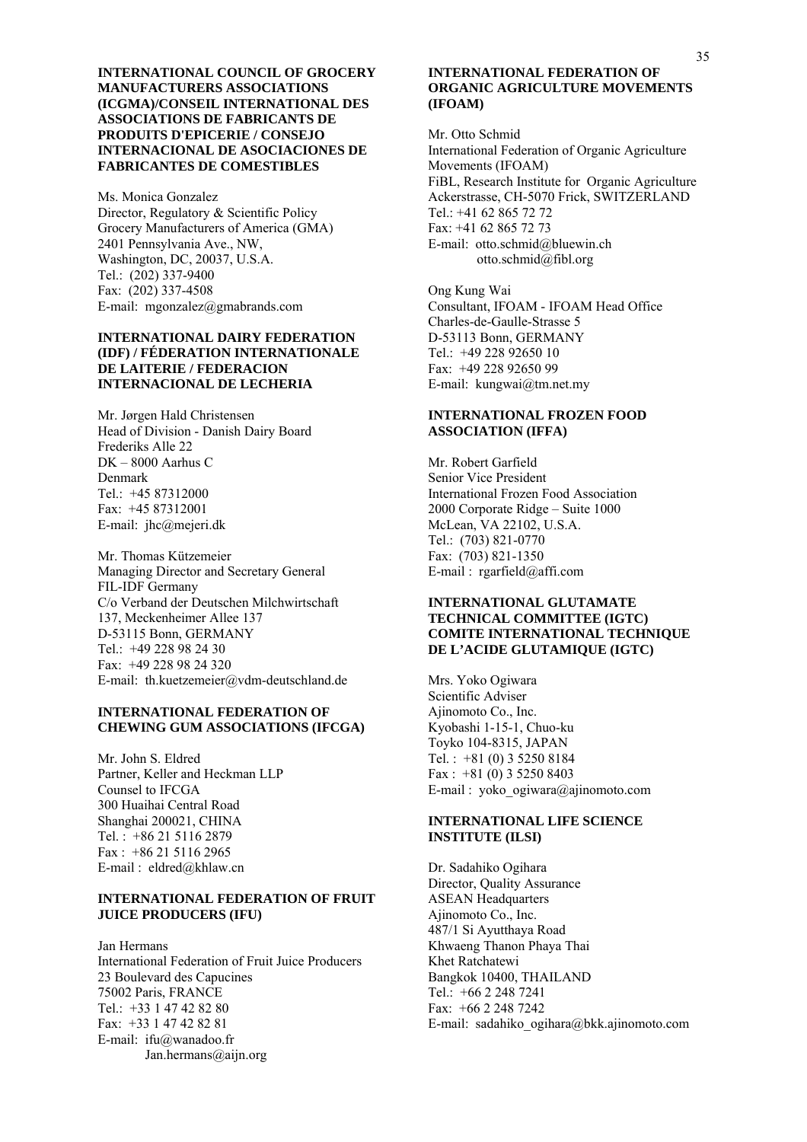**INTERNATIONAL COUNCIL OF GROCERY MANUFACTURERS ASSOCIATIONS (ICGMA)/CONSEIL INTERNATIONAL DES ASSOCIATIONS DE FABRICANTS DE PRODUITS D'EPICERIE / CONSEJO INTERNACIONAL DE ASOCIACIONES DE FABRICANTES DE COMESTIBLES** 

Ms. Monica Gonzalez Director, Regulatory & Scientific Policy Grocery Manufacturers of America (GMA) 2401 Pennsylvania Ave., NW, Washington, DC, 20037, U.S.A. Tel.: (202) 337-9400 Fax: (202) 337-4508 E-mail: mgonzalez@gmabrands.com

#### **INTERNATIONAL DAIRY FEDERATION (IDF) / FÉDERATION INTERNATIONALE DE LAITERIE / FEDERACION INTERNACIONAL DE LECHERIA**

Mr. Jørgen Hald Christensen Head of Division - Danish Dairy Board Frederiks Alle 22 DK – 8000 Aarhus C Denmark Tel.: +45 87312000 Fax: +45 87312001 E-mail: jhc@mejeri.dk

Mr. Thomas Kützemeier Managing Director and Secretary General FIL-IDF Germany C/o Verband der Deutschen Milchwirtschaft 137, Meckenheimer Allee 137 D-53115 Bonn, GERMANY Tel.: +49 228 98 24 30 Fax: +49 228 98 24 320 E-mail: th.kuetzemeier@vdm-deutschland.de

#### **INTERNATIONAL FEDERATION OF CHEWING GUM ASSOCIATIONS (IFCGA)**

Mr. John S. Eldred Partner, Keller and Heckman LLP Counsel to IFCGA 300 Huaihai Central Road Shanghai 200021, CHINA Tel. : +86 21 5116 2879 Fax : +86 21 5116 2965 E-mail : eldred@khlaw.cn

#### **INTERNATIONAL FEDERATION OF FRUIT JUICE PRODUCERS (IFU)**

Jan Hermans International Federation of Fruit Juice Producers 23 Boulevard des Capucines 75002 Paris, FRANCE Tel.: +33 1 47 42 82 80 Fax: +33 1 47 42 82 81 E-mail: ifu@wanadoo.fr Jan.hermans@aijn.org

#### **INTERNATIONAL FEDERATION OF ORGANIC AGRICULTURE MOVEMENTS (IFOAM)**

Mr. Otto Schmid International Federation of Organic Agriculture Movements (IFOAM) FiBL, Research Institute for Organic Agriculture Ackerstrasse, CH-5070 Frick, SWITZERLAND Tel.: +41 62 865 72 72 Fax: +41 62 865 72 73 E-mail: otto.schmid@bluewin.ch otto.schmid@fibl.org

Ong Kung Wai Consultant, IFOAM - IFOAM Head Office Charles-de-Gaulle-Strasse 5 D-53113 Bonn, GERMANY Tel.: +49 228 92650 10 Fax: +49 228 92650 99 E-mail: kungwai@tm.net.my

#### **INTERNATIONAL FROZEN FOOD ASSOCIATION (IFFA)**

Mr. Robert Garfield Senior Vice President International Frozen Food Association 2000 Corporate Ridge – Suite 1000 McLean, VA 22102, U.S.A. Tel.: (703) 821-0770 Fax: (703) 821-1350 E-mail : rgarfield@affi.com

#### **INTERNATIONAL GLUTAMATE TECHNICAL COMMITTEE (IGTC) COMITE INTERNATIONAL TECHNIQUE DE L'ACIDE GLUTAMIQUE (IGTC)**

Mrs. Yoko Ogiwara Scientific Adviser Ajinomoto Co., Inc. Kyobashi 1-15-1, Chuo-ku Toyko 104-8315, JAPAN Tel.:  $+81(0)352508184$ Fax :  $+81$  (0) 3 5250 8403 E-mail : yoko\_ogiwara@ajinomoto.com

#### **INTERNATIONAL LIFE SCIENCE INSTITUTE (ILSI)**

Dr. Sadahiko Ogihara Director, Quality Assurance ASEAN Headquarters Ajinomoto Co., Inc. 487/1 Si Ayutthaya Road Khwaeng Thanon Phaya Thai Khet Ratchatewi Bangkok 10400, THAILAND Tel.: +66 2 248 7241 Fax: +66 2 248 7242 E-mail: sadahiko\_ogihara@bkk.ajinomoto.com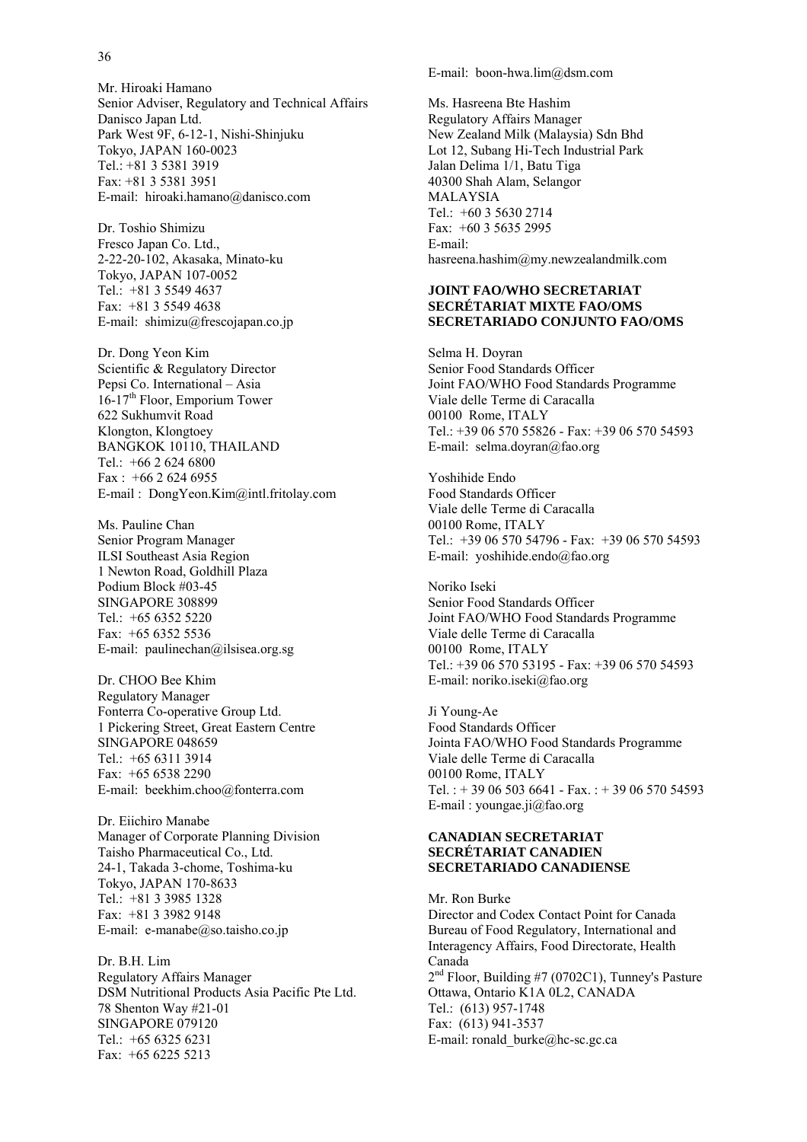#### 36

Mr. Hiroaki Hamano Senior Adviser, Regulatory and Technical Affairs Danisco Japan Ltd. Park West 9F, 6-12-1, Nishi-Shinjuku Tokyo, JAPAN 160-0023 Tel.: +81 3 5381 3919 Fax: +81 3 5381 3951 E-mail: hiroaki.hamano@danisco.com

Dr. Toshio Shimizu Fresco Japan Co. Ltd., 2-22-20-102, Akasaka, Minato-ku Tokyo, JAPAN 107-0052 Tel.: +81 3 5549 4637 Fax: +81 3 5549 4638 E-mail: shimizu@frescojapan.co.jp

Dr. Dong Yeon Kim Scientific & Regulatory Director Pepsi Co. International – Asia  $16-17<sup>th</sup>$  Floor, Emporium Tower 622 Sukhumvit Road Klongton, Klongtoey BANGKOK 10110, THAILAND Tel.:  $+6626246800$ Fax : +66 2 624 6955 E-mail : DongYeon.Kim@intl.fritolay.com

Ms. Pauline Chan Senior Program Manager ILSI Southeast Asia Region 1 Newton Road, Goldhill Plaza Podium Block #03-45 SINGAPORE 308899 Tel.: +65 6352 5220 Fax: +65 6352 5536 E-mail: paulinechan@ilsisea.org.sg

Dr. CHOO Bee Khim Regulatory Manager Fonterra Co-operative Group Ltd. 1 Pickering Street, Great Eastern Centre SINGAPORE 048659 Tel.:  $+6563113914$ Fax: +65 6538 2290 E-mail: beekhim.choo@fonterra.com

Dr. Eiichiro Manabe Manager of Corporate Planning Division Taisho Pharmaceutical Co., Ltd. 24-1, Takada 3-chome, Toshima-ku Tokyo, JAPAN 170-8633 Tel.: +81 3 3985 1328 Fax: +81 3 3982 9148 E-mail: e-manabe@so.taisho.co.jp

Dr. B.H. Lim Regulatory Affairs Manager DSM Nutritional Products Asia Pacific Pte Ltd. 78 Shenton Way #21-01 SINGAPORE 079120 Tel.: +65 6325 6231 Fax: +65 6225 5213

E-mail: boon-hwa.lim@dsm.com

Ms. Hasreena Bte Hashim Regulatory Affairs Manager New Zealand Milk (Malaysia) Sdn Bhd Lot 12, Subang Hi-Tech Industrial Park Jalan Delima 1/1, Batu Tiga 40300 Shah Alam, Selangor MALAYSIA Tel.: +60 3 5630 2714 Fax: +60 3 5635 2995 E-mail: hasreena.hashim@my.newzealandmilk.com

#### **JOINT FAO/WHO SECRETARIAT SECRÉTARIAT MIXTE FAO/OMS SECRETARIADO CONJUNTO FAO/OMS**

Selma H. Doyran Senior Food Standards Officer Joint FAO/WHO Food Standards Programme Viale delle Terme di Caracalla 00100 Rome, ITALY Tel: +39 06 570 55826 - Fax: +39 06 570 54593 E-mail: selma.doyran@fao.org

Yoshihide Endo Food Standards Officer Viale delle Terme di Caracalla 00100 Rome, ITALY Tel.: +39 06 570 54796 - Fax: +39 06 570 54593 E-mail: yoshihide.endo@fao.org

Noriko Iseki Senior Food Standards Officer Joint FAO/WHO Food Standards Programme Viale delle Terme di Caracalla 00100 Rome, ITALY Tel.: +39 06 570 53195 - Fax: +39 06 570 54593 E-mail: noriko.iseki@fao.org

Ji Young-Ae Food Standards Officer Jointa FAO/WHO Food Standards Programme Viale delle Terme di Caracalla 00100 Rome, ITALY Tel. : + 39 06 503 6641 - Fax. : + 39 06 570 54593 E-mail : youngae.ji@fao.org

#### **CANADIAN SECRETARIAT SECRÉTARIAT CANADIEN SECRETARIADO CANADIENSE**

Mr. Ron Burke Director and Codex Contact Point for Canada Bureau of Food Regulatory, International and Interagency Affairs, Food Directorate, Health Canada 2<sup>nd</sup> Floor, Building #7 (0702C1), Tunney's Pasture Ottawa, Ontario K1A 0L2, CANADA Tel.: (613) 957-1748 Fax: (613) 941-3537 E-mail: ronald\_burke@hc-sc.gc.ca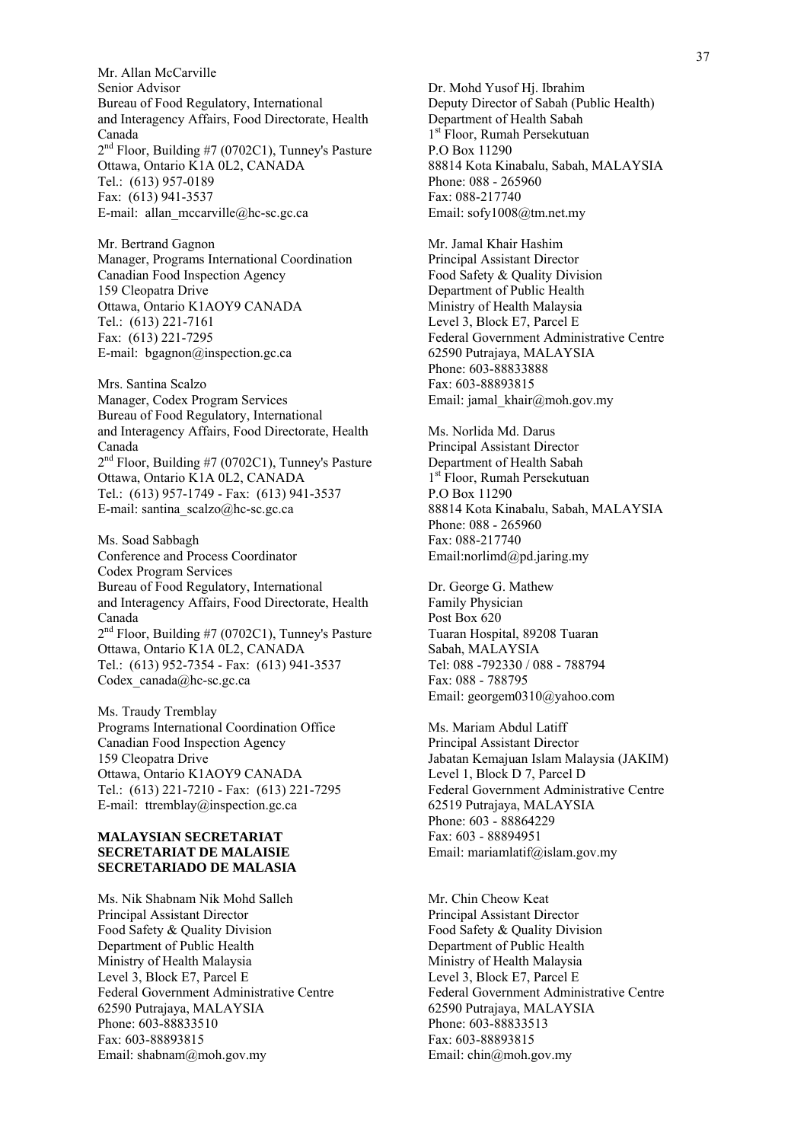Mr. Allan McCarville Senior Advisor Bureau of Food Regulatory, International and Interagency Affairs, Food Directorate, Health Canada  $2<sup>nd</sup>$  Floor, Building #7 (0702C1), Tunney's Pasture Ottawa, Ontario K1A 0L2, CANADA Tel.: (613) 957-0189 Fax: (613) 941-3537 E-mail: allan\_mccarville@hc-sc.gc.ca

Mr. Bertrand Gagnon Manager, Programs International Coordination Canadian Food Inspection Agency 159 Cleopatra Drive Ottawa, Ontario K1AOY9 CANADA Tel.: (613) 221-7161 Fax: (613) 221-7295 E-mail: bgagnon@inspection.gc.ca

Mrs. Santina Scalzo Manager, Codex Program Services Bureau of Food Regulatory, International and Interagency Affairs, Food Directorate, Health Canada  $2<sup>nd</sup>$  Floor, Building #7 (0702C1), Tunney's Pasture Ottawa, Ontario K1A 0L2, CANADA Tel.: (613) 957-1749 - Fax: (613) 941-3537 E-mail: santina\_scalzo@hc-sc.gc.ca

Ms. Soad Sabbagh Conference and Process Coordinator Codex Program Services Bureau of Food Regulatory, International and Interagency Affairs, Food Directorate, Health Canada 2<sup>nd</sup> Floor, Building #7 (0702C1), Tunney's Pasture Ottawa, Ontario K1A 0L2, CANADA Tel.: (613) 952-7354 - Fax: (613) 941-3537 Codex\_canada@hc-sc.gc.ca

Ms. Traudy Tremblay Programs International Coordination Office Canadian Food Inspection Agency 159 Cleopatra Drive Ottawa, Ontario K1AOY9 CANADA Tel.: (613) 221-7210 - Fax: (613) 221-7295 E-mail: ttremblay@inspection.gc.ca

#### **MALAYSIAN SECRETARIAT SECRETARIAT DE MALAISIE SECRETARIADO DE MALASIA**

Ms. Nik Shabnam Nik Mohd Salleh Principal Assistant Director Food Safety & Quality Division Department of Public Health Ministry of Health Malaysia Level 3, Block E7, Parcel E Federal Government Administrative Centre 62590 Putrajaya, MALAYSIA Phone: 603-88833510 Fax: 603-88893815 Email: shabnam@moh.gov.my

Dr. Mohd Yusof Hj. Ibrahim Deputy Director of Sabah (Public Health) Department of Health Sabah 1<sup>st</sup> Floor, Rumah Persekutuan P.O Box 11290 88814 Kota Kinabalu, Sabah, MALAYSIA Phone: 088 - 265960 Fax: 088-217740 Email: sofy1008@tm.net.my

Mr. Jamal Khair Hashim Principal Assistant Director Food Safety & Quality Division Department of Public Health Ministry of Health Malaysia Level 3, Block E7, Parcel E Federal Government Administrative Centre 62590 Putrajaya, MALAYSIA Phone: 603-88833888 Fax: 603-88893815 Email: jamal\_khair@moh.gov.my

Ms. Norlida Md. Darus Principal Assistant Director Department of Health Sabah 1<sup>st</sup> Floor, Rumah Persekutuan P.O Box 11290 88814 Kota Kinabalu, Sabah, MALAYSIA Phone: 088 - 265960 Fax: 088-217740 Email:norlimd@pd.jaring.my

Dr. George G. Mathew Family Physician Post Box 620 Tuaran Hospital, 89208 Tuaran Sabah, MALAYSIA Tel: 088 -792330 / 088 - 788794 Fax: 088 - 788795 Email: georgem0310@yahoo.com

Ms. Mariam Abdul Latiff Principal Assistant Director Jabatan Kemajuan Islam Malaysia (JAKIM) Level 1, Block D 7, Parcel D Federal Government Administrative Centre 62519 Putrajaya, MALAYSIA Phone: 603 - 88864229 Fax: 603 - 88894951 Email: mariamlatif@islam.gov.my

Mr. Chin Cheow Keat Principal Assistant Director Food Safety & Quality Division Department of Public Health Ministry of Health Malaysia Level 3, Block E7, Parcel E Federal Government Administrative Centre 62590 Putrajaya, MALAYSIA Phone: 603-88833513 Fax: 603-88893815 Email: chin@moh.gov.my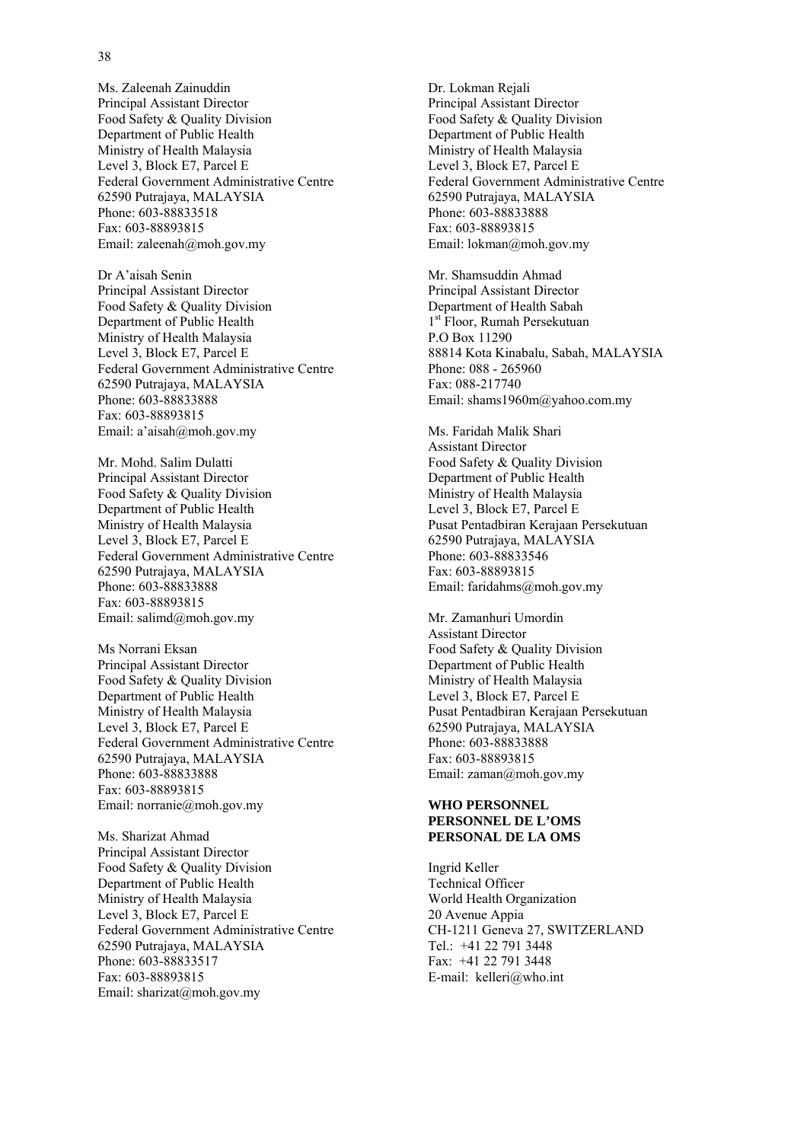Ms. Zaleenah Zainuddin Principal Assistant Director Food Safety & Quality Division Department of Public Health Ministry of Health Malaysia Level 3, Block E7, Parcel E Federal Government Administrative Centre 62590 Putrajaya, MALAYSIA Phone: 603-88833518 Fax: 603-88893815 Email: zaleenah@moh.gov.my

Dr A'aisah Senin Principal Assistant Director Food Safety & Quality Division Department of Public Health Ministry of Health Malaysia Level 3, Block E7, Parcel E Federal Government Administrative Centre 62590 Putrajaya, MALAYSIA Phone: 603-88833888 Fax: 603-88893815 Email: a'aisah@moh.gov.my

Mr. Mohd. Salim Dulatti Principal Assistant Director Food Safety & Quality Division Department of Public Health Ministry of Health Malaysia Level 3, Block E7, Parcel E Federal Government Administrative Centre 62590 Putrajaya, MALAYSIA Phone: 603-88833888 Fax: 603-88893815 Email: salimd@moh.gov.my

Ms Norrani Eksan Principal Assistant Director Food Safety & Quality Division Department of Public Health Ministry of Health Malaysia Level 3, Block E7, Parcel E Federal Government Administrative Centre 62590 Putrajaya, MALAYSIA Phone: 603-88833888 Fax: 603-88893815 Email: norranie@moh.gov.my

Ms. Sharizat Ahmad Principal Assistant Director Food Safety & Quality Division Department of Public Health Ministry of Health Malaysia Level 3, Block E7, Parcel E Federal Government Administrative Centre 62590 Putrajaya, MALAYSIA Phone: 603-88833517 Fax: 603-88893815 Email: sharizat@moh.gov.my

Dr. Lokman Rejali Principal Assistant Director Food Safety & Quality Division Department of Public Health Ministry of Health Malaysia Level 3, Block E7, Parcel E Federal Government Administrative Centre 62590 Putrajaya, MALAYSIA Phone: 603-88833888 Fax: 603-88893815 Email: lokman@moh.gov.my

Mr. Shamsuddin Ahmad Principal Assistant Director Department of Health Sabah 1<sup>st</sup> Floor, Rumah Persekutuan P.O Box 11290 88814 Kota Kinabalu, Sabah, MALAYSIA Phone: 088 - 265960 Fax: 088-217740 Email: shams1960m@yahoo.com.my

Ms. Faridah Malik Shari Assistant Director Food Safety & Quality Division Department of Public Health Ministry of Health Malaysia Level 3, Block E7, Parcel E Pusat Pentadbiran Kerajaan Persekutuan 62590 Putrajaya, MALAYSIA Phone: 603-88833546 Fax: 603-88893815 Email: faridahms@moh.gov.my

Mr. Zamanhuri Umordin Assistant Director Food Safety & Quality Division Department of Public Health Ministry of Health Malaysia Level 3, Block E7, Parcel E Pusat Pentadbiran Kerajaan Persekutuan 62590 Putrajaya, MALAYSIA Phone: 603-88833888 Fax: 603-88893815 Email: zaman@moh.gov.my

#### **WHO PERSONNEL PERSONNEL DE L'OMS PERSONAL DE LA OMS**

Ingrid Keller Technical Officer World Health Organization 20 Avenue Appia CH-1211 Geneva 27, SWITZERLAND Tel.: +41 22 791 3448 Fax: +41 22 791 3448 E-mail: kelleri@who.int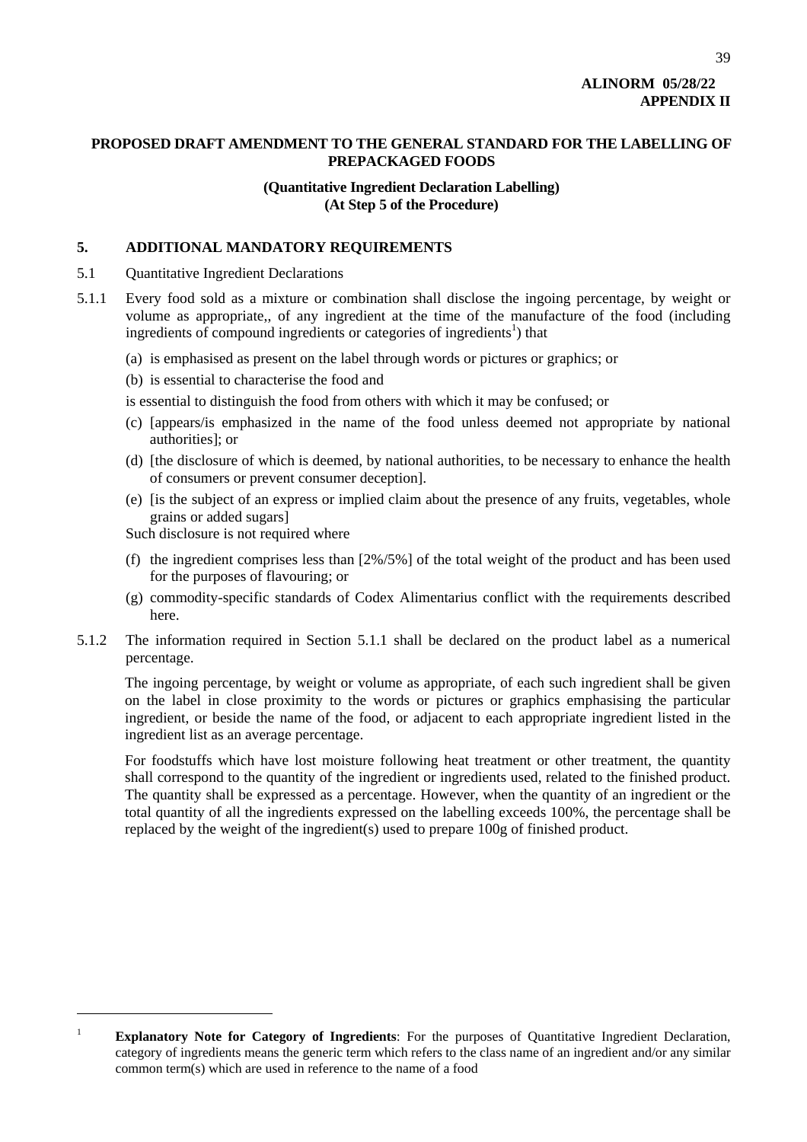# **ALINORM 05/28/22 APPENDIX II**

39

## **PROPOSED DRAFT AMENDMENT TO THE GENERAL STANDARD FOR THE LABELLING OF PREPACKAGED FOODS**

## **(Quantitative Ingredient Declaration Labelling) (At Step 5 of the Procedure)**

## **5. ADDITIONAL MANDATORY REQUIREMENTS**

- 5.1 Quantitative Ingredient Declarations
- 5.1.1 Every food sold as a mixture or combination shall disclose the ingoing percentage, by weight or volume as appropriate,, of any ingredient at the time of the manufacture of the food (including ingredients of compound ingredients or categories of ingredients<sup>1</sup>) that
	- (a) is emphasised as present on the label through words or pictures or graphics; or
	- (b) is essential to characterise the food and
	- is essential to distinguish the food from others with which it may be confused; or
	- (c) [appears/is emphasized in the name of the food unless deemed not appropriate by national authorities]; or
	- (d) [the disclosure of which is deemed, by national authorities, to be necessary to enhance the health of consumers or prevent consumer deception].
	- (e) [is the subject of an express or implied claim about the presence of any fruits, vegetables, whole grains or added sugars]

Such disclosure is not required where

l

- (f) the ingredient comprises less than [2%/5%] of the total weight of the product and has been used for the purposes of flavouring; or
- (g) commodity-specific standards of Codex Alimentarius conflict with the requirements described here.
- 5.1.2 The information required in Section 5.1.1 shall be declared on the product label as a numerical percentage.

The ingoing percentage, by weight or volume as appropriate, of each such ingredient shall be given on the label in close proximity to the words or pictures or graphics emphasising the particular ingredient, or beside the name of the food, or adjacent to each appropriate ingredient listed in the ingredient list as an average percentage.

For foodstuffs which have lost moisture following heat treatment or other treatment, the quantity shall correspond to the quantity of the ingredient or ingredients used, related to the finished product. The quantity shall be expressed as a percentage. However, when the quantity of an ingredient or the total quantity of all the ingredients expressed on the labelling exceeds 100%, the percentage shall be replaced by the weight of the ingredient(s) used to prepare 100g of finished product.

<span id="page-43-0"></span><sup>&</sup>lt;sup>1</sup> **Explanatory Note for Category of Ingredients**: For the purposes of Quantitative Ingredient Declaration, category of ingredients means the generic term which refers to the class name of an ingredient and/or any similar common term(s) which are used in reference to the name of a food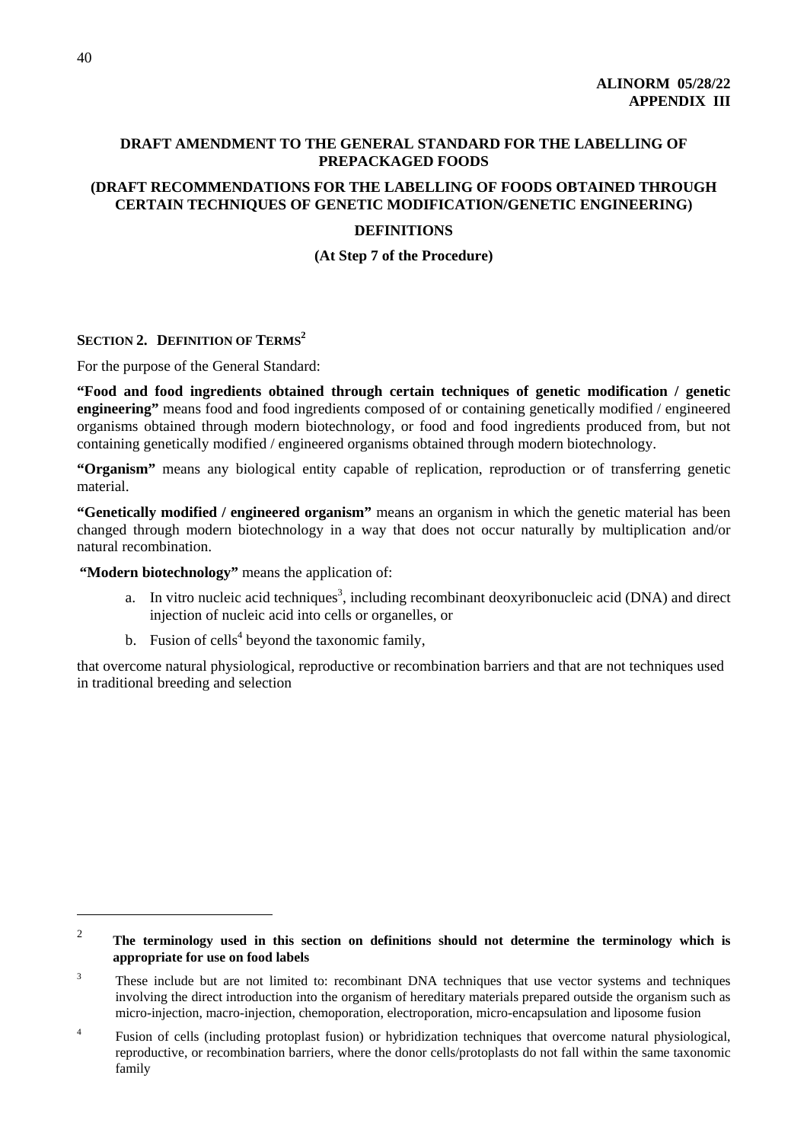## **DRAFT AMENDMENT TO THE GENERAL STANDARD FOR THE LABELLING OF PREPACKAGED FOODS**

## **(DRAFT RECOMMENDATIONS FOR THE LABELLING OF FOODS OBTAINED THROUGH CERTAIN TECHNIQUES OF GENETIC MODIFICATION/GENETIC ENGINEERING)**

## **DEFINITIONS**

**(At Step 7 of the Procedure)** 

## **SECTION 2. DEFINITION OF TERMS[2](#page-44-0)**

For the purpose of the General Standard:

**"Food and food ingredients obtained through certain techniques of genetic modification / genetic engineering"** means food and food ingredients composed of or containing genetically modified / engineered organisms obtained through modern biotechnology, or food and food ingredients produced from, but not containing genetically modified / engineered organisms obtained through modern biotechnology.

**"Organism"** means any biological entity capable of replication, reproduction or of transferring genetic material.

**"Genetically modified / engineered organism"** means an organism in which the genetic material has been changed through modern biotechnology in a way that does not occur naturally by multiplication and/or natural recombination.

**"Modern biotechnology"** means the application of:

- a. In vitro nucleic acid techniques<sup>3</sup>[,](#page-44-1) including recombinant deoxyribonucleic acid (DNA) and direct injection of nucleic acid into cells or organelles, or
- b. Fusion of cells<sup>[4](#page-44-2)</sup> beyond the taxonomic family,

that overcome natural physiological, reproductive or recombination barriers and that are not techniques used in traditional breeding and selection

l

<span id="page-44-0"></span> $\mathfrak{Z}$  **The terminology used in this section on definitions should not determine the terminology which is appropriate for use on food labels**

<span id="page-44-1"></span><sup>3</sup> These include but are not limited to: recombinant DNA techniques that use vector systems and techniques involving the direct introduction into the organism of hereditary materials prepared outside the organism such as micro-injection, macro-injection, chemoporation, electroporation, micro-encapsulation and liposome fusion

<span id="page-44-2"></span><sup>4</sup> Fusion of cells (including protoplast fusion) or hybridization techniques that overcome natural physiological, reproductive, or recombination barriers, where the donor cells/protoplasts do not fall within the same taxonomic family